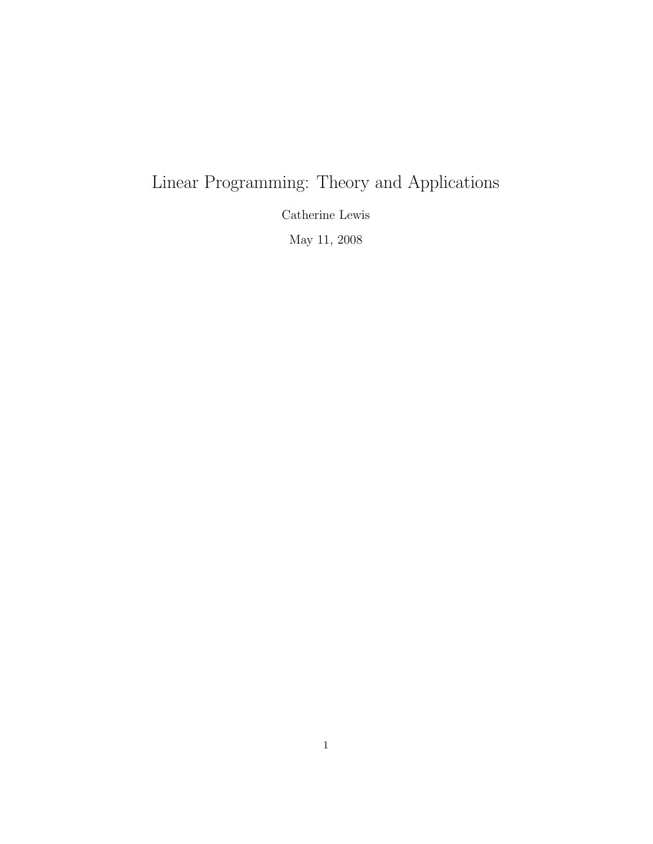# Linear Programming: Theory and Applications

Catherine Lewis

May 11, 2008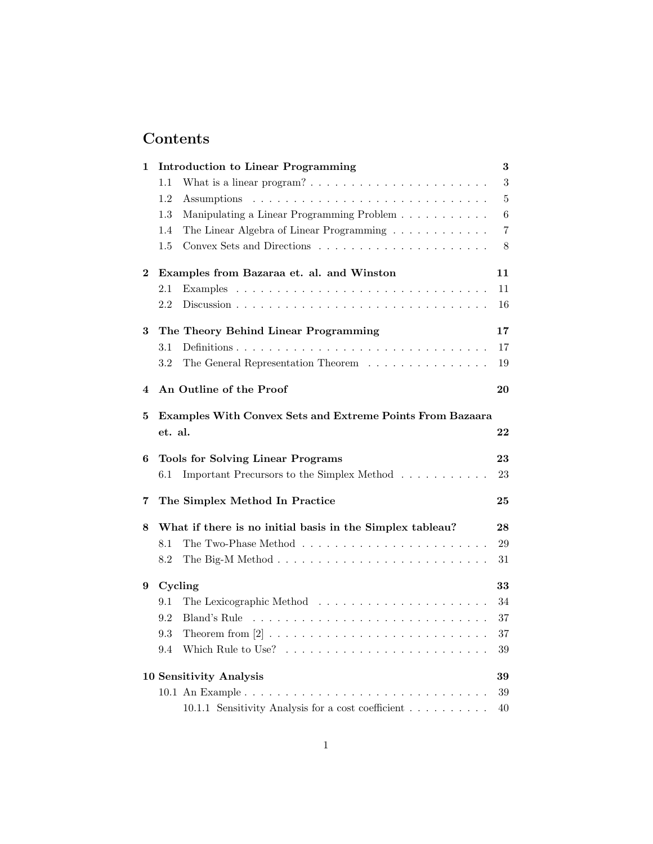## Contents

| 1        | <b>Introduction to Linear Programming</b>                                           | 3  |
|----------|-------------------------------------------------------------------------------------|----|
|          | 1.1<br>What is a linear program? $\ldots \ldots \ldots \ldots \ldots \ldots \ldots$ | 3  |
|          | 1.2<br>Assumptions                                                                  | 5  |
|          | $1.3\,$<br>Manipulating a Linear Programming Problem                                | 6  |
|          | The Linear Algebra of Linear Programming<br>1.4                                     | 7  |
|          | 1.5                                                                                 | 8  |
| $\bf{2}$ | Examples from Bazaraa et. al. and Winston                                           | 11 |
|          | 2.1                                                                                 | 11 |
|          | 2.2                                                                                 | 16 |
| 3        | The Theory Behind Linear Programming                                                | 17 |
|          | 3.1                                                                                 | 17 |
|          | 3.2<br>The General Representation Theorem                                           | 19 |
| 4        | An Outline of the Proof                                                             | 20 |
| 5        | Examples With Convex Sets and Extreme Points From Bazaara                           |    |
|          | et. al.                                                                             | 22 |
| 6        | <b>Tools for Solving Linear Programs</b>                                            | 23 |
|          | Important Precursors to the Simplex Method<br>6.1                                   | 23 |
| 7        | The Simplex Method In Practice                                                      | 25 |
| 8        | What if there is no initial basis in the Simplex tableau?                           | 28 |
|          | The Two-Phase Method $\dots \dots \dots \dots \dots \dots \dots \dots \dots$<br>8.1 | 29 |
|          | 8.2                                                                                 | 31 |
| 9        | Cycling                                                                             | 33 |
|          | 9.1                                                                                 | 34 |
|          | 9.2<br>Bland's Rule                                                                 | 37 |
|          | 9.3                                                                                 | 37 |
|          |                                                                                     |    |
|          | 9.4                                                                                 | 39 |
|          | 10 Sensitivity Analysis                                                             | 39 |
|          | 10.1.1 Sensitivity Analysis for a cost coefficient                                  | 39 |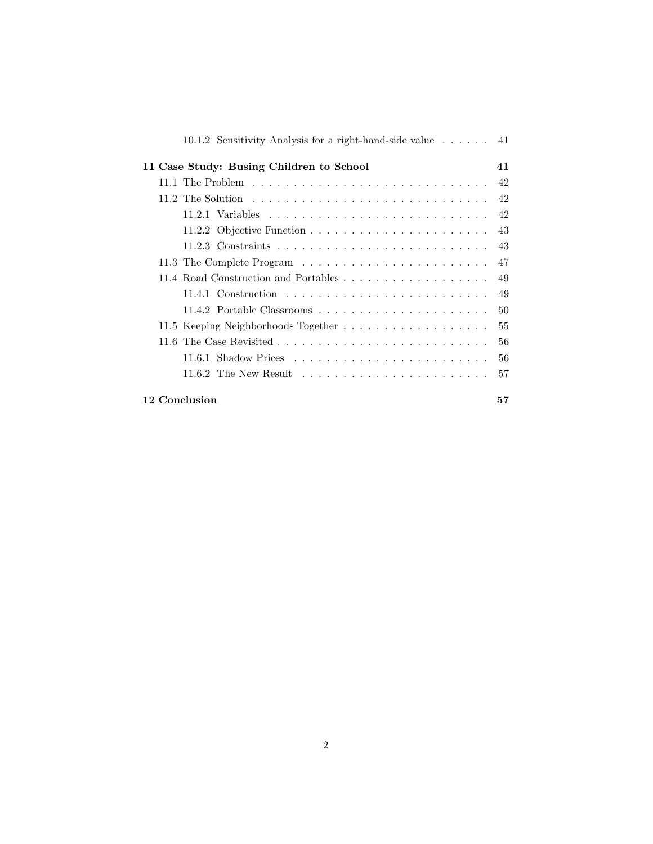| 10.1.2 Sensitivity Analysis for a right-hand-side value  41 |    |
|-------------------------------------------------------------|----|
| 11 Case Study: Busing Children to School                    | 41 |
|                                                             | 42 |
|                                                             |    |
|                                                             |    |
|                                                             | 43 |
|                                                             | 43 |
|                                                             |    |
|                                                             | 49 |
|                                                             | 49 |
|                                                             | 50 |
|                                                             | 55 |
|                                                             | 56 |
|                                                             | 56 |
|                                                             | 57 |
| 12 Conclusion                                               | 57 |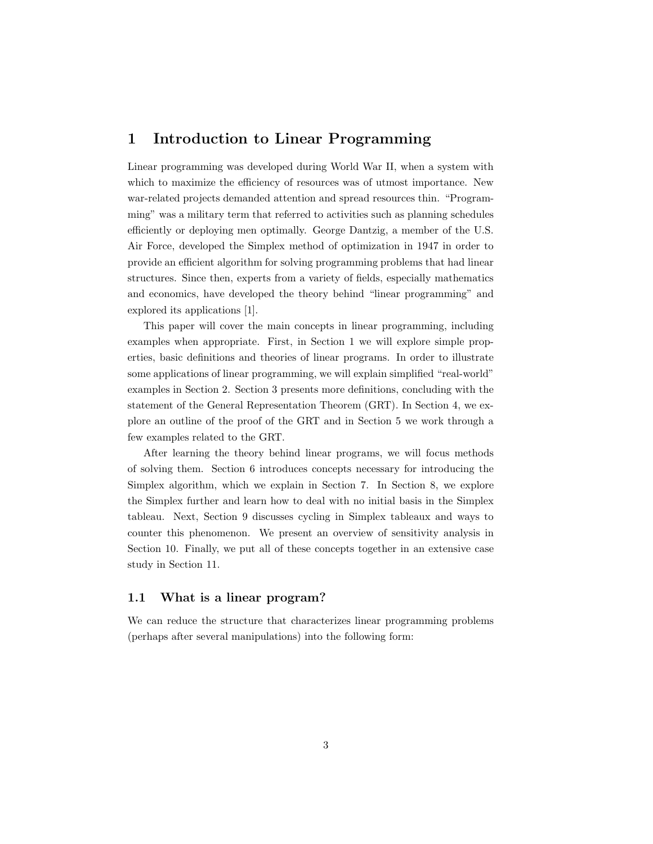## 1 Introduction to Linear Programming

Linear programming was developed during World War II, when a system with which to maximize the efficiency of resources was of utmost importance. New war-related projects demanded attention and spread resources thin. "Programming" was a military term that referred to activities such as planning schedules efficiently or deploying men optimally. George Dantzig, a member of the U.S. Air Force, developed the Simplex method of optimization in 1947 in order to provide an efficient algorithm for solving programming problems that had linear structures. Since then, experts from a variety of fields, especially mathematics and economics, have developed the theory behind "linear programming" and explored its applications [1].

This paper will cover the main concepts in linear programming, including examples when appropriate. First, in Section 1 we will explore simple properties, basic definitions and theories of linear programs. In order to illustrate some applications of linear programming, we will explain simplified "real-world" examples in Section 2. Section 3 presents more definitions, concluding with the statement of the General Representation Theorem (GRT). In Section 4, we explore an outline of the proof of the GRT and in Section 5 we work through a few examples related to the GRT.

After learning the theory behind linear programs, we will focus methods of solving them. Section 6 introduces concepts necessary for introducing the Simplex algorithm, which we explain in Section 7. In Section 8, we explore the Simplex further and learn how to deal with no initial basis in the Simplex tableau. Next, Section 9 discusses cycling in Simplex tableaux and ways to counter this phenomenon. We present an overview of sensitivity analysis in Section 10. Finally, we put all of these concepts together in an extensive case study in Section 11.

#### 1.1 What is a linear program?

We can reduce the structure that characterizes linear programming problems (perhaps after several manipulations) into the following form: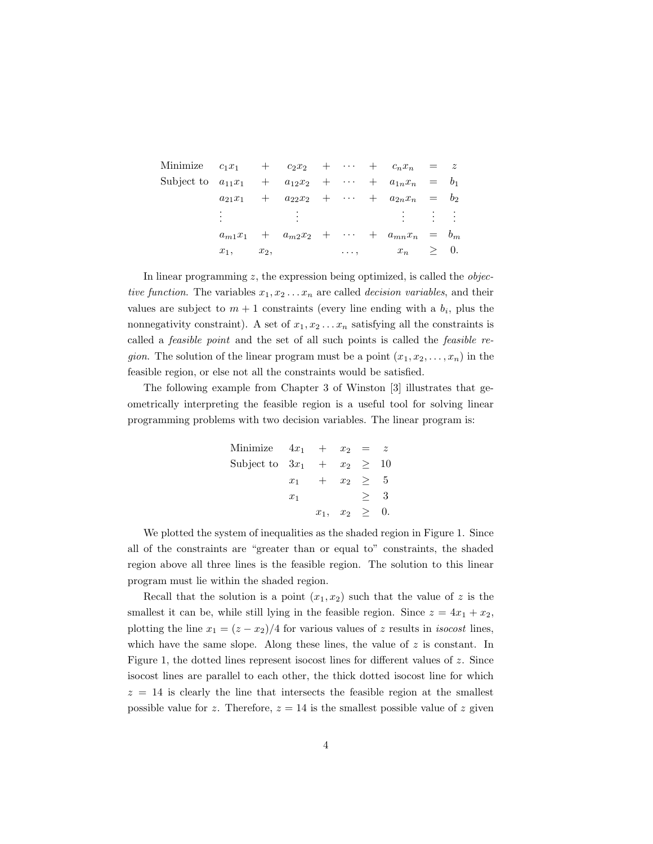| Minimize $c_1x_1 + c_2x_2 + \cdots + c_nx_n = z$              |                    |  |  |                                                    |  |
|---------------------------------------------------------------|--------------------|--|--|----------------------------------------------------|--|
| Subject to $a_{11}x_1 + a_{12}x_2 + \cdots + a_{1n}x_n = b_1$ |                    |  |  |                                                    |  |
|                                                               |                    |  |  | $a_{21}x_1 + a_{22}x_2 + \cdots + a_{2n}x_n = b_2$ |  |
|                                                               |                    |  |  | 的复数形式 医心包 医心包 医心脏性的 医心脏                            |  |
|                                                               |                    |  |  | $a_{m1}x_1 + a_{m2}x_2 + \cdots + a_{mn}x_n = b_m$ |  |
|                                                               | $x_1, \qquad x_2,$ |  |  | $\ldots, \qquad x_n \qquad \geq \quad 0.$          |  |

In linear programming  $z$ , the expression being optimized, is called the *objec*tive function. The variables  $x_1, x_2 \ldots x_n$  are called *decision variables*, and their values are subject to  $m+1$  constraints (every line ending with a  $b_i$ , plus the nonnegativity constraint). A set of  $x_1, x_2 \ldots x_n$  satisfying all the constraints is called a feasible point and the set of all such points is called the feasible re*gion*. The solution of the linear program must be a point  $(x_1, x_2, \ldots, x_n)$  in the feasible region, or else not all the constraints would be satisfied.

The following example from Chapter 3 of Winston [3] illustrates that geometrically interpreting the feasible region is a useful tool for solving linear programming problems with two decision variables. The linear program is:

| Minimize $4x_1 + x_2 =$        |       |               |              |                |  |
|--------------------------------|-------|---------------|--------------|----------------|--|
| Subject to $3x_1 + x_2 \ge 10$ |       |               |              |                |  |
|                                |       | $x_1 + x_2 >$ |              | $\mathfrak{h}$ |  |
|                                | $x_1$ |               |              | 3              |  |
|                                |       |               | $x_1, x_2 >$ |                |  |

We plotted the system of inequalities as the shaded region in Figure 1. Since all of the constraints are "greater than or equal to" constraints, the shaded region above all three lines is the feasible region. The solution to this linear program must lie within the shaded region.

Recall that the solution is a point  $(x_1, x_2)$  such that the value of z is the smallest it can be, while still lying in the feasible region. Since  $z = 4x_1 + x_2$ , plotting the line  $x_1 = (z - x_2)/4$  for various values of z results in *isocost* lines, which have the same slope. Along these lines, the value of  $z$  is constant. In Figure 1, the dotted lines represent isocost lines for different values of  $z$ . Since isocost lines are parallel to each other, the thick dotted isocost line for which  $z = 14$  is clearly the line that intersects the feasible region at the smallest possible value for z. Therefore,  $z = 14$  is the smallest possible value of z given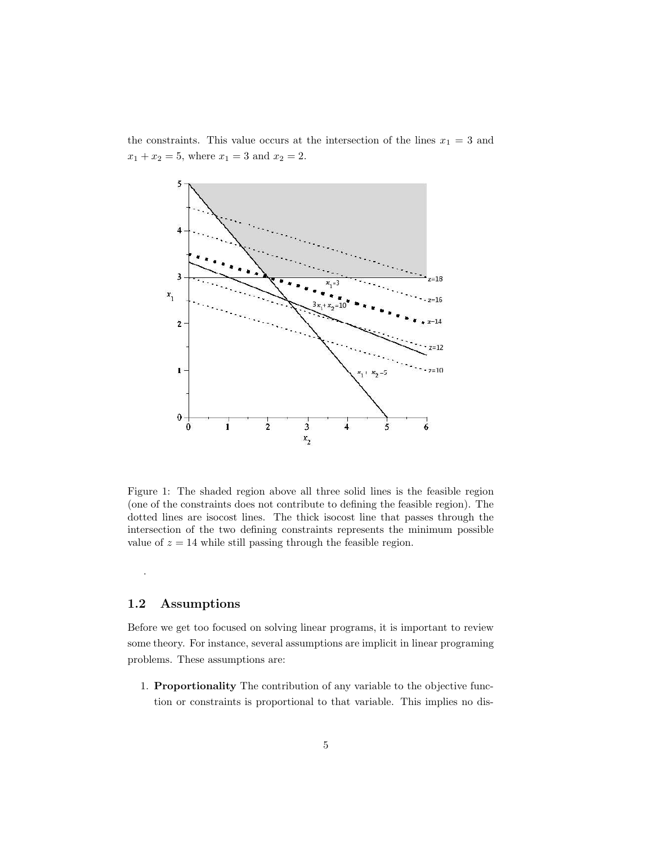the constraints. This value occurs at the intersection of the lines  $x_1 = 3$  and  $x_1 + x_2 = 5$ , where  $x_1 = 3$  and  $x_2 = 2$ .



Figure 1: The shaded region above all three solid lines is the feasible region (one of the constraints does not contribute to defining the feasible region). The dotted lines are isocost lines. The thick isocost line that passes through the intersection of the two defining constraints represents the minimum possible value of  $z = 14$  while still passing through the feasible region.

#### 1.2 Assumptions

.

Before we get too focused on solving linear programs, it is important to review some theory. For instance, several assumptions are implicit in linear programing problems. These assumptions are:

1. Proportionality The contribution of any variable to the objective function or constraints is proportional to that variable. This implies no dis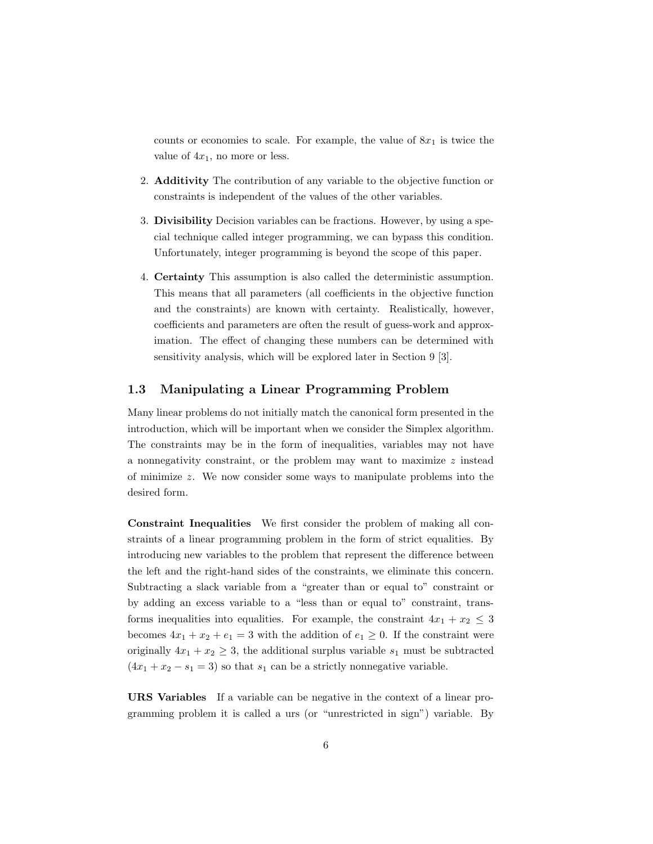counts or economies to scale. For example, the value of  $8x_1$  is twice the value of  $4x_1$ , no more or less.

- 2. Additivity The contribution of any variable to the objective function or constraints is independent of the values of the other variables.
- 3. Divisibility Decision variables can be fractions. However, by using a special technique called integer programming, we can bypass this condition. Unfortunately, integer programming is beyond the scope of this paper.
- 4. Certainty This assumption is also called the deterministic assumption. This means that all parameters (all coefficients in the objective function and the constraints) are known with certainty. Realistically, however, coefficients and parameters are often the result of guess-work and approximation. The effect of changing these numbers can be determined with sensitivity analysis, which will be explored later in Section 9 [3].

#### 1.3 Manipulating a Linear Programming Problem

Many linear problems do not initially match the canonical form presented in the introduction, which will be important when we consider the Simplex algorithm. The constraints may be in the form of inequalities, variables may not have a nonnegativity constraint, or the problem may want to maximize  $z$  instead of minimize z. We now consider some ways to manipulate problems into the desired form.

Constraint Inequalities We first consider the problem of making all constraints of a linear programming problem in the form of strict equalities. By introducing new variables to the problem that represent the difference between the left and the right-hand sides of the constraints, we eliminate this concern. Subtracting a slack variable from a "greater than or equal to" constraint or by adding an excess variable to a "less than or equal to" constraint, transforms inequalities into equalities. For example, the constraint  $4x_1 + x_2 \leq 3$ becomes  $4x_1 + x_2 + e_1 = 3$  with the addition of  $e_1 \geq 0$ . If the constraint were originally  $4x_1 + x_2 \geq 3$ , the additional surplus variable  $s_1$  must be subtracted  $(4x_1 + x_2 - s_1 = 3)$  so that  $s_1$  can be a strictly nonnegative variable.

URS Variables If a variable can be negative in the context of a linear programming problem it is called a urs (or "unrestricted in sign") variable. By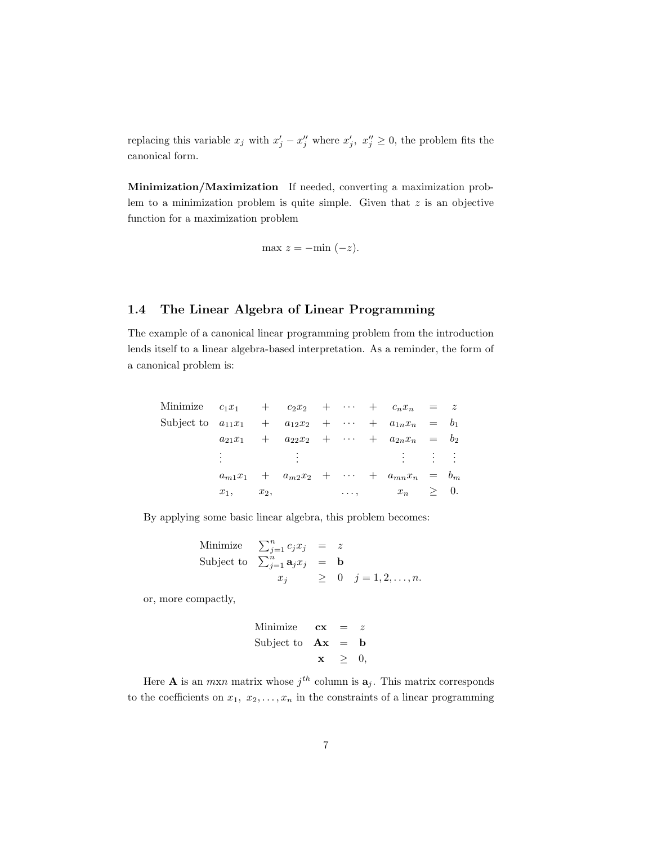replacing this variable  $x_j$  with  $x'_j - x''_j$  where  $x'_j, x''_j \geq 0$ , the problem fits the canonical form.

Minimization/Maximization If needed, converting a maximization problem to a minimization problem is quite simple. Given that  $z$  is an objective function for a maximization problem

max  $z = -\min(-z)$ .

#### 1.4 The Linear Algebra of Linear Programming

The example of a canonical linear programming problem from the introduction lends itself to a linear algebra-based interpretation. As a reminder, the form of a canonical problem is:

| Minimize $c_1x_1$ + $c_2x_2$ + $\cdots$ + $c_nx_n$ = z        |                    |  |  |                                                    |  |
|---------------------------------------------------------------|--------------------|--|--|----------------------------------------------------|--|
| Subject to $a_{11}x_1 + a_{12}x_2 + \cdots + a_{1n}x_n = b_1$ |                    |  |  |                                                    |  |
|                                                               |                    |  |  | $a_{21}x_1 + a_{22}x_2 + \cdots + a_{2n}x_n = b_2$ |  |
|                                                               |                    |  |  | 的复数形式 医心包 医心包 医心包的 医心包                             |  |
|                                                               |                    |  |  | $a_{m1}x_1 + a_{m2}x_2 + \cdots + a_{mn}x_n = b_m$ |  |
|                                                               | $x_1, \qquad x_2,$ |  |  | $\ldots, \qquad x_n \qquad \geq \quad 0.$          |  |

By applying some basic linear algebra, this problem becomes:

Minimize 
$$
\sum_{j=1}^{n} c_j x_j = z
$$
  
Subject to  $\sum_{j=1}^{n} \mathbf{a}_j x_j = \mathbf{b}$   
 $x_j \geq 0 \quad j = 1, 2, ..., n.$ 

or, more compactly,

Minimize 
$$
\mathbf{cx} = z
$$
  
Subject to  $\mathbf{Ax} = \mathbf{b}$   
 $\mathbf{x} \geq 0$ ,

Here **A** is an *mxn* matrix whose  $j^{th}$  column is  $a_j$ . This matrix corresponds to the coefficients on  $x_1, x_2, \ldots, x_n$  in the constraints of a linear programming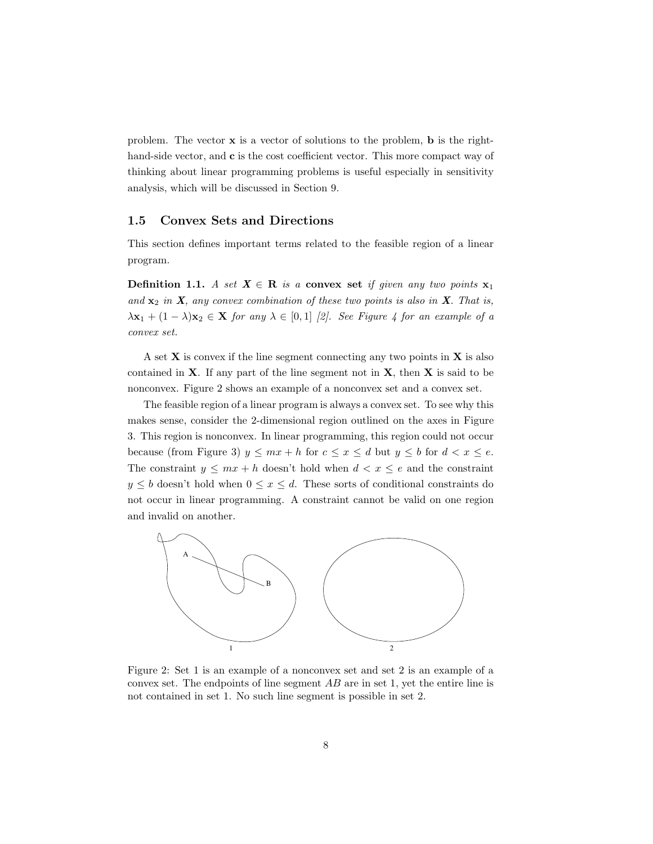problem. The vector  $x$  is a vector of solutions to the problem,  $\bf{b}$  is the righthand-side vector, and **c** is the cost coefficient vector. This more compact way of thinking about linear programming problems is useful especially in sensitivity analysis, which will be discussed in Section 9.

#### 1.5 Convex Sets and Directions

This section defines important terms related to the feasible region of a linear program.

Definition 1.1. A set  $X \in \mathbb{R}$  is a convex set if given any two points  $x_1$ and  $x_2$  in X, any convex combination of these two points is also in X. That is,  $\lambda \mathbf{x}_1 + (1 - \lambda)\mathbf{x}_2 \in \mathbf{X}$  for any  $\lambda \in [0, 1]$  [2]. See Figure 4 for an example of a convex set.

A set  $X$  is convex if the line segment connecting any two points in  $X$  is also contained in  $X$ . If any part of the line segment not in  $X$ , then  $X$  is said to be nonconvex. Figure 2 shows an example of a nonconvex set and a convex set.

The feasible region of a linear program is always a convex set. To see why this makes sense, consider the 2-dimensional region outlined on the axes in Figure 3. This region is nonconvex. In linear programming, this region could not occur because (from Figure 3)  $y \le mx + h$  for  $c \le x \le d$  but  $y \le b$  for  $d < x \le e$ . The constraint  $y \leq mx + h$  doesn't hold when  $d < x \leq e$  and the constraint  $y \leq b$  doesn't hold when  $0 \leq x \leq d$ . These sorts of conditional constraints do not occur in linear programming. A constraint cannot be valid on one region and invalid on another.



Figure 2: Set 1 is an example of a nonconvex set and set 2 is an example of a convex set. The endpoints of line segment AB are in set 1, yet the entire line is not contained in set 1. No such line segment is possible in set 2.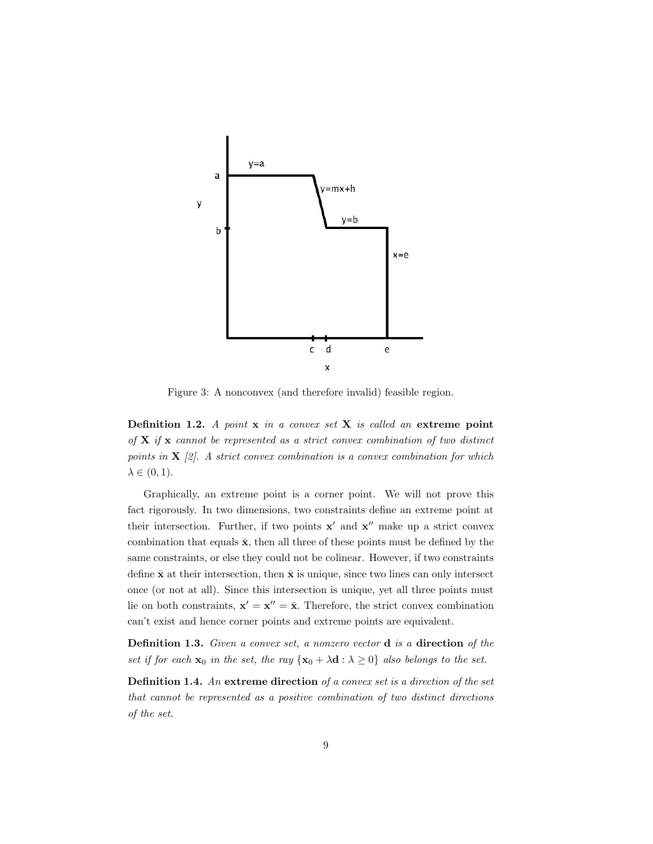

Figure 3: A nonconvex (and therefore invalid) feasible region.

**Definition 1.2.** A point  $x$  in a convex set  $X$  is called an extreme point of  $X$  if  $x$  cannot be represented as a strict convex combination of two distinct points in  $X$  [2]. A strict convex combination is a convex combination for which  $\lambda \in (0,1)$ .

Graphically, an extreme point is a corner point. We will not prove this fact rigorously. In two dimensions, two constraints define an extreme point at their intersection. Further, if two points  $x'$  and  $x''$  make up a strict convex combination that equals  $\bar{\mathbf{x}}$ , then all three of these points must be defined by the same constraints, or else they could not be colinear. However, if two constraints define  $\bar{x}$  at their intersection, then  $\bar{x}$  is unique, since two lines can only intersect once (or not at all). Since this intersection is unique, yet all three points must lie on both constraints,  $\mathbf{x}' = \mathbf{x}'' = \bar{\mathbf{x}}$ . Therefore, the strict convex combination can't exist and hence corner points and extreme points are equivalent.

Definition 1.3. Given a convex set, a nonzero vector d is a direction of the set if for each  $\mathbf{x}_0$  in the set, the ray  $\{\mathbf{x}_0 + \lambda \mathbf{d} : \lambda \geq 0\}$  also belongs to the set.

Definition 1.4. An extreme direction of a convex set is a direction of the set that cannot be represented as a positive combination of two distinct directions of the set.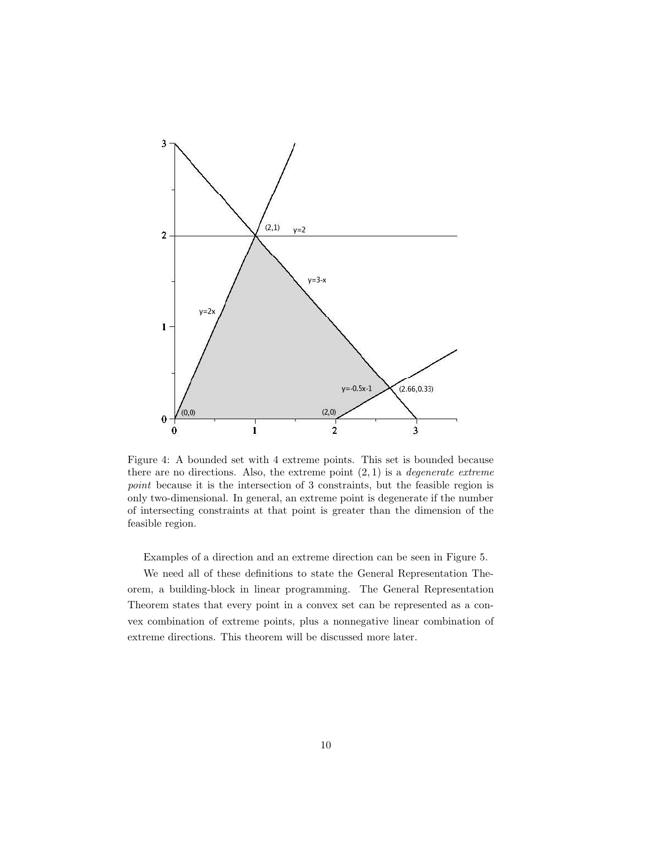

Figure 4: A bounded set with 4 extreme points. This set is bounded because there are no directions. Also, the extreme point  $(2, 1)$  is a *degenerate extreme* point because it is the intersection of 3 constraints, but the feasible region is only two-dimensional. In general, an extreme point is degenerate if the number of intersecting constraints at that point is greater than the dimension of the feasible region.

Examples of a direction and an extreme direction can be seen in Figure 5.

We need all of these definitions to state the General Representation Theorem, a building-block in linear programming. The General Representation Theorem states that every point in a convex set can be represented as a convex combination of extreme points, plus a nonnegative linear combination of extreme directions. This theorem will be discussed more later.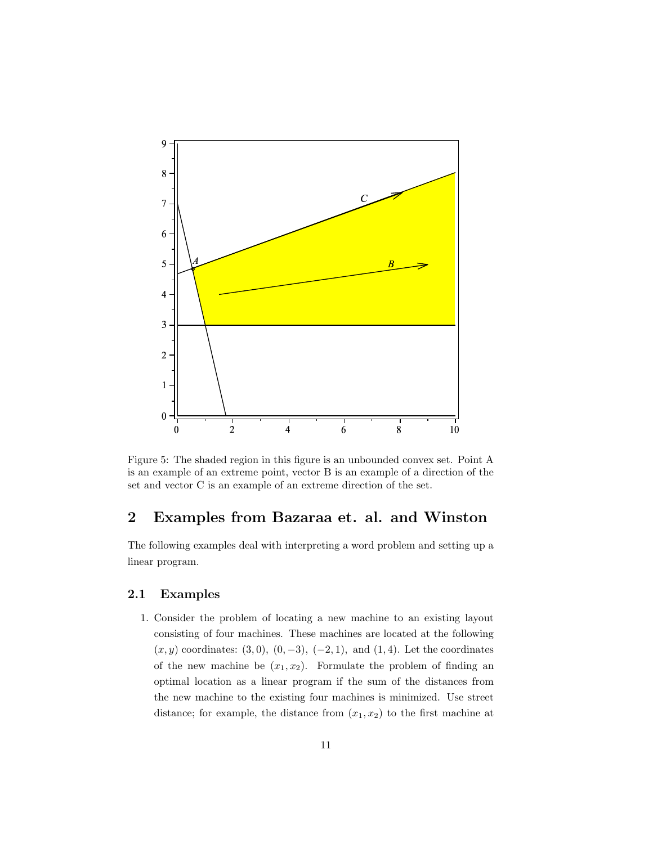

Figure 5: The shaded region in this figure is an unbounded convex set. Point A is an example of an extreme point, vector B is an example of a direction of the set and vector C is an example of an extreme direction of the set.

## 2 Examples from Bazaraa et. al. and Winston

The following examples deal with interpreting a word problem and setting up a linear program.

#### 2.1 Examples

1. Consider the problem of locating a new machine to an existing layout consisting of four machines. These machines are located at the following  $(x, y)$  coordinates:  $(3, 0), (0, -3), (-2, 1),$  and  $(1, 4)$ . Let the coordinates of the new machine be  $(x_1, x_2)$ . Formulate the problem of finding an optimal location as a linear program if the sum of the distances from the new machine to the existing four machines is minimized. Use street distance; for example, the distance from  $(x_1, x_2)$  to the first machine at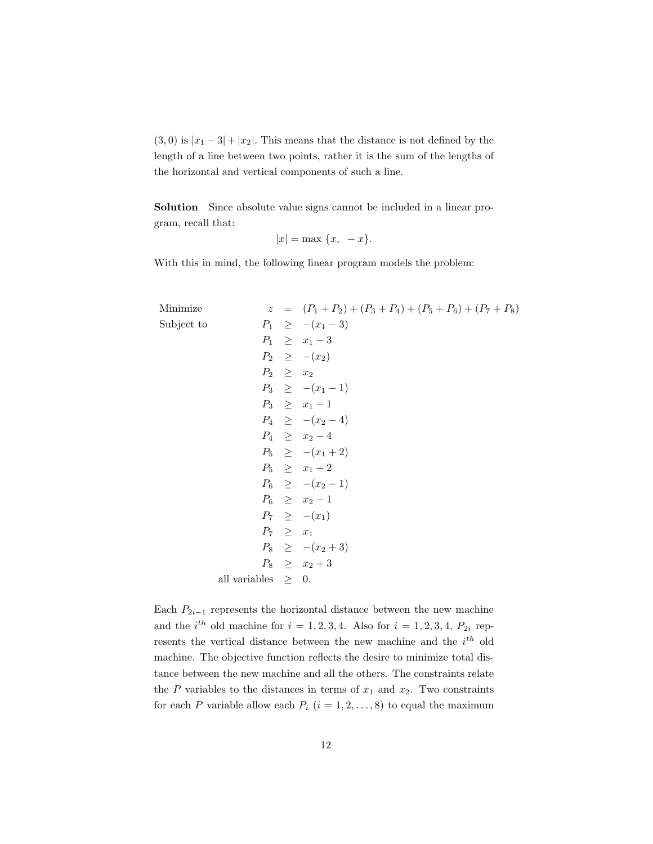$(3,0)$  is  $|x_1-3|+|x_2|$ . This means that the distance is not defined by the length of a line between two points, rather it is the sum of the lengths of the horizontal and vertical components of such a line.

Solution Since absolute value signs cannot be included in a linear program, recall that:

$$
|x| = \max\{x, -x\}.
$$

With this in mind, the following linear program models the problem:

| Minimize   |                          | $z = (P_1 + P_2) + (P_3 + P_4) + (P_5 + P_6) + (P_7 + P_8)$ |
|------------|--------------------------|-------------------------------------------------------------|
| Subject to |                          | $P_1 \geq -(x_1-3)$                                         |
|            |                          | $P_1 \geq x_1 - 3$                                          |
|            |                          | $P_2 \geq -(x_2)$                                           |
|            | $P_2 \geq x_2$           |                                                             |
|            |                          | $P_3 \geq -(x_1-1)$                                         |
|            |                          | $P_3 \geq x_1 - 1$                                          |
|            |                          | $P_4 \geq -(x_2-4)$                                         |
|            |                          | $P_4 \geq x_2-4$                                            |
|            |                          | $P_5 \geq -(x_1+2)$                                         |
|            |                          | $P_5 \geq x_1 + 2$                                          |
|            |                          | $P_6 \geq -(x_2-1)$                                         |
|            |                          | $P_6 > x_2 - 1$                                             |
|            |                          | $P_7 \geq -(x_1)$                                           |
|            | $P_7 \geq x_1$           |                                                             |
|            |                          | $P_8 \geq -(x_2+3)$                                         |
|            |                          | $P_8 > x_2 + 3$                                             |
|            | all variables $\geq 0$ . |                                                             |

Each  $P_{2i-1}$  represents the horizontal distance between the new machine and the  $i^{th}$  old machine for  $i = 1, 2, 3, 4$ . Also for  $i = 1, 2, 3, 4, P_{2i}$  represents the vertical distance between the new machine and the  $i^{th}$  old machine. The objective function reflects the desire to minimize total distance between the new machine and all the others. The constraints relate the P variables to the distances in terms of  $x_1$  and  $x_2$ . Two constraints for each P variable allow each  $P_i$   $(i = 1, 2, ..., 8)$  to equal the maximum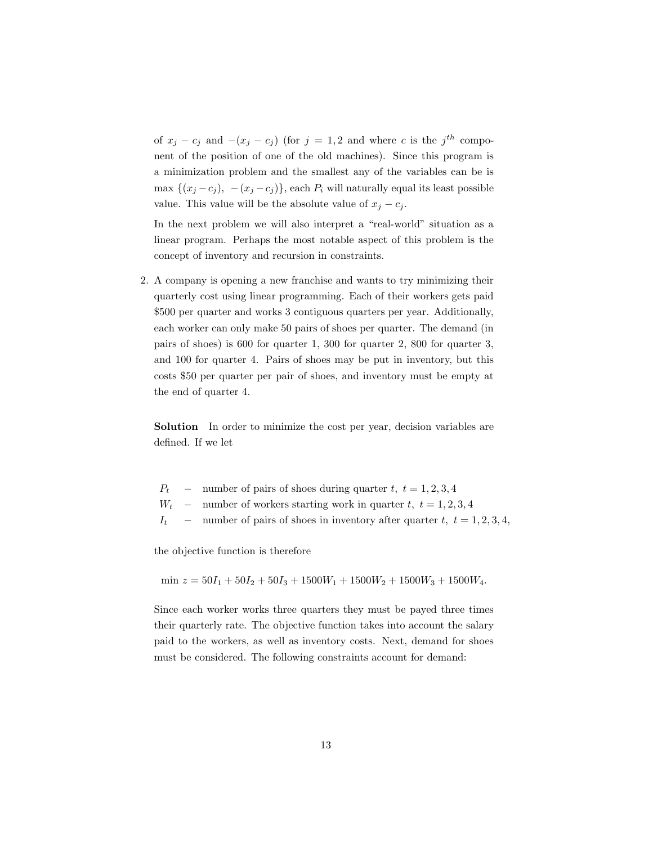of  $x_j - c_j$  and  $-(x_j - c_j)$  (for  $j = 1, 2$  and where c is the  $j<sup>th</sup>$  component of the position of one of the old machines). Since this program is a minimization problem and the smallest any of the variables can be is max  $\{(x_i-c_i), -(x_i-c_i)\}\)$ , each  $P_i$  will naturally equal its least possible value. This value will be the absolute value of  $x_j - c_j$ .

In the next problem we will also interpret a "real-world" situation as a linear program. Perhaps the most notable aspect of this problem is the concept of inventory and recursion in constraints.

2. A company is opening a new franchise and wants to try minimizing their quarterly cost using linear programming. Each of their workers gets paid \$500 per quarter and works 3 contiguous quarters per year. Additionally, each worker can only make 50 pairs of shoes per quarter. The demand (in pairs of shoes) is 600 for quarter 1, 300 for quarter 2, 800 for quarter 3, and 100 for quarter 4. Pairs of shoes may be put in inventory, but this costs \$50 per quarter per pair of shoes, and inventory must be empty at the end of quarter 4.

Solution In order to minimize the cost per year, decision variables are defined. If we let

|  | $P_t$ – number of pairs of shoes during quarter t, $t = 1, 2, 3, 4$               |
|--|-----------------------------------------------------------------------------------|
|  | $W_t$ – number of workers starting work in quarter t, $t = 1, 2, 3, 4$            |
|  | $I_t$ – number of pairs of shoes in inventory after quarter t, $t = 1, 2, 3, 4$ , |

the objective function is therefore

$$
\min z = 50I_1 + 50I_2 + 50I_3 + 1500W_1 + 1500W_2 + 1500W_3 + 1500W_4.
$$

Since each worker works three quarters they must be payed three times their quarterly rate. The objective function takes into account the salary paid to the workers, as well as inventory costs. Next, demand for shoes must be considered. The following constraints account for demand: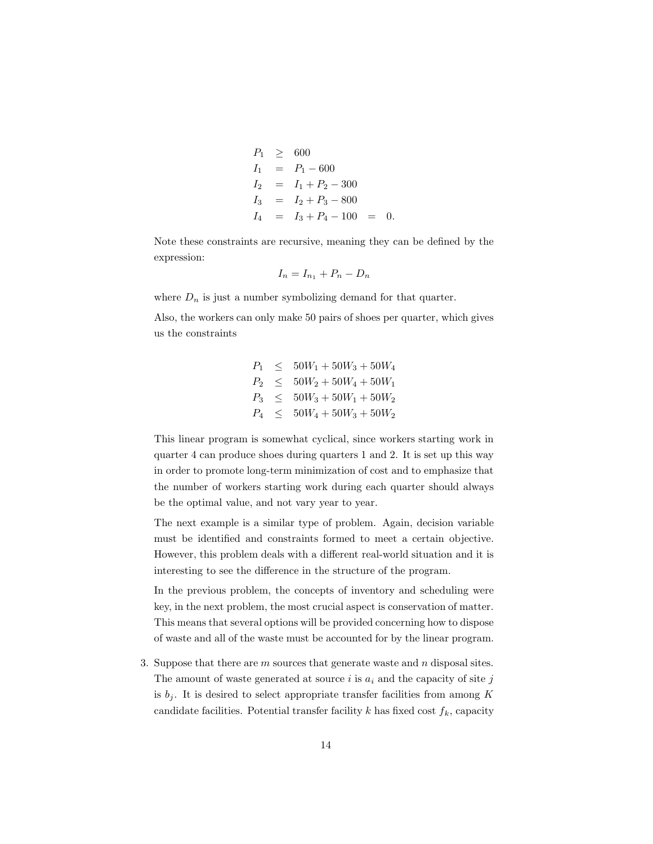$$
P_1 \ge 600
$$
  
\n
$$
I_1 = P_1 - 600
$$
  
\n
$$
I_2 = I_1 + P_2 - 300
$$
  
\n
$$
I_3 = I_2 + P_3 - 800
$$
  
\n
$$
I_4 = I_3 + P_4 - 100 = 0.
$$

Note these constraints are recursive, meaning they can be defined by the expression:

$$
I_n = I_{n_1} + P_n - D_n
$$

where  $D_n$  is just a number symbolizing demand for that quarter.

Also, the workers can only make 50 pairs of shoes per quarter, which gives us the constraints

|  | $P_1 \leq 50W_1 + 50W_3 + 50W_4$ |
|--|----------------------------------|
|  | $P_2 \leq 50W_2 + 50W_4 + 50W_1$ |
|  | $P_3 \leq 50W_3 + 50W_1 + 50W_2$ |
|  | $P_4 \leq 50W_4 + 50W_3 + 50W_2$ |

This linear program is somewhat cyclical, since workers starting work in quarter 4 can produce shoes during quarters 1 and 2. It is set up this way in order to promote long-term minimization of cost and to emphasize that the number of workers starting work during each quarter should always be the optimal value, and not vary year to year.

The next example is a similar type of problem. Again, decision variable must be identified and constraints formed to meet a certain objective. However, this problem deals with a different real-world situation and it is interesting to see the difference in the structure of the program.

In the previous problem, the concepts of inventory and scheduling were key, in the next problem, the most crucial aspect is conservation of matter. This means that several options will be provided concerning how to dispose of waste and all of the waste must be accounted for by the linear program.

3. Suppose that there are  $m$  sources that generate waste and  $n$  disposal sites. The amount of waste generated at source  $i$  is  $a_i$  and the capacity of site  $j$ is  $b_j$ . It is desired to select appropriate transfer facilities from among K candidate facilities. Potential transfer facility k has fixed cost  $f_k$ , capacity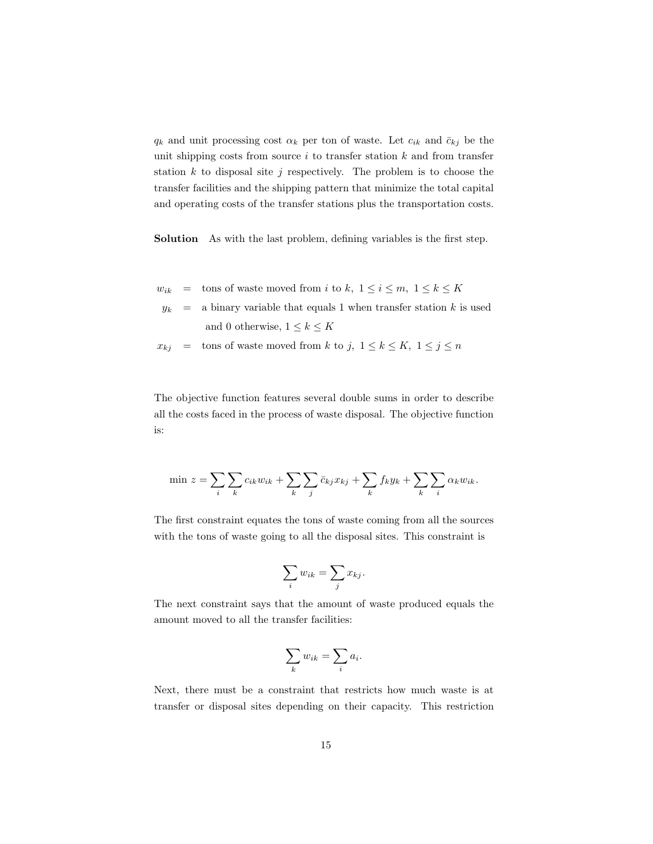$q_k$  and unit processing cost  $\alpha_k$  per ton of waste. Let  $c_{ik}$  and  $\bar{c}_{kj}$  be the unit shipping costs from source  $i$  to transfer station  $k$  and from transfer station  $k$  to disposal site  $j$  respectively. The problem is to choose the transfer facilities and the shipping pattern that minimize the total capital and operating costs of the transfer stations plus the transportation costs.

Solution As with the last problem, defining variables is the first step.

 $w_{ik}$  = tons of waste moved from i to k,  $1 \le i \le m, 1 \le k \le K$ 

$$
y_k
$$
 = a binary variable that equals 1 when transfer station  $k$  is used and 0 otherwise,  $1 \leq k \leq K$ 

 $x_{kj}$  = tons of waste moved from k to j,  $1 \le k \le K$ ,  $1 \le j \le n$ 

The objective function features several double sums in order to describe all the costs faced in the process of waste disposal. The objective function is:

$$
\min z = \sum_{i} \sum_{k} c_{ik} w_{ik} + \sum_{k} \sum_{j} \bar{c}_{kj} x_{kj} + \sum_{k} f_k y_k + \sum_{k} \sum_{i} \alpha_k w_{ik}.
$$

The first constraint equates the tons of waste coming from all the sources with the tons of waste going to all the disposal sites. This constraint is

$$
\sum_i w_{ik} = \sum_j x_{kj}.
$$

The next constraint says that the amount of waste produced equals the amount moved to all the transfer facilities:

$$
\sum_k w_{ik} = \sum_i a_i.
$$

Next, there must be a constraint that restricts how much waste is at transfer or disposal sites depending on their capacity. This restriction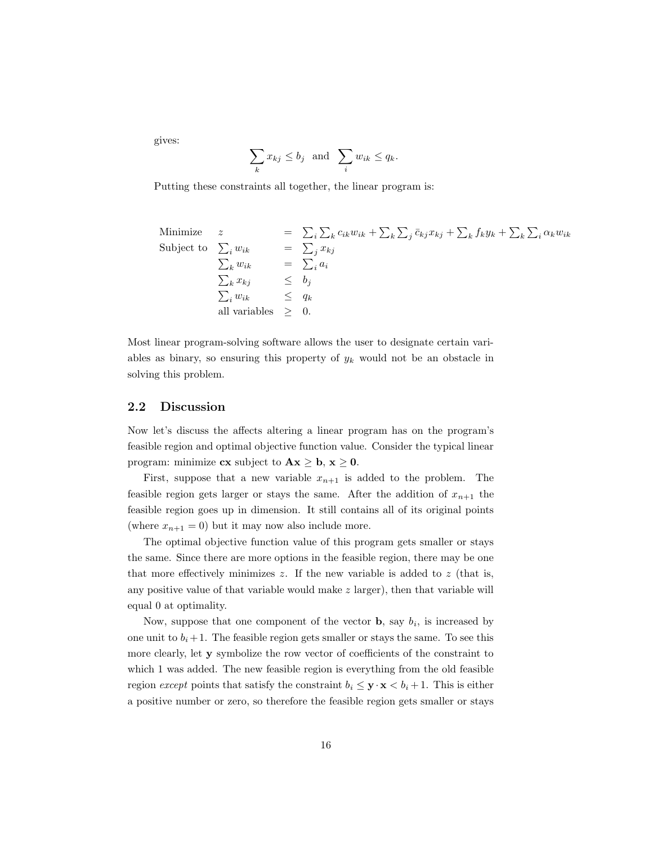gives:

$$
\sum_{k} x_{kj} \le b_j \text{ and } \sum_{i} w_{ik} \le q_k.
$$

Putting these constraints all together, the linear program is:

Minimize 
$$
z = \sum_i \sum_k c_{ik} w_{ik} + \sum_k \sum_j \bar{c}_{kj} x_{kj} + \sum_k f_k y_k + \sum_k \sum_i \alpha_k w_{ik}
$$
  
\nSubject to  $\sum_i w_{ik} = \sum_j x_{kj}$   
\n $\sum_k w_{ik} = \sum_i a_i$   
\n $\sum_k x_{kj} \leq b_j$   
\n $\sum_i w_{ik} \leq q_k$   
\nall variables  $\geq 0$ .

Most linear program-solving software allows the user to designate certain variables as binary, so ensuring this property of  $y_k$  would not be an obstacle in solving this problem.

#### 2.2 Discussion

Now let's discuss the affects altering a linear program has on the program's feasible region and optimal objective function value. Consider the typical linear program: minimize  $cx$  subject to  $Ax \geq b$ ,  $x \geq 0$ .

First, suppose that a new variable  $x_{n+1}$  is added to the problem. The feasible region gets larger or stays the same. After the addition of  $x_{n+1}$  the feasible region goes up in dimension. It still contains all of its original points (where  $x_{n+1} = 0$ ) but it may now also include more.

The optimal objective function value of this program gets smaller or stays the same. Since there are more options in the feasible region, there may be one that more effectively minimizes  $z$ . If the new variable is added to  $z$  (that is, any positive value of that variable would make z larger), then that variable will equal 0 at optimality.

Now, suppose that one component of the vector **b**, say  $b_i$ , is increased by one unit to  $b_i + 1$ . The feasible region gets smaller or stays the same. To see this more clearly, let y symbolize the row vector of coefficients of the constraint to which 1 was added. The new feasible region is everything from the old feasible region except points that satisfy the constraint  $b_i \leq \mathbf{y} \cdot \mathbf{x} < b_i + 1$ . This is either a positive number or zero, so therefore the feasible region gets smaller or stays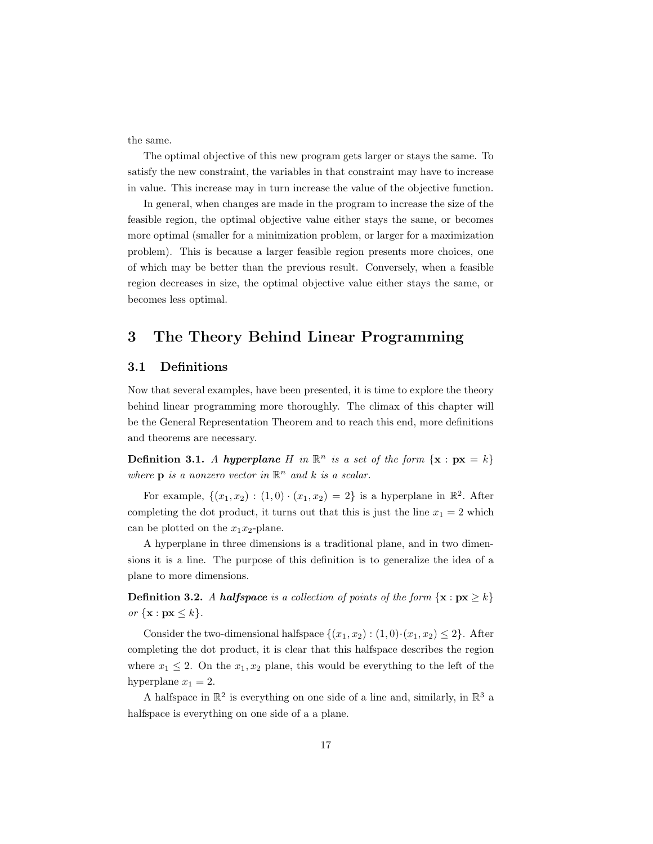the same.

The optimal objective of this new program gets larger or stays the same. To satisfy the new constraint, the variables in that constraint may have to increase in value. This increase may in turn increase the value of the objective function.

In general, when changes are made in the program to increase the size of the feasible region, the optimal objective value either stays the same, or becomes more optimal (smaller for a minimization problem, or larger for a maximization problem). This is because a larger feasible region presents more choices, one of which may be better than the previous result. Conversely, when a feasible region decreases in size, the optimal objective value either stays the same, or becomes less optimal.

## 3 The Theory Behind Linear Programming

#### 3.1 Definitions

Now that several examples, have been presented, it is time to explore the theory behind linear programming more thoroughly. The climax of this chapter will be the General Representation Theorem and to reach this end, more definitions and theorems are necessary.

**Definition 3.1.** A hyperplane H in  $\mathbb{R}^n$  is a set of the form  $\{x : px = k\}$ where **p** is a nonzero vector in  $\mathbb{R}^n$  and k is a scalar.

For example,  $\{(x_1, x_2) : (1,0) \cdot (x_1, x_2) = 2\}$  is a hyperplane in  $\mathbb{R}^2$ . After completing the dot product, it turns out that this is just the line  $x_1 = 2$  which can be plotted on the  $x_1x_2$ -plane.

A hyperplane in three dimensions is a traditional plane, and in two dimensions it is a line. The purpose of this definition is to generalize the idea of a plane to more dimensions.

**Definition 3.2.** A halfspace is a collection of points of the form  $\{x : px \geq k\}$ or  $\{x : px \leq k\}.$ 

Consider the two-dimensional halfspace  $\{(x_1, x_2) : (1, 0) \cdot (x_1, x_2) \leq 2\}$ . After completing the dot product, it is clear that this halfspace describes the region where  $x_1 \leq 2$ . On the  $x_1, x_2$  plane, this would be everything to the left of the hyperplane  $x_1 = 2$ .

A halfspace in  $\mathbb{R}^2$  is everything on one side of a line and, similarly, in  $\mathbb{R}^3$  a halfspace is everything on one side of a a plane.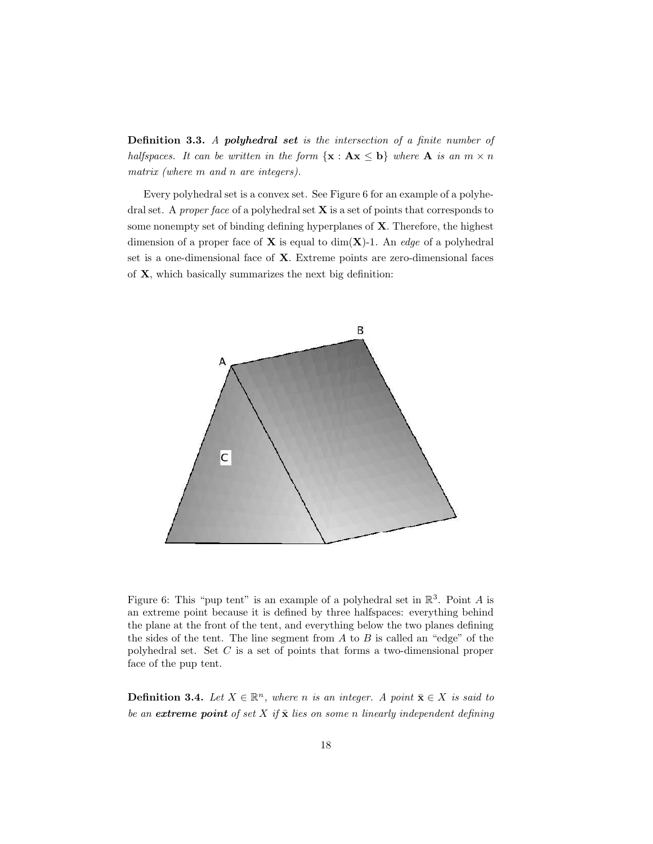Definition 3.3. A polyhedral set is the intersection of a finite number of halfspaces. It can be written in the form  $\{x : Ax \leq b\}$  where A is an  $m \times n$ matrix (where m and n are integers).

Every polyhedral set is a convex set. See Figure 6 for an example of a polyhedral set. A *proper face* of a polyhedral set  $X$  is a set of points that corresponds to some nonempty set of binding defining hyperplanes of X. Therefore, the highest dimension of a proper face of **X** is equal to dim(**X**)-1. An edge of a polyhedral set is a one-dimensional face of X. Extreme points are zero-dimensional faces of X, which basically summarizes the next big definition:



Figure 6: This "pup tent" is an example of a polyhedral set in  $\mathbb{R}^3$ . Point A is an extreme point because it is defined by three halfspaces: everything behind the plane at the front of the tent, and everything below the two planes defining the sides of the tent. The line segment from  $A$  to  $B$  is called an "edge" of the polyhedral set. Set C is a set of points that forms a two-dimensional proper face of the pup tent.

**Definition 3.4.** Let  $X \in \mathbb{R}^n$ , where n is an integer. A point  $\bar{\mathbf{x}} \in X$  is said to be an extreme point of set X if  $\bar{x}$  lies on some n linearly independent defining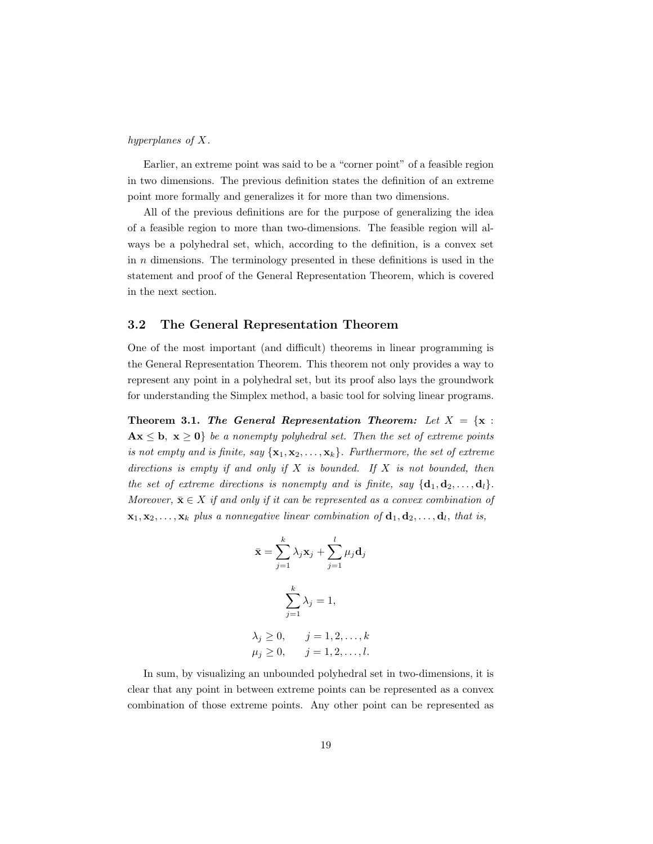#### hyperplanes of X.

Earlier, an extreme point was said to be a "corner point" of a feasible region in two dimensions. The previous definition states the definition of an extreme point more formally and generalizes it for more than two dimensions.

All of the previous definitions are for the purpose of generalizing the idea of a feasible region to more than two-dimensions. The feasible region will always be a polyhedral set, which, according to the definition, is a convex set in  $n$  dimensions. The terminology presented in these definitions is used in the statement and proof of the General Representation Theorem, which is covered in the next section.

#### 3.2 The General Representation Theorem

One of the most important (and difficult) theorems in linear programming is the General Representation Theorem. This theorem not only provides a way to represent any point in a polyhedral set, but its proof also lays the groundwork for understanding the Simplex method, a basic tool for solving linear programs.

Theorem 3.1. The General Representation Theorem: Let  $X = \{x :$  $Ax \leq b, x \geq 0$  be a nonempty polyhedral set. Then the set of extreme points is not empty and is finite, say  $\{x_1, x_2, \ldots, x_k\}$ . Furthermore, the set of extreme directions is empty if and only if  $X$  is bounded. If  $X$  is not bounded, then the set of extreme directions is nonempty and is finite, say  $\{d_1, d_2, \ldots, d_l\}$ . Moreover,  $\bar{\mathbf{x}} \in X$  if and only if it can be represented as a convex combination of  ${\bf x}_1, {\bf x}_2, \ldots, {\bf x}_k$  plus a nonnegative linear combination of  ${\bf d}_1, {\bf d}_2, \ldots, {\bf d}_l$ , that is,

$$
\bar{\mathbf{x}} = \sum_{j=1}^{k} \lambda_j \mathbf{x}_j + \sum_{j=1}^{l} \mu_j \mathbf{d}_j
$$

$$
\sum_{j=1}^{k} \lambda_j = 1,
$$

$$
\lambda_j \ge 0, \qquad j = 1, 2, \dots, k
$$

$$
\mu_j \ge 0, \qquad j = 1, 2, \dots, l.
$$

In sum, by visualizing an unbounded polyhedral set in two-dimensions, it is clear that any point in between extreme points can be represented as a convex combination of those extreme points. Any other point can be represented as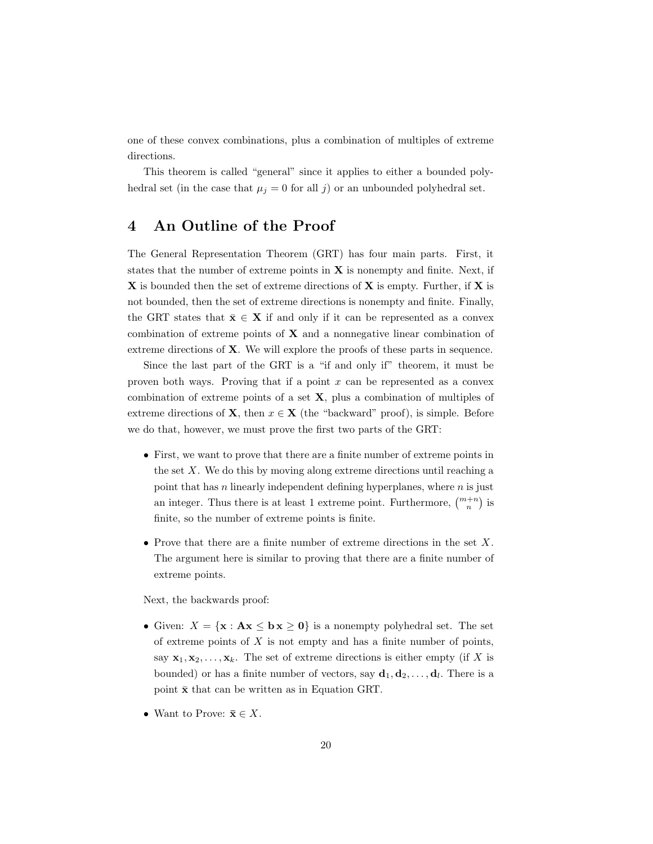one of these convex combinations, plus a combination of multiples of extreme directions.

This theorem is called "general" since it applies to either a bounded polyhedral set (in the case that  $\mu_j = 0$  for all j) or an unbounded polyhedral set.

## 4 An Outline of the Proof

The General Representation Theorem (GRT) has four main parts. First, it states that the number of extreme points in  $X$  is nonempty and finite. Next, if  $X$  is bounded then the set of extreme directions of  $X$  is empty. Further, if  $X$  is not bounded, then the set of extreme directions is nonempty and finite. Finally, the GRT states that  $\bar{\mathbf{x}} \in \mathbf{X}$  if and only if it can be represented as a convex combination of extreme points of  $X$  and a nonnegative linear combination of extreme directions of X. We will explore the proofs of these parts in sequence.

Since the last part of the GRT is a "if and only if" theorem, it must be proven both ways. Proving that if a point  $x$  can be represented as a convex combination of extreme points of a set X, plus a combination of multiples of extreme directions of **X**, then  $x \in \mathbf{X}$  (the "backward" proof), is simple. Before we do that, however, we must prove the first two parts of the GRT:

- First, we want to prove that there are a finite number of extreme points in the set  $X$ . We do this by moving along extreme directions until reaching a point that has  $n$  linearly independent defining hyperplanes, where  $n$  is just an integer. Thus there is at least 1 extreme point. Furthermore,  $\binom{m+n}{n}$  is finite, so the number of extreme points is finite.
- Prove that there are a finite number of extreme directions in the set  $X$ . The argument here is similar to proving that there are a finite number of extreme points.

Next, the backwards proof:

- Given:  $X = \{x : Ax \leq bx \geq 0\}$  is a nonempty polyhedral set. The set of extreme points of  $X$  is not empty and has a finite number of points, say  $x_1, x_2, \ldots, x_k$ . The set of extreme directions is either empty (if X is bounded) or has a finite number of vectors, say  $d_1, d_2, \ldots, d_l$ . There is a point  $\bar{\mathbf{x}}$  that can be written as in Equation GRT.
- Want to Prove:  $\bar{\mathbf{x}} \in X$ .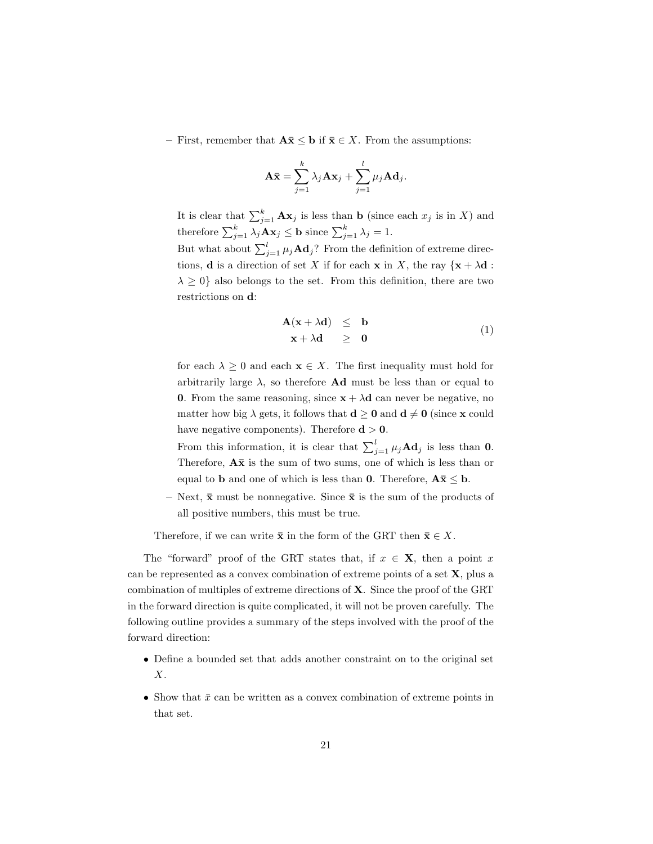– First, remember that  $A\bar{x} \leq b$  if  $\bar{x} \in X$ . From the assumptions:

$$
\mathbf{A}\bar{\mathbf{x}} = \sum_{j=1}^{k} \lambda_j \mathbf{A} \mathbf{x}_j + \sum_{j=1}^{l} \mu_j \mathbf{A} \mathbf{d}_j.
$$

It is clear that  $\sum_{j=1}^{k} \mathbf{A} \mathbf{x}_j$  is less than **b** (since each  $x_j$  is in X) and therefore  $\sum_{j=1}^{k} \lambda_j \mathbf{A} \mathbf{x}_j \leq \mathbf{b}$  since  $\sum_{j=1}^{k} \lambda_j = 1$ .

But what about  $\sum_{j=1}^{l} \mu_j \mathbf{A} \mathbf{d}_j$ ? From the definition of extreme directions, **d** is a direction of set X if for each **x** in X, the ray  $\{x + \lambda d :$  $\lambda \geq 0$  also belongs to the set. From this definition, there are two restrictions on d:

$$
\begin{array}{rcl}\n\mathbf{A}(\mathbf{x} + \lambda \mathbf{d}) & \leq & \mathbf{b} \\
\mathbf{x} + \lambda \mathbf{d} & \geq & \mathbf{0}\n\end{array} \tag{1}
$$

for each  $\lambda \geq 0$  and each  $\mathbf{x} \in X$ . The first inequality must hold for arbitrarily large  $\lambda$ , so therefore **Ad** must be less than or equal to **0.** From the same reasoning, since  $\mathbf{x} + \lambda \mathbf{d}$  can never be negative, no matter how big  $\lambda$  gets, it follows that  $\mathbf{d} \geq \mathbf{0}$  and  $\mathbf{d} \neq \mathbf{0}$  (since x could have negative components). Therefore  $d > 0$ .

From this information, it is clear that  $\sum_{j=1}^{l} \mu_j \mathbf{A} \mathbf{d}_j$  is less than **0**. Therefore,  $A\bar{x}$  is the sum of two sums, one of which is less than or equal to **b** and one of which is less than **0**. Therefore,  $A\bar{x} \leq b$ .

– Next,  $\bar{\mathbf{x}}$  must be nonnegative. Since  $\bar{\mathbf{x}}$  is the sum of the products of all positive numbers, this must be true.

Therefore, if we can write  $\bar{\mathbf{x}}$  in the form of the GRT then  $\bar{\mathbf{x}} \in X$ .

The "forward" proof of the GRT states that, if  $x \in \mathbf{X}$ , then a point x can be represented as a convex combination of extreme points of a set X, plus a combination of multiples of extreme directions of X. Since the proof of the GRT in the forward direction is quite complicated, it will not be proven carefully. The following outline provides a summary of the steps involved with the proof of the forward direction:

- Define a bounded set that adds another constraint on to the original set  $X$ .
- Show that  $\bar{x}$  can be written as a convex combination of extreme points in that set.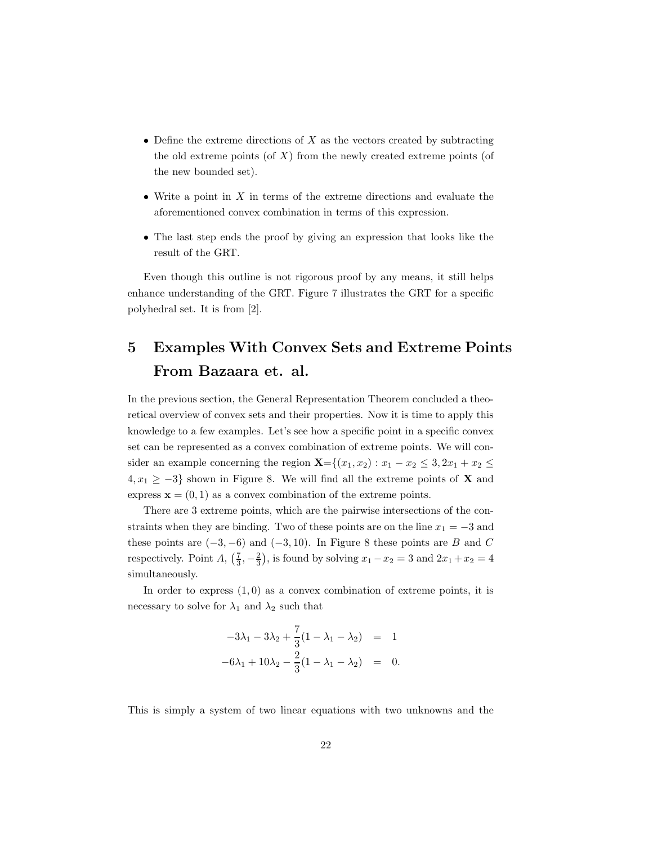- Define the extreme directions of  $X$  as the vectors created by subtracting the old extreme points (of  $X$ ) from the newly created extreme points (of the new bounded set).
- Write a point in  $X$  in terms of the extreme directions and evaluate the aforementioned convex combination in terms of this expression.
- The last step ends the proof by giving an expression that looks like the result of the GRT.

Even though this outline is not rigorous proof by any means, it still helps enhance understanding of the GRT. Figure 7 illustrates the GRT for a specific polyhedral set. It is from [2].

## 5 Examples With Convex Sets and Extreme Points From Bazaara et. al.

In the previous section, the General Representation Theorem concluded a theoretical overview of convex sets and their properties. Now it is time to apply this knowledge to a few examples. Let's see how a specific point in a specific convex set can be represented as a convex combination of extreme points. We will consider an example concerning the region  $\mathbf{X} = \{(x_1, x_2) : x_1 - x_2 \leq 3, 2x_1 + x_2 \leq$  $4, x_1 \geq -3$ } shown in Figure 8. We will find all the extreme points of **X** and express  $\mathbf{x} = (0, 1)$  as a convex combination of the extreme points.

There are 3 extreme points, which are the pairwise intersections of the constraints when they are binding. Two of these points are on the line  $x_1 = -3$  and these points are  $(-3, -6)$  and  $(-3, 10)$ . In Figure 8 these points are B and C respectively. Point  $A, (\frac{7}{3}, -\frac{2}{3})$ , is found by solving  $x_1 - x_2 = 3$  and  $2x_1 + x_2 = 4$ simultaneously.

In order to express  $(1,0)$  as a convex combination of extreme points, it is necessary to solve for  $\lambda_1$  and  $\lambda_2$  such that

$$
-3\lambda_1 - 3\lambda_2 + \frac{7}{3}(1 - \lambda_1 - \lambda_2) = 1
$$
  

$$
-6\lambda_1 + 10\lambda_2 - \frac{2}{3}(1 - \lambda_1 - \lambda_2) = 0.
$$

This is simply a system of two linear equations with two unknowns and the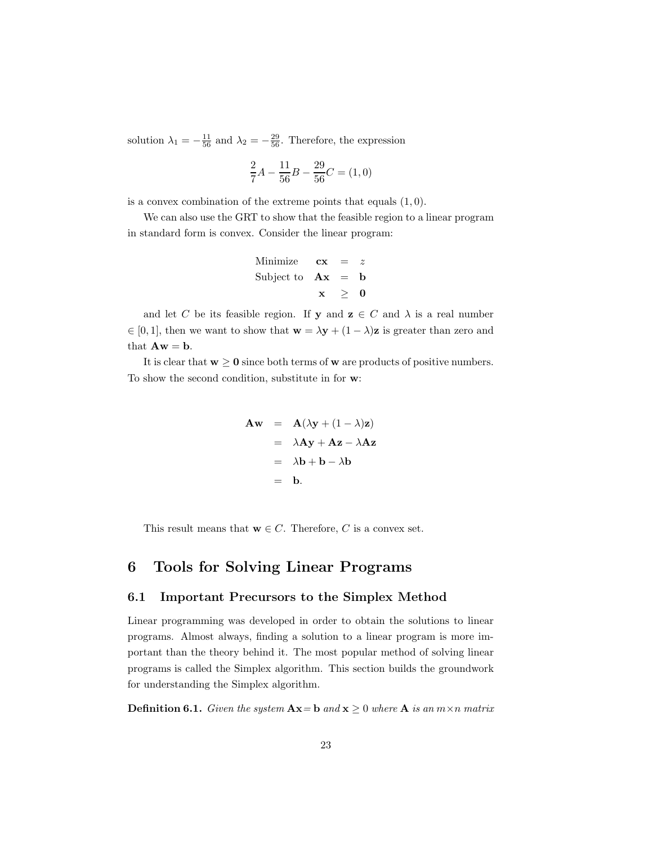solution  $\lambda_1 = -\frac{11}{56}$  and  $\lambda_2 = -\frac{29}{56}$ . Therefore, the expression

$$
\frac{2}{7}A - \frac{11}{56}B - \frac{29}{56}C = (1,0)
$$

is a convex combination of the extreme points that equals  $(1, 0)$ .

We can also use the GRT to show that the feasible region to a linear program in standard form is convex. Consider the linear program:

$$
\begin{array}{ll}\text{Minimize} & \mathbf{cx} & = & z\\ \text{Subject to} & \mathbf{Ax} & = & \mathbf{b}\\ & \mathbf{x} & \geq & \mathbf{0} \end{array}
$$

and let C be its feasible region. If **y** and  $z \in C$  and  $\lambda$  is a real number  $\in [0,1]$ , then we want to show that  $\mathbf{w} = \lambda \mathbf{y} + (1 - \lambda) \mathbf{z}$  is greater than zero and that  $\mathbf{A}\mathbf{w} = \mathbf{b}$ .

It is clear that  $w \ge 0$  since both terms of w are products of positive numbers. To show the second condition, substitute in for w:

$$
\mathbf{A}\mathbf{w} = \mathbf{A}(\lambda \mathbf{y} + (1 - \lambda)\mathbf{z})
$$
  
=  $\lambda \mathbf{A}\mathbf{y} + \mathbf{A}\mathbf{z} - \lambda \mathbf{A}\mathbf{z}$   
=  $\lambda \mathbf{b} + \mathbf{b} - \lambda \mathbf{b}$   
=  $\mathbf{b}$ .

This result means that  $\mathbf{w} \in C$ . Therefore, C is a convex set.

## 6 Tools for Solving Linear Programs

#### 6.1 Important Precursors to the Simplex Method

Linear programming was developed in order to obtain the solutions to linear programs. Almost always, finding a solution to a linear program is more important than the theory behind it. The most popular method of solving linear programs is called the Simplex algorithm. This section builds the groundwork for understanding the Simplex algorithm.

**Definition 6.1.** Given the system  $Ax = b$  and  $x \ge 0$  where A is an  $m \times n$  matrix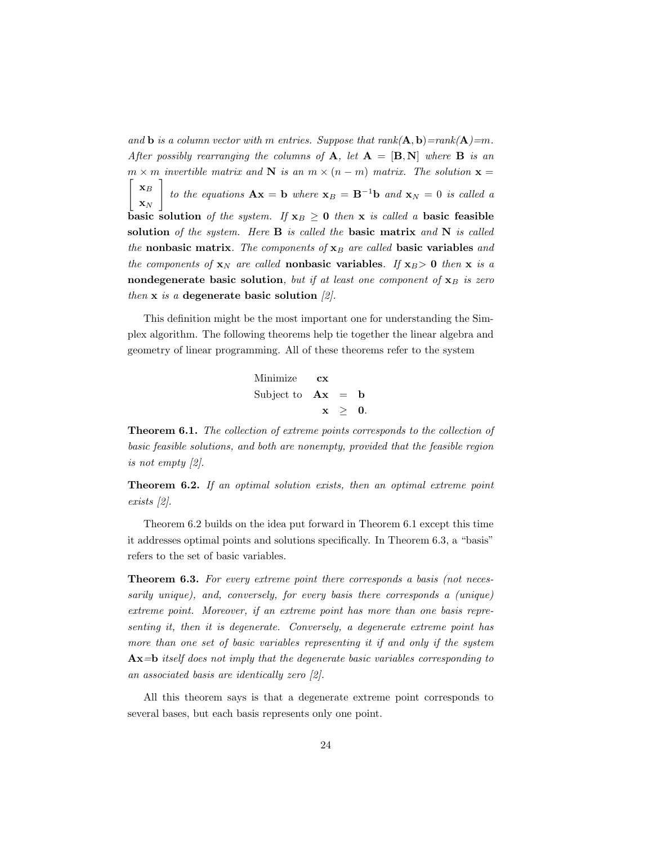and **b** is a column vector with m entries. Suppose that  $rank(A, b) = rank(A) = m$ . After possibly rearranging the columns of A, let  $A = [B, N]$  where B is an  $m \times m$  invertible matrix and N is an  $m \times (n-m)$  matrix. The solution  $\mathbf{x} =$  $\sqrt{ }$  $\mathbf{x}_B$  $\mathbf{x}_N$ 1 to the equations  $\mathbf{A}\mathbf{x} = \mathbf{b}$  where  $\mathbf{x}_B = \mathbf{B}^{-1}\mathbf{b}$  and  $\mathbf{x}_N = 0$  is called a basic solution of the system. If  $x_B \geq 0$  then x is called a basic feasible solution of the system. Here  $B$  is called the basic matrix and  $N$  is called the nonbasic matrix. The components of  $x_B$  are called basic variables and the components of  $x_N$  are called **nonbasic variables**. If  $x_B>0$  then x is a nondegenerate basic solution, but if at least one component of  $x_B$  is zero then x is a degenerate basic solution  $[2]$ .

This definition might be the most important one for understanding the Simplex algorithm. The following theorems help tie together the linear algebra and geometry of linear programming. All of these theorems refer to the system

> Minimize cx Subject to  $A x = b$  $x \geq 0$ .

Theorem 6.1. The collection of extreme points corresponds to the collection of basic feasible solutions, and both are nonempty, provided that the feasible region is not empty [2].

Theorem 6.2. If an optimal solution exists, then an optimal extreme point exists [2].

Theorem 6.2 builds on the idea put forward in Theorem 6.1 except this time it addresses optimal points and solutions specifically. In Theorem 6.3, a "basis" refers to the set of basic variables.

Theorem 6.3. For every extreme point there corresponds a basis (not necessarily unique), and, conversely, for every basis there corresponds a (unique) extreme point. Moreover, if an extreme point has more than one basis representing it, then it is degenerate. Conversely, a degenerate extreme point has more than one set of basic variables representing it if and only if the system  $Ax=b$  itself does not imply that the degenerate basic variables corresponding to an associated basis are identically zero [2].

All this theorem says is that a degenerate extreme point corresponds to several bases, but each basis represents only one point.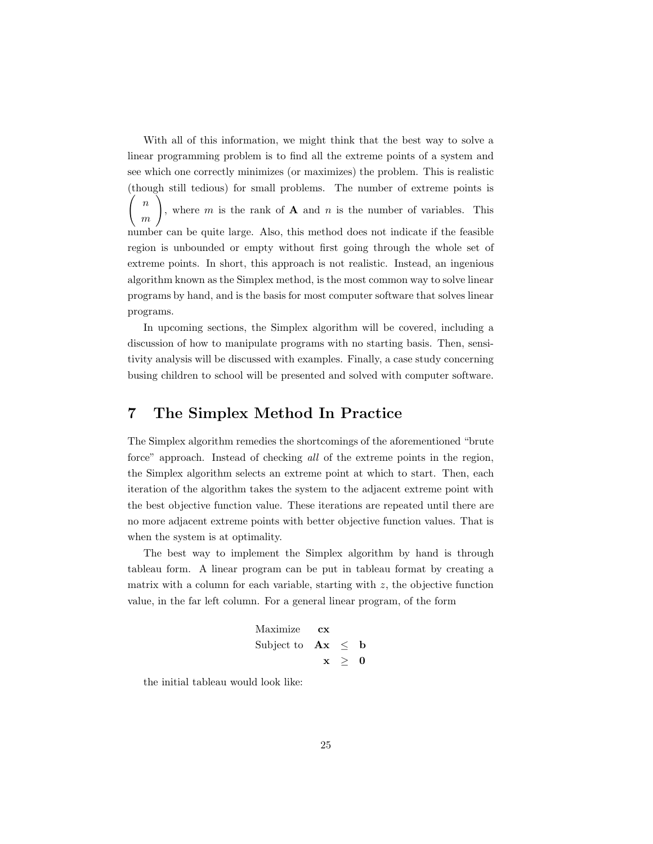With all of this information, we might think that the best way to solve a linear programming problem is to find all the extreme points of a system and see which one correctly minimizes (or maximizes) the problem. This is realistic (though still tedious) for small problems. The number of extreme points is  $\sqrt{ }$ n  $m$  $\setminus$ , where  $m$  is the rank of  $A$  and  $n$  is the number of variables. This number can be quite large. Also, this method does not indicate if the feasible region is unbounded or empty without first going through the whole set of extreme points. In short, this approach is not realistic. Instead, an ingenious algorithm known as the Simplex method, is the most common way to solve linear programs by hand, and is the basis for most computer software that solves linear programs.

In upcoming sections, the Simplex algorithm will be covered, including a discussion of how to manipulate programs with no starting basis. Then, sensitivity analysis will be discussed with examples. Finally, a case study concerning busing children to school will be presented and solved with computer software.

### 7 The Simplex Method In Practice

The Simplex algorithm remedies the shortcomings of the aforementioned "brute force" approach. Instead of checking all of the extreme points in the region, the Simplex algorithm selects an extreme point at which to start. Then, each iteration of the algorithm takes the system to the adjacent extreme point with the best objective function value. These iterations are repeated until there are no more adjacent extreme points with better objective function values. That is when the system is at optimality.

The best way to implement the Simplex algorithm by hand is through tableau form. A linear program can be put in tableau format by creating a matrix with a column for each variable, starting with  $z$ , the objective function value, in the far left column. For a general linear program, of the form

Maximize 
$$
cx
$$

\nSubject to  $Ax \leq b$ 

\n $x \geq 0$ 

the initial tableau would look like: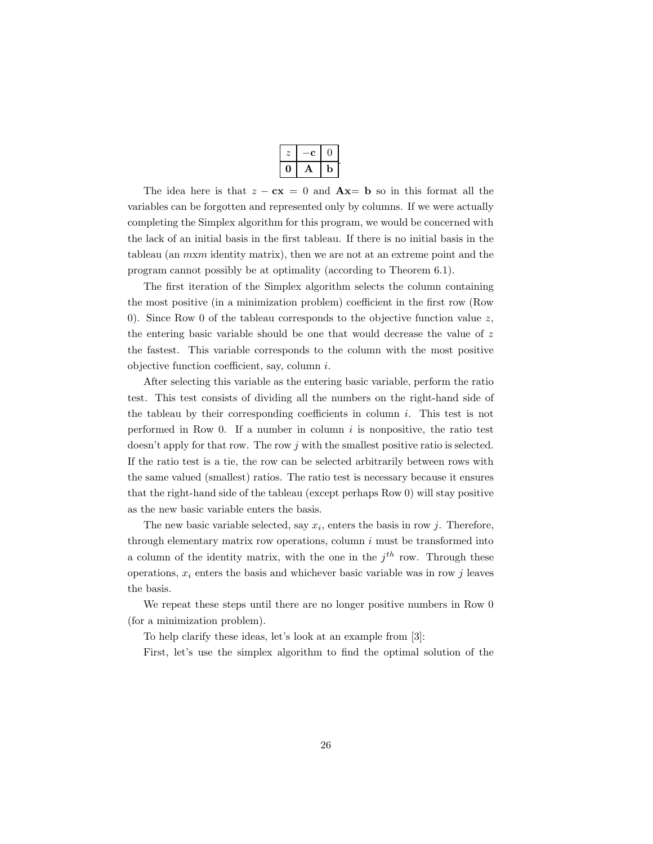The idea here is that  $z - cx = 0$  and  $A**x** = **b**$  so in this format all the variables can be forgotten and represented only by columns. If we were actually completing the Simplex algorithm for this program, we would be concerned with the lack of an initial basis in the first tableau. If there is no initial basis in the tableau (an mxm identity matrix), then we are not at an extreme point and the program cannot possibly be at optimality (according to Theorem 6.1).

The first iteration of the Simplex algorithm selects the column containing the most positive (in a minimization problem) coefficient in the first row (Row 0). Since Row 0 of the tableau corresponds to the objective function value  $z$ , the entering basic variable should be one that would decrease the value of z the fastest. This variable corresponds to the column with the most positive objective function coefficient, say, column i.

After selecting this variable as the entering basic variable, perform the ratio test. This test consists of dividing all the numbers on the right-hand side of the tableau by their corresponding coefficients in column i. This test is not performed in Row 0. If a number in column  $i$  is nonpositive, the ratio test doesn't apply for that row. The row  $j$  with the smallest positive ratio is selected. If the ratio test is a tie, the row can be selected arbitrarily between rows with the same valued (smallest) ratios. The ratio test is necessary because it ensures that the right-hand side of the tableau (except perhaps Row 0) will stay positive as the new basic variable enters the basis.

The new basic variable selected, say  $x_i$ , enters the basis in row j. Therefore, through elementary matrix row operations, column  $i$  must be transformed into a column of the identity matrix, with the one in the  $j<sup>th</sup>$  row. Through these operations,  $x_i$  enters the basis and whichever basic variable was in row j leaves the basis.

We repeat these steps until there are no longer positive numbers in Row 0 (for a minimization problem).

To help clarify these ideas, let's look at an example from [3]:

First, let's use the simplex algorithm to find the optimal solution of the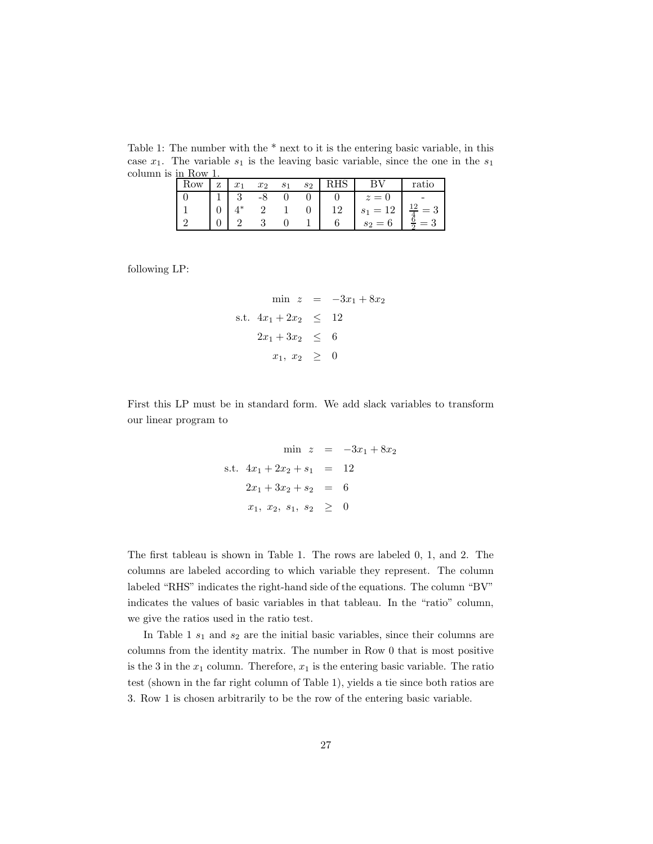Table 1: The number with the \* next to it is the entering basic variable, in this case  $x_1$ . The variable  $s_1$  is the leaving basic variable, since the one in the  $s_1$ column is in Row 1.

| <b>Row</b> | 7 | $x_1$ | $x_2$ | S <sub>1</sub> | s <sub>2</sub> | <b>RHS</b> |            | ratio             |
|------------|---|-------|-------|----------------|----------------|------------|------------|-------------------|
|            |   | ച     | -8    |                |                |            | $z=0$      |                   |
|            |   |       |       |                |                | 19         | $s_1 = 12$ | = პ               |
|            |   |       |       |                |                |            | $s_2 =$    | $\cdot =$ $\circ$ |

following LP:

$$
\min z = -3x_1 + 8x_2
$$
  
s.t.  $4x_1 + 2x_2 \le 12$   
 $2x_1 + 3x_2 \le 6$   
 $x_1, x_2 \ge 0$ 

First this LP must be in standard form. We add slack variables to transform our linear program to

$$
\min z = -3x_1 + 8x_2
$$
  
s.t.  $4x_1 + 2x_2 + s_1 = 12$   
 $2x_1 + 3x_2 + s_2 = 6$   
 $x_1, x_2, s_1, s_2 \ge 0$ 

The first tableau is shown in Table 1. The rows are labeled 0, 1, and 2. The columns are labeled according to which variable they represent. The column labeled "RHS" indicates the right-hand side of the equations. The column "BV" indicates the values of basic variables in that tableau. In the "ratio" column, we give the ratios used in the ratio test.

In Table 1  $s_1$  and  $s_2$  are the initial basic variables, since their columns are columns from the identity matrix. The number in Row 0 that is most positive is the 3 in the  $x_1$  column. Therefore,  $x_1$  is the entering basic variable. The ratio test (shown in the far right column of Table 1), yields a tie since both ratios are 3. Row 1 is chosen arbitrarily to be the row of the entering basic variable.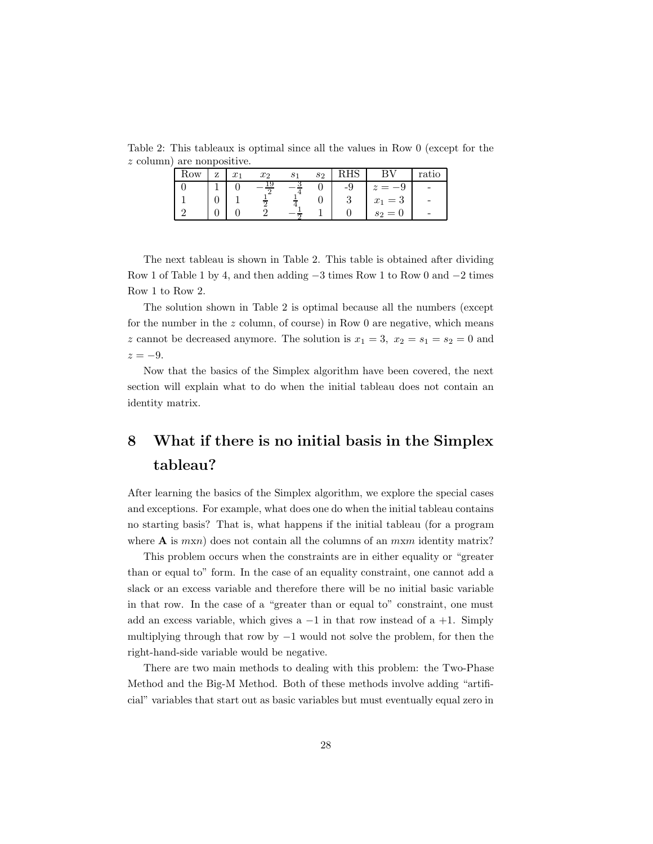Table 2: This tableaux is optimal since all the values in Row 0 (except for the z column) are nonpositive.

| Row | z | $x_1$ | x <sub>2</sub> | $s_2$ | <b>RHS</b> |           | ratio |
|-----|---|-------|----------------|-------|------------|-----------|-------|
|     |   |       |                |       | -9         | $z=-9$    |       |
|     |   |       |                |       |            | $x_1 = 3$ |       |
|     |   |       |                |       |            | $s_2 = 0$ |       |

The next tableau is shown in Table 2. This table is obtained after dividing Row 1 of Table 1 by 4, and then adding −3 times Row 1 to Row 0 and −2 times Row 1 to Row 2.

The solution shown in Table 2 is optimal because all the numbers (except for the number in the  $z$  column, of course) in Row 0 are negative, which means z cannot be decreased anymore. The solution is  $x_1 = 3$ ,  $x_2 = s_1 = s_2 = 0$  and  $z = -9$ .

Now that the basics of the Simplex algorithm have been covered, the next section will explain what to do when the initial tableau does not contain an identity matrix.

## 8 What if there is no initial basis in the Simplex tableau?

After learning the basics of the Simplex algorithm, we explore the special cases and exceptions. For example, what does one do when the initial tableau contains no starting basis? That is, what happens if the initial tableau (for a program where  $\bf{A}$  is mxn) does not contain all the columns of an mxm identity matrix?

This problem occurs when the constraints are in either equality or "greater than or equal to" form. In the case of an equality constraint, one cannot add a slack or an excess variable and therefore there will be no initial basic variable in that row. In the case of a "greater than or equal to" constraint, one must add an excess variable, which gives a  $-1$  in that row instead of a  $+1$ . Simply multiplying through that row by  $-1$  would not solve the problem, for then the right-hand-side variable would be negative.

There are two main methods to dealing with this problem: the Two-Phase Method and the Big-M Method. Both of these methods involve adding "artificial" variables that start out as basic variables but must eventually equal zero in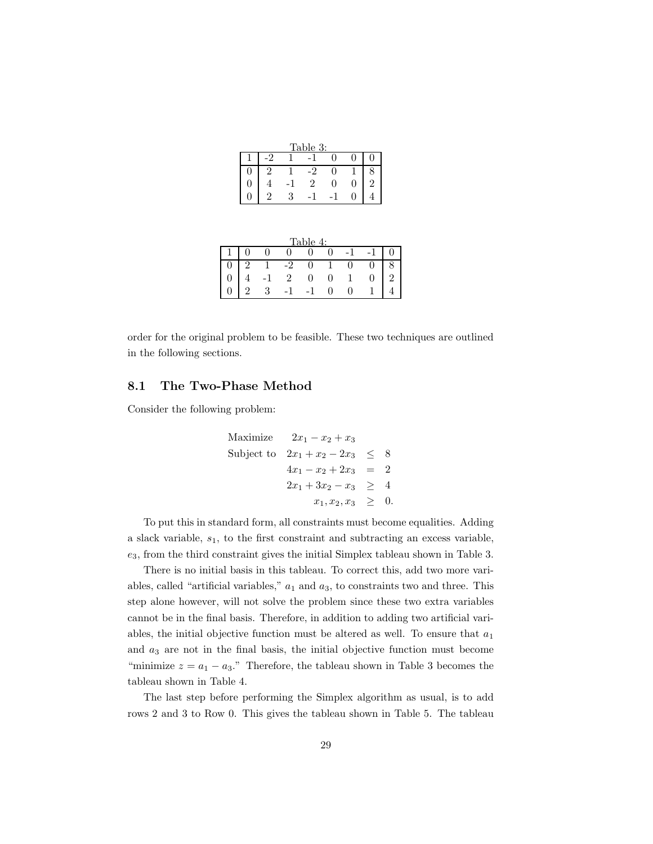|          |  | Table 3: |  |  |
|----------|--|----------|--|--|
|          |  |          |  |  |
|          |  |          |  |  |
| $\Omega$ |  |          |  |  |
|          |  |          |  |  |

| Table 4: |                |      |                |                  |                |            |      |                                              |  |  |
|----------|----------------|------|----------------|------------------|----------------|------------|------|----------------------------------------------|--|--|
|          |                |      | 0.             | $\overline{0}$   | $\Omega$       | $-1$       | $-1$ | 0 <sub>1</sub>                               |  |  |
|          | $\overline{2}$ |      | $-2$           | $\Omega$         |                | $\Omega$   |      |                                              |  |  |
|          |                | $-1$ | $\overline{2}$ | $\boldsymbol{0}$ | $\overline{0}$ |            |      |                                              |  |  |
|          | $\overline{2}$ | 3    |                | $-1$             | $\overline{0}$ | $^{\circ}$ |      | $\begin{array}{c c} 8 \\ 2 \\ 4 \end{array}$ |  |  |

order for the original problem to be feasible. These two techniques are outlined in the following sections.

#### 8.1 The Two-Phase Method

Consider the following problem:

Maximize 
$$
2x_1 - x_2 + x_3
$$
  
\nSubject to  $2x_1 + x_2 - 2x_3 \le 8$   
\n $4x_1 - x_2 + 2x_3 = 2$   
\n $2x_1 + 3x_2 - x_3 \ge 4$   
\n $x_1, x_2, x_3 \ge 0.$ 

To put this in standard form, all constraints must become equalities. Adding a slack variable,  $s_1$ , to the first constraint and subtracting an excess variable, e3, from the third constraint gives the initial Simplex tableau shown in Table 3.

There is no initial basis in this tableau. To correct this, add two more variables, called "artificial variables,"  $a_1$  and  $a_3$ , to constraints two and three. This step alone however, will not solve the problem since these two extra variables cannot be in the final basis. Therefore, in addition to adding two artificial variables, the initial objective function must be altered as well. To ensure that  $a_1$ and  $a_3$  are not in the final basis, the initial objective function must become "minimize  $z = a_1 - a_3$ ." Therefore, the tableau shown in Table 3 becomes the tableau shown in Table 4.

The last step before performing the Simplex algorithm as usual, is to add rows 2 and 3 to Row 0. This gives the tableau shown in Table 5. The tableau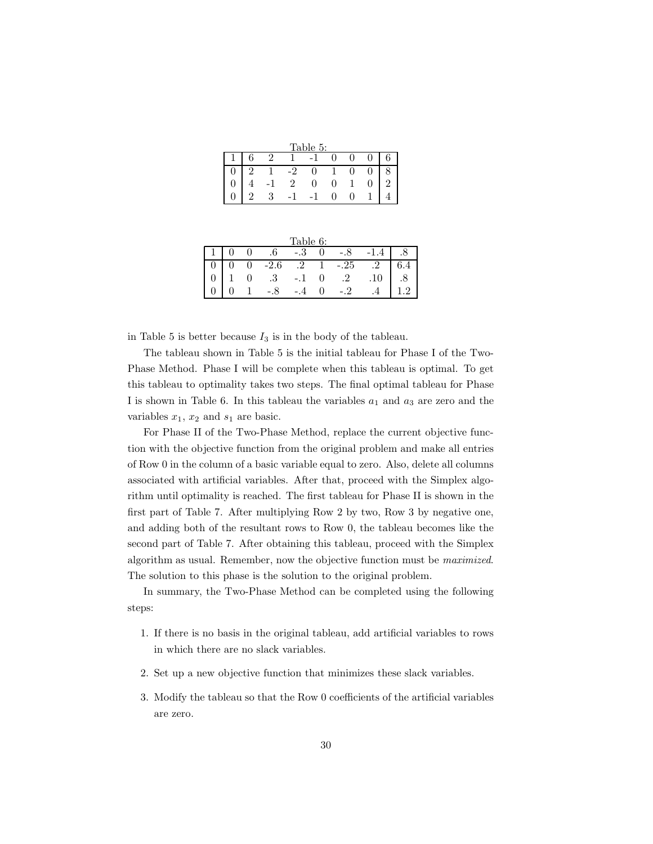| able |  |
|------|--|
|      |  |

|  | $\begin{array}{ cccccccccccc }\hline 1&6&2&1&-1&0&0&0&6\\ \hline 0&2&1&-2&0&1&0&0&8\\ 0&4&-1&2&0&0&1&0&2\\ 0&2&3&-1&-1&0&0&1&4\\ \hline \end{array}$ |  |  |  |
|--|------------------------------------------------------------------------------------------------------------------------------------------------------|--|--|--|

|  |  | Table 6: |  |                                                                                                                                                                           |  |
|--|--|----------|--|---------------------------------------------------------------------------------------------------------------------------------------------------------------------------|--|
|  |  |          |  | $1 \mid 0 \quad 0 \quad .6 \quad -.3 \quad 0 \quad -.8 \quad -1.4 \mid .8$                                                                                                |  |
|  |  |          |  |                                                                                                                                                                           |  |
|  |  |          |  |                                                                                                                                                                           |  |
|  |  |          |  | $\begin{array}{cccccc} 0 & 0 & 0 & -2.6 & .2 & 1 & -.25 & .2 & 6.4 \\ 0 & 1 & 0 & .3 & -.1 & 0 & .2 & .10 & .8 \\ 0 & 0 & 1 & -.8 & -.4 & 0 & -.2 & .4 & 1.2 \end{array}$ |  |

in Table 5 is better because  $I_3$  is in the body of the tableau.

The tableau shown in Table 5 is the initial tableau for Phase I of the Two-Phase Method. Phase I will be complete when this tableau is optimal. To get this tableau to optimality takes two steps. The final optimal tableau for Phase I is shown in Table 6. In this tableau the variables  $a_1$  and  $a_3$  are zero and the variables  $x_1, x_2$  and  $s_1$  are basic.

For Phase II of the Two-Phase Method, replace the current objective function with the objective function from the original problem and make all entries of Row 0 in the column of a basic variable equal to zero. Also, delete all columns associated with artificial variables. After that, proceed with the Simplex algorithm until optimality is reached. The first tableau for Phase II is shown in the first part of Table 7. After multiplying Row 2 by two, Row 3 by negative one, and adding both of the resultant rows to Row 0, the tableau becomes like the second part of Table 7. After obtaining this tableau, proceed with the Simplex algorithm as usual. Remember, now the objective function must be maximized. The solution to this phase is the solution to the original problem.

In summary, the Two-Phase Method can be completed using the following steps:

- 1. If there is no basis in the original tableau, add artificial variables to rows in which there are no slack variables.
- 2. Set up a new objective function that minimizes these slack variables.
- 3. Modify the tableau so that the Row 0 coefficients of the artificial variables are zero.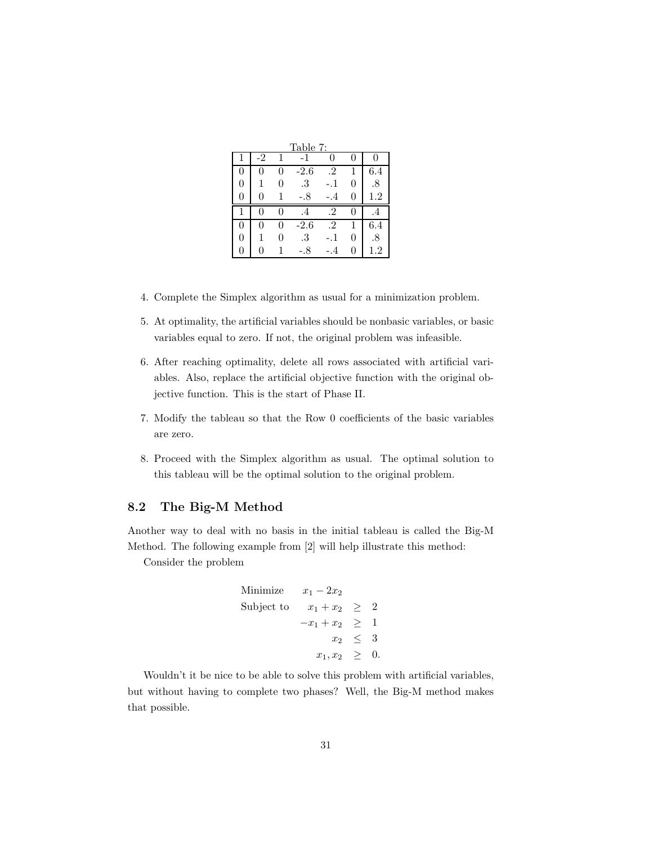| Table |  |
|-------|--|
|       |  |

|   | -2 |   |        |    |             |         |
|---|----|---|--------|----|-------------|---------|
| 0 |    | 0 | $-2.6$ | .2 |             | 6.4     |
| 0 |    | 0 | .3     |    | 0           | 8       |
| 0 |    |   | -.8    |    | 0           | $1.2\,$ |
|   |    |   |        |    |             |         |
|   |    | ⋂ |        | 2  | $^{\prime}$ |         |
| 0 | 0  | 0 | $-2.6$ | .2 |             | 6.4     |
| 0 |    | 0 | .3     |    | $\theta$    | .8      |

- 4. Complete the Simplex algorithm as usual for a minimization problem.
- 5. At optimality, the artificial variables should be nonbasic variables, or basic variables equal to zero. If not, the original problem was infeasible.
- 6. After reaching optimality, delete all rows associated with artificial variables. Also, replace the artificial objective function with the original objective function. This is the start of Phase II.
- 7. Modify the tableau so that the Row 0 coefficients of the basic variables are zero.
- 8. Proceed with the Simplex algorithm as usual. The optimal solution to this tableau will be the optimal solution to the original problem.

#### 8.2 The Big-M Method

Another way to deal with no basis in the initial tableau is called the Big-M Method. The following example from [2] will help illustrate this method:

Consider the problem

Minimize 
$$
x_1 - 2x_2
$$
  
\nSubject to  $x_1 + x_2 \ge 2$   
\n $-x_1 + x_2 \ge 1$   
\n $x_2 \le 3$   
\n $x_1, x_2 \ge 0$ .

Wouldn't it be nice to be able to solve this problem with artificial variables, but without having to complete two phases? Well, the Big-M method makes that possible.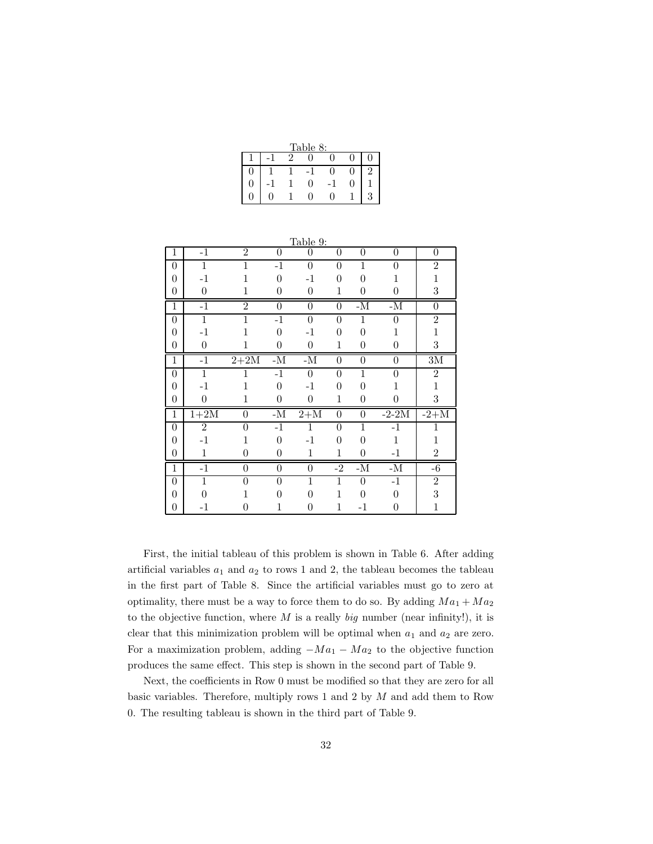| Table 8: |  |  |    |  |  |  |  |  |  |
|----------|--|--|----|--|--|--|--|--|--|
|          |  |  |    |  |  |  |  |  |  |
|          |  |  |    |  |  |  |  |  |  |
|          |  |  | וו |  |  |  |  |  |  |
|          |  |  |    |  |  |  |  |  |  |

|                |                |                  |                  | Table 9:         |                |                |                |                   |
|----------------|----------------|------------------|------------------|------------------|----------------|----------------|----------------|-------------------|
| $\mathbf{1}$   | $-1$           | $\overline{2}$   | 0                | $\boldsymbol{0}$ | $\theta$       | 0              | 0              | 0                 |
| $\overline{0}$ | $\mathbf{1}$   | 1                | $-1$             | $\overline{0}$   | $\theta$       | 1              | $\theta$       | $\overline{2}$    |
| $\theta$       | $-1$           | 1                | $\Omega$         | $-1$             | 0              | $\overline{0}$ | 1              | $\mathbf 1$       |
| $\overline{0}$ | $\theta$       | 1                | $\overline{0}$   | $\boldsymbol{0}$ | 1              | 0              | 0              | 3                 |
| $\mathbf 1$    | $-1$           | $\overline{2}$   | $\boldsymbol{0}$ | $\boldsymbol{0}$ | $\theta$       | -M             | -M             | $\boldsymbol{0}$  |
| $\overline{0}$ | $\overline{1}$ | 1                | $-1$             | $\overline{0}$   | $\overline{0}$ | $\mathbf{1}$   | $\overline{0}$ | $\overline{2}$    |
| $\overline{0}$ | $-1$           | 1                | $\overline{0}$   | $-1$             | $\theta$       | $\overline{0}$ | 1              | $\mathbf{1}$      |
| 0              | $\theta$       | 1                | $\overline{0}$   | $\boldsymbol{0}$ | 1              | 0              | $\overline{0}$ | 3                 |
| $\mathbf{1}$   | $-1$           | $2 + 2M$         | -M               | $-M$             | $\overline{0}$ | $\overline{0}$ | $\overline{0}$ | 3M                |
| $\theta$       | 1              | 1                | $-1$             | $\overline{0}$   | $\theta$       | 1              | $\theta$       | $\overline{2}$    |
| $\theta$       | $-1$           | 1                | $\overline{0}$   | $-1$             | 0              | $\overline{0}$ | $\mathbf 1$    | $\mathbf{1}$      |
| $\overline{0}$ | 0              | 1                | $\boldsymbol{0}$ | $\theta$         | 1              | 0              | $\theta$       | 3                 |
| $\mathbf{1}$   | $1+2M$         | $\boldsymbol{0}$ | -M               | $2+M$            | $\theta$       | 0              | $-2-2M$        | $-2+\overline{M}$ |
| $\overline{0}$ | $\overline{2}$ | $\theta$         | $-1$             | 1                | $\theta$       | $\mathbf{1}$   | $-1$           | $\mathbf 1$       |
| 0              | -1             | 1                | $\Omega$         | $-1$             | 0              | $\theta$       | 1              | 1                 |
| 0              | 1              | 0                | $\overline{0}$   | $\mathbf 1$      | 1              | $\theta$       | $-1$           | $\boldsymbol{2}$  |
| 1              | -1             | $\theta$         | $\overline{0}$   | $\theta$         | $-2$           | $-M$           | $-M$           | $-6$              |
| $\theta$       | $\mathbf{1}$   | $\theta$         | $\theta$         | $\mathbf{1}$     | $\mathbf{1}$   | $\overline{0}$ | $-1$           | $\overline{2}$    |
| $\theta$       | 0              | 1                | 0                | $\theta$         | 1              | $\theta$       | 0              | 3                 |
| $\overline{0}$ | -1             | 0                | 1                | $\overline{0}$   | 1              | -1             | $\overline{0}$ | $\mathbf{1}$      |

 $T<sub>1</sub>$ 

First, the initial tableau of this problem is shown in Table 6. After adding artificial variables  $a_1$  and  $a_2$  to rows 1 and 2, the tableau becomes the tableau in the first part of Table 8. Since the artificial variables must go to zero at optimality, there must be a way to force them to do so. By adding  $Ma_1 + Ma_2$ to the objective function, where  $M$  is a really  $big$  number (near infinity!), it is clear that this minimization problem will be optimal when  $a_1$  and  $a_2$  are zero. For a maximization problem, adding  $-Ma_1 - Ma_2$  to the objective function produces the same effect. This step is shown in the second part of Table 9.

Next, the coefficients in Row 0 must be modified so that they are zero for all basic variables. Therefore, multiply rows 1 and 2 by  $M$  and add them to Row 0. The resulting tableau is shown in the third part of Table 9.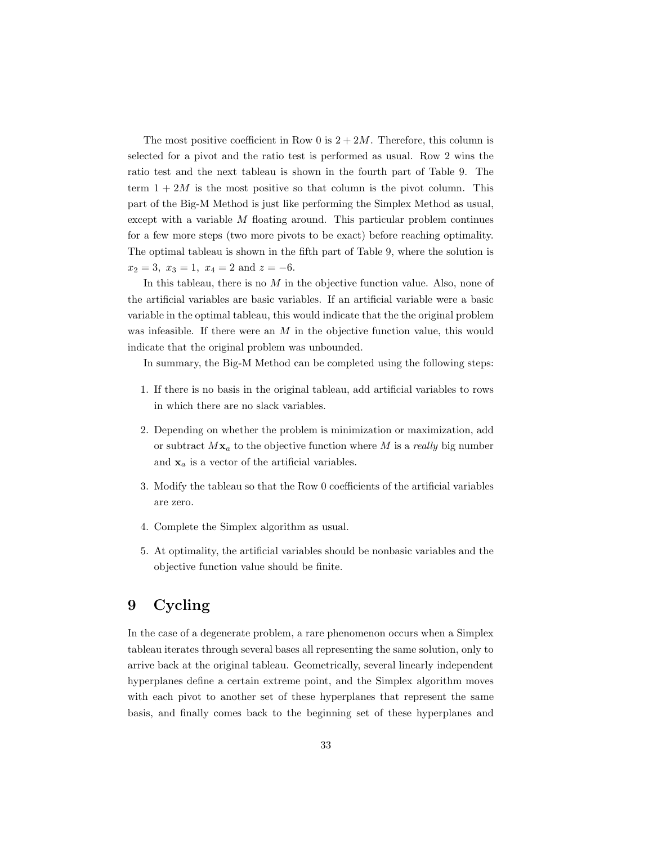The most positive coefficient in Row 0 is  $2 + 2M$ . Therefore, this column is selected for a pivot and the ratio test is performed as usual. Row 2 wins the ratio test and the next tableau is shown in the fourth part of Table 9. The term  $1 + 2M$  is the most positive so that column is the pivot column. This part of the Big-M Method is just like performing the Simplex Method as usual, except with a variable M floating around. This particular problem continues for a few more steps (two more pivots to be exact) before reaching optimality. The optimal tableau is shown in the fifth part of Table 9, where the solution is  $x_2 = 3$ ,  $x_3 = 1$ ,  $x_4 = 2$  and  $z = -6$ .

In this tableau, there is no  $M$  in the objective function value. Also, none of the artificial variables are basic variables. If an artificial variable were a basic variable in the optimal tableau, this would indicate that the the original problem was infeasible. If there were an  $M$  in the objective function value, this would indicate that the original problem was unbounded.

In summary, the Big-M Method can be completed using the following steps:

- 1. If there is no basis in the original tableau, add artificial variables to rows in which there are no slack variables.
- 2. Depending on whether the problem is minimization or maximization, add or subtract  $Mx_a$  to the objective function where M is a *really* big number and  $x_a$  is a vector of the artificial variables.
- 3. Modify the tableau so that the Row 0 coefficients of the artificial variables are zero.
- 4. Complete the Simplex algorithm as usual.
- 5. At optimality, the artificial variables should be nonbasic variables and the objective function value should be finite.

## 9 Cycling

In the case of a degenerate problem, a rare phenomenon occurs when a Simplex tableau iterates through several bases all representing the same solution, only to arrive back at the original tableau. Geometrically, several linearly independent hyperplanes define a certain extreme point, and the Simplex algorithm moves with each pivot to another set of these hyperplanes that represent the same basis, and finally comes back to the beginning set of these hyperplanes and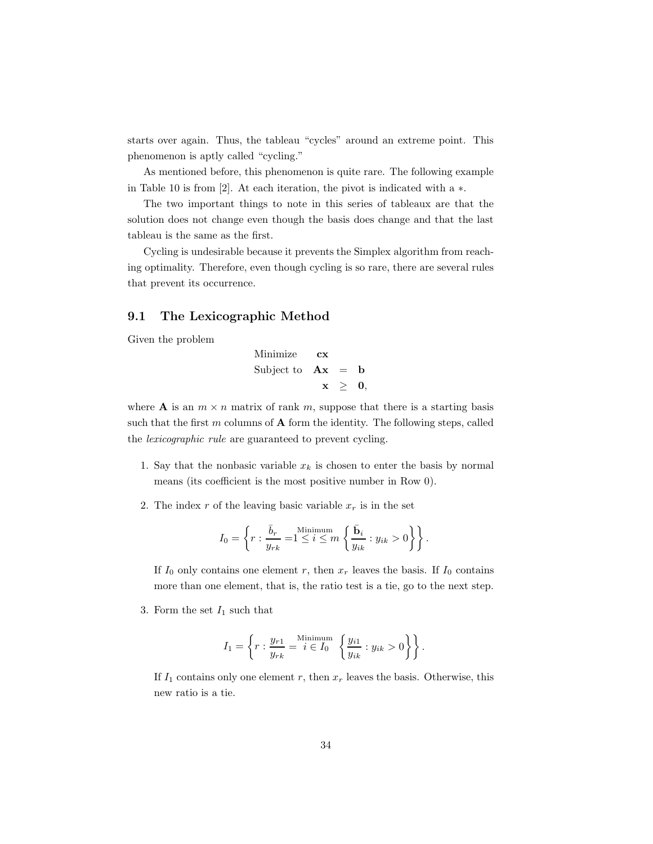starts over again. Thus, the tableau "cycles" around an extreme point. This phenomenon is aptly called "cycling."

As mentioned before, this phenomenon is quite rare. The following example in Table 10 is from [2]. At each iteration, the pivot is indicated with a ∗.

The two important things to note in this series of tableaux are that the solution does not change even though the basis does change and that the last tableau is the same as the first.

Cycling is undesirable because it prevents the Simplex algorithm from reaching optimality. Therefore, even though cycling is so rare, there are several rules that prevent its occurrence.

#### 9.1 The Lexicographic Method

Given the problem

$$
\begin{array}{ll}\text{Minimize} & \mathbf{cx} \\ \text{Subject to} & \mathbf{Ax} = \mathbf{b} \\ & \mathbf{x} \geq \mathbf{0}, \end{array}
$$

where **A** is an  $m \times n$  matrix of rank m, suppose that there is a starting basis such that the first  $m$  columns of  $A$  form the identity. The following steps, called the lexicographic rule are guaranteed to prevent cycling.

- 1. Say that the nonbasic variable  $x_k$  is chosen to enter the basis by normal means (its coefficient is the most positive number in Row 0).
- 2. The index r of the leaving basic variable  $x_r$  is in the set

$$
I_0 = \left\{ r : \frac{\bar{b}_r}{y_{rk}} = 1 \le i \le m \left\{ \frac{\bar{\mathbf{b}}_i}{y_{ik}} : y_{ik} > 0 \right\} \right\}.
$$

If  $I_0$  only contains one element r, then  $x_r$  leaves the basis. If  $I_0$  contains more than one element, that is, the ratio test is a tie, go to the next step.

3. Form the set  $I_1$  such that

$$
I_1 = \left\{ r : \frac{y_{r1}}{y_{rk}} = \stackrel{\text{Minimum}}{i \in I_0} \left\{ \frac{y_{i1}}{y_{ik}} : y_{ik} > 0 \right\} \right\}.
$$

If  $I_1$  contains only one element r, then  $x_r$  leaves the basis. Otherwise, this new ratio is a tie.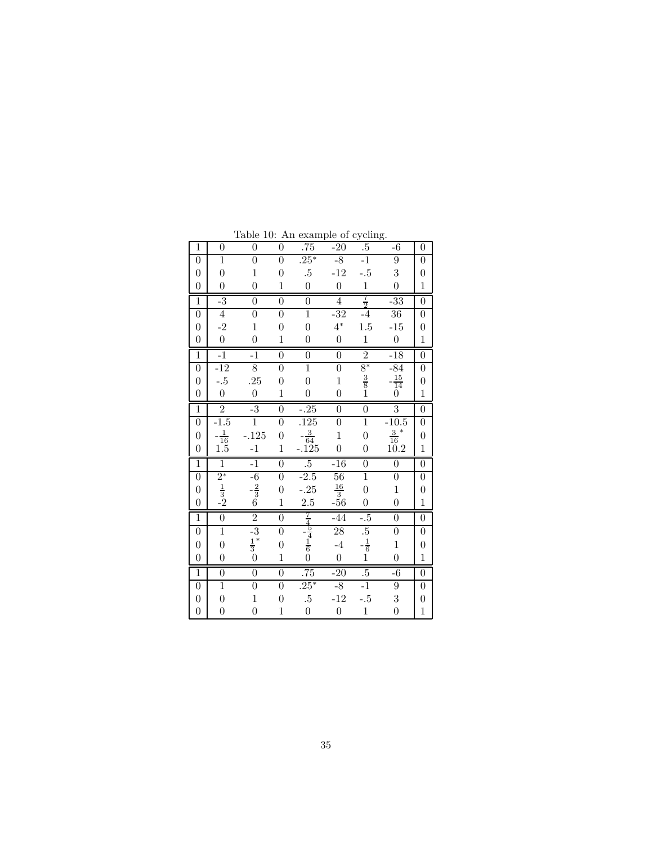| $\mathbf{1}$                       | $\overline{0}$                     | $\overline{0}$                | $\overline{0}$                   | .75                                  | $-20$                                     | $\overline{.5}$                           | $-6$                        | $\overline{0}$                 |
|------------------------------------|------------------------------------|-------------------------------|----------------------------------|--------------------------------------|-------------------------------------------|-------------------------------------------|-----------------------------|--------------------------------|
| $\overline{0}$                     | $\,1$                              | $\boldsymbol{0}$              | $\boldsymbol{0}$                 | $.25*$                               | $-8$                                      | $-1$                                      | $\overline{9}$              | $\boldsymbol{0}$               |
| $\overline{0}$                     | $\overline{0}$                     | $\mathbf{1}$                  | $\overline{0}$                   | .5                                   | $-12$                                     | $-.5$                                     | $\overline{3}$              | $\boldsymbol{0}$               |
| $\overline{0}$                     | $\overline{0}$                     | $\overline{0}$                | $\mathbf{1}$                     | $\overline{0}$                       | $\overline{0}$                            | $\mathbf{1}$                              | $\boldsymbol{0}$            | $\mathbf{1}$                   |
| $\mathbf{1}$                       | $-3$                               | $\overline{0}$                | $\overline{0}$                   | $\boldsymbol{0}$                     | $\overline{4}$                            | $\frac{7}{2}$                             | $-33$                       | $\boldsymbol{0}$               |
| $\overline{0}$                     | $\overline{4}$                     | $\overline{0}$                | $\overline{0}$                   | $\overline{1}$                       | $-32$                                     | $-4$                                      | 36                          | $\overline{0}$                 |
| $\boldsymbol{0}$                   | $-2$                               | $\mathbf{1}$                  | $\boldsymbol{0}$                 | $\boldsymbol{0}$                     | $\begin{array}{c} 4* \\ 0 \end{array}$    | 1.5                                       | $-15$                       | $\boldsymbol{0}$               |
| $\boldsymbol{0}$                   | $\overline{0}$                     | $\boldsymbol{0}$              | $\mathbf{1}$                     | $\overline{0}$                       |                                           | $\,1$                                     | $\boldsymbol{0}$            | $\mathbf{1}$                   |
| $\overline{1}$                     | $-1$                               | $-1$                          | $\overline{0}$                   | $\overline{0}$                       | $\overline{0}$                            | $\overline{2}$                            | $-18$                       | $\overline{0}$                 |
| $\overline{0}$                     | $-12$                              | 8                             | $\boldsymbol{0}$                 | $\overline{1}$                       | $\overline{0}$                            | $\frac{8}{8}$ $\frac{3}{8}$ $\frac{3}{1}$ |                             | $\overline{0}$                 |
| $\overline{0}$                     | $-.5$                              | .25                           | $\overline{0}$                   | $\overline{0}$                       | $\mathbf{1}$                              |                                           |                             | $\boldsymbol{0}$               |
| $\overline{0}$                     | $\overline{0}$                     | $\overline{0}$                | $\overline{1}$                   | 0                                    | $\overline{0}$                            |                                           | $-84$<br>$-15$<br>$14$<br>0 | $\mathbf{1}$                   |
| $\overline{1}$                     | $\overline{2}$                     | $-3$                          | $\boldsymbol{0}$                 | $-0.25$                              | $\boldsymbol{0}$                          | $\overline{0}$                            | $\overline{3}$              | $\overline{0}$                 |
| $\overline{0}$                     | $-1.5$                             | $\overline{1}$                | $\overline{0}$                   |                                      | $\overline{0}$                            | $\overline{1}$                            | $-10.5$                     | $\overline{0}$                 |
| $\boldsymbol{0}$                   | $\frac{1}{16}$                     | $-.125$                       | $\overline{0}$                   |                                      | $\mathbf{1}$                              | $\overline{0}$                            | $\frac{3}{16}$ *            | $\boldsymbol{0}$               |
|                                    |                                    |                               |                                  |                                      |                                           |                                           |                             |                                |
| $\boldsymbol{0}$                   | $1.\overline{5}$                   | $-1$                          | $\overline{1}$                   |                                      | $\overline{0}$                            | $\overline{0}$                            | 10.2                        | $\mathbf{1}$                   |
| $\overline{1}$                     | $\overline{1}$                     | $-1$                          | $\overline{0}$                   | $.125$<br>$-\frac{3}{64}$<br>$-.125$ | $-16$                                     | $\boldsymbol{0}$                          | $\boldsymbol{0}$            | $\overline{0}$                 |
| $\overline{0}$                     |                                    |                               | $\overline{0}$                   | $\overline{.5}$                      | 56                                        | $\overline{1}$                            | $\overline{0}$              | $\overline{0}$                 |
| $\boldsymbol{0}$                   |                                    |                               | $\overline{0}$                   |                                      |                                           | $\boldsymbol{0}$                          | $\mathbf{1}$                | $\overline{0}$                 |
| $\boldsymbol{0}$                   | $\frac{2^*}{\frac{1}{3}}$<br>-2    | $-6$<br>$-\frac{2}{3}$<br>$6$ | $\mathbf{1}$                     |                                      | $\frac{16}{3}$ -56                        | $\boldsymbol{0}$                          | $\boldsymbol{0}$            | $\mathbf{1}$                   |
| $\overline{1}$                     | $\overline{0}$                     | $\overline{2}$                | $\overline{0}$                   | $-2.5$<br>$-2.5$<br>$2.5$            | -44                                       | $-0.5$                                    | $\overline{0}$              | $\overline{0}$                 |
| $\overline{0}$                     | $\overline{1}$                     |                               | $\overline{0}$                   | $rac{7}{4}$                          | 28                                        |                                           | $\boldsymbol{0}$            | $\boldsymbol{0}$               |
| $\overline{0}$                     | $\overline{0}$                     |                               | $\overline{0}$                   |                                      |                                           |                                           | $\mathbf{1}$                | $\boldsymbol{0}$               |
| $\overline{0}$                     | $\overline{0}$                     | $\frac{1}{3}$ * 0             | $\mathbf{1}$                     | $\frac{5}{4}$ $\frac{1}{6}$<br>0     | $-4$<br>$\overline{0}$                    | $\frac{5}{6}$                             | $\boldsymbol{0}$            | $\mathbf{1}$                   |
| $\overline{1}$                     | $\overline{0}$                     | $\overline{0}$                | $\boldsymbol{0}$                 | .75                                  | $-20$                                     | $\overline{.5}$                           | $-6$                        | $\overline{0}$                 |
| $\overline{0}$                     | $\overline{1}$                     | $\overline{0}$                | $\boldsymbol{0}$                 | $25*$                                |                                           | $\overline{-1}$                           | $\overline{9}$              | $\overline{0}$                 |
| $\boldsymbol{0}$<br>$\overline{0}$ | $\boldsymbol{0}$<br>$\overline{0}$ | $\mathbf{1}$                  | $\boldsymbol{0}$<br>$\mathbf{1}$ | $.5\,$<br>$\overline{0}$             | $\frac{1}{-8}$<br>$-12$<br>$\overline{0}$ | $-.5$<br>$\mathbf{1}$                     | 3<br>$\overline{0}$         | $\overline{0}$<br>$\mathbf{1}$ |

Table 10: An example of cycling.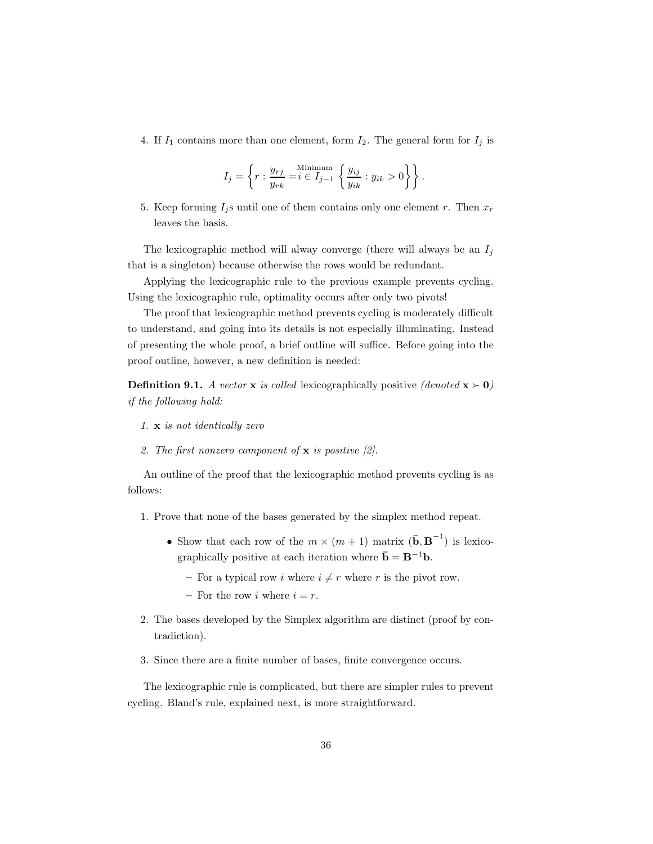4. If  $I_1$  contains more than one element, form  $I_2$ . The general form for  $I_j$  is

$$
I_j = \left\{ r : \frac{y_{rj}}{y_{rk}} = i \in I_{j-1} \left\{ \frac{y_{ij}}{y_{ik}} : y_{ik} > 0 \right\} \right\}.
$$

5. Keep forming  $I_i$ s until one of them contains only one element r. Then  $x_r$ leaves the basis.

The lexicographic method will alway converge (there will always be an  $I_i$ that is a singleton) because otherwise the rows would be redundant.

Applying the lexicographic rule to the previous example prevents cycling. Using the lexicographic rule, optimality occurs after only two pivots!

The proof that lexicographic method prevents cycling is moderately difficult to understand, and going into its details is not especially illuminating. Instead of presenting the whole proof, a brief outline will suffice. Before going into the proof outline, however, a new definition is needed:

**Definition 9.1.** A vector **x** is called lexicographically positive (denoted  $\mathbf{x} \succ \mathbf{0}$ ) if the following hold:

- 1. x is not identically zero
- 2. The first nonzero component of  $x$  is positive  $[2]$ .

An outline of the proof that the lexicographic method prevents cycling is as follows:

- 1. Prove that none of the bases generated by the simplex method repeat.
	- Show that each row of the  $m \times (m+1)$  matrix  $(\mathbf{\bar{b}}, \mathbf{B}^{-1})$  is lexicographically positive at each iteration where  $\bar{\mathbf{b}} = \mathbf{B}^{-1}\mathbf{b}$ .
		- For a typical row i where  $i \neq r$  where r is the pivot row.
		- For the row i where  $i = r$ .
- 2. The bases developed by the Simplex algorithm are distinct (proof by contradiction).
- 3. Since there are a finite number of bases, finite convergence occurs.

The lexicographic rule is complicated, but there are simpler rules to prevent cycling. Bland's rule, explained next, is more straightforward.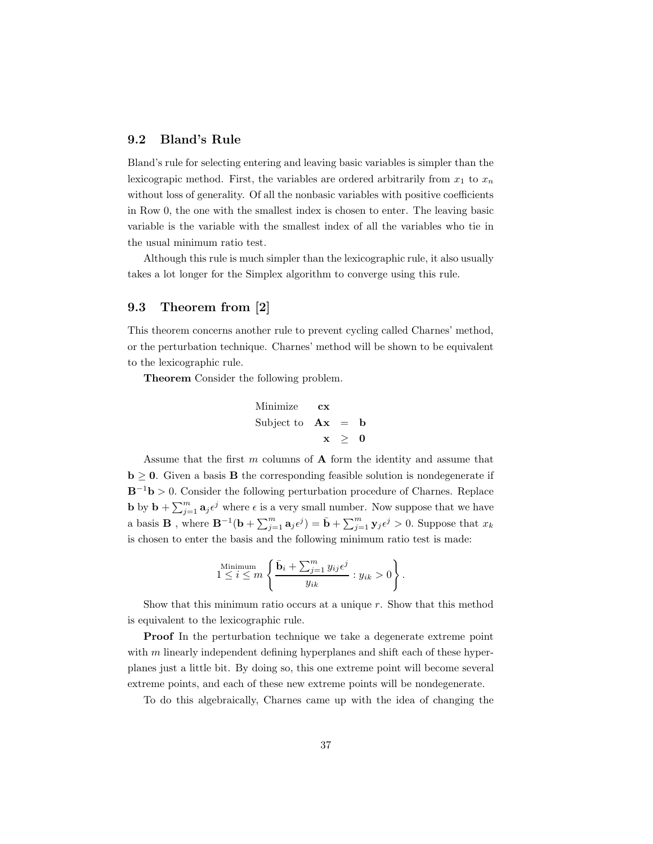#### 9.2 Bland's Rule

Bland's rule for selecting entering and leaving basic variables is simpler than the lexicograpic method. First, the variables are ordered arbitrarily from  $x_1$  to  $x_n$ without loss of generality. Of all the nonbasic variables with positive coefficients in Row 0, the one with the smallest index is chosen to enter. The leaving basic variable is the variable with the smallest index of all the variables who tie in the usual minimum ratio test.

Although this rule is much simpler than the lexicographic rule, it also usually takes a lot longer for the Simplex algorithm to converge using this rule.

#### 9.3 Theorem from [2]

This theorem concerns another rule to prevent cycling called Charnes' method, or the perturbation technique. Charnes' method will be shown to be equivalent to the lexicographic rule.

Theorem Consider the following problem.

$$
\begin{array}{ll}\n\text{Minimize} & \mathbf{cx} \\
\text{Subject to} & \mathbf{Ax} = \mathbf{b} \\
& \mathbf{x} \geq 0\n\end{array}
$$

Assume that the first  $m$  columns of  $A$  form the identity and assume that  $\mathbf{b} \geq 0$ . Given a basis **B** the corresponding feasible solution is nondegenerate if  $B^{-1}b > 0$ . Consider the following perturbation procedure of Charnes. Replace **b** by  $\mathbf{b} + \sum_{j=1}^{m} \mathbf{a}_j e^j$  where  $\epsilon$  is a very small number. Now suppose that we have a basis **B**, where  $\mathbf{B}^{-1}(\mathbf{b} + \sum_{j=1}^m \mathbf{a}_j e^j) = \bar{\mathbf{b}} + \sum_{j=1}^m \mathbf{y}_j e^j > 0$ . Suppose that  $x_k$ is chosen to enter the basis and the following minimum ratio test is made:

$$
1 \leq i \leq m \left\{ \frac{\bar{\mathbf{b}}_i + \sum_{j=1}^m y_{ij} \epsilon^j}{y_{ik}} : y_{ik} > 0 \right\}.
$$

Show that this minimum ratio occurs at a unique r. Show that this method is equivalent to the lexicographic rule.

Proof In the perturbation technique we take a degenerate extreme point with  $m$  linearly independent defining hyperplanes and shift each of these hyperplanes just a little bit. By doing so, this one extreme point will become several extreme points, and each of these new extreme points will be nondegenerate.

To do this algebraically, Charnes came up with the idea of changing the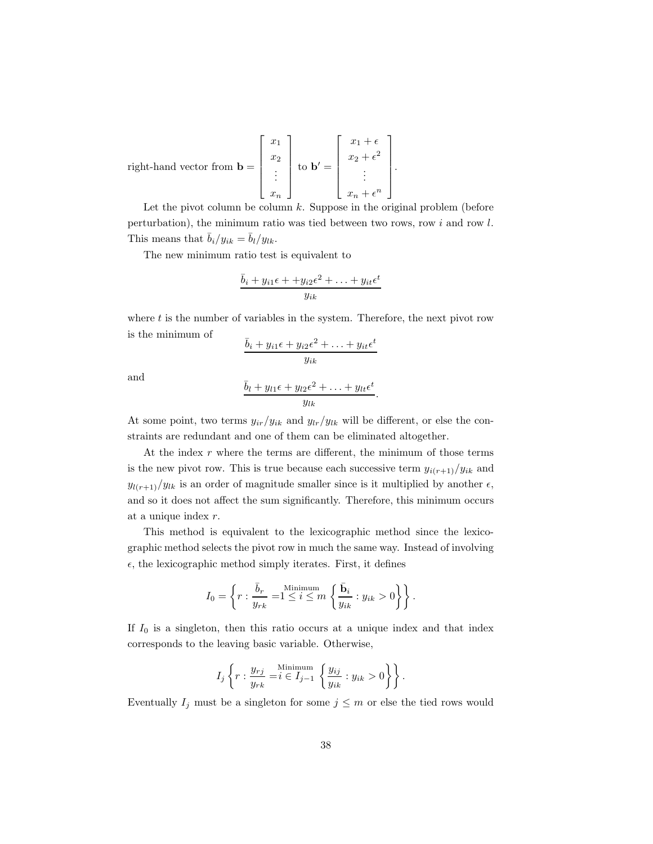right-hand vector from  $\mathbf{b} =$  $\lceil$   $\overline{x_1}$  $\overline{x_2}$ . . .  $\bar{x}_n$ 1 to  $\mathbf{b}' =$  $\lceil$   $x_1 + \epsilon$  $x_2 + \epsilon^2$ . . .  $x_n + \epsilon^n$ 1 .

Let the pivot column be column k. Suppose in the original problem (before perturbation), the minimum ratio was tied between two rows, row  $i$  and row  $l$ . This means that  $\bar{b}_i/y_{ik} = \bar{b}_l/y_{lk}$ .

The new minimum ratio test is equivalent to

$$
\frac{\bar{b}_i + y_{i1}\epsilon + y_{i2}\epsilon^2 + \ldots + y_{it}\epsilon^t}{y_{ik}}
$$

where  $t$  is the number of variables in the system. Therefore, the next pivot row is the minimum of

$$
\frac{\bar{b}_i + y_{i1}\epsilon + y_{i2}\epsilon^2 + \ldots + y_{it}\epsilon^t}{y_{ik}}
$$

and

$$
\frac{\overline{b}_l + y_{l1}\epsilon + y_{l2}\epsilon^2 + \ldots + y_{lt}\epsilon^t}{y_{lk}}.
$$

At some point, two terms  $y_{ir}/y_{ik}$  and  $y_{ir}/y_{lk}$  will be different, or else the constraints are redundant and one of them can be eliminated altogether.

At the index  $r$  where the terms are different, the minimum of those terms is the new pivot row. This is true because each successive term  $y_{i(r+1)}/y_{ik}$  and  $y_{l(r+1)}/y_{lk}$  is an order of magnitude smaller since is it multiplied by another  $\epsilon$ , and so it does not affect the sum significantly. Therefore, this minimum occurs at a unique index r.

This method is equivalent to the lexicographic method since the lexicographic method selects the pivot row in much the same way. Instead of involving  $\epsilon$ , the lexicographic method simply iterates. First, it defines

$$
I_0 = \left\{ r : \frac{\bar{b}_r}{y_{rk}} = 1 \leq i \leq m \left\{ \frac{\bar{\mathbf{b}}_i}{y_{ik}} : y_{ik} > 0 \right\} \right\}.
$$

If  $I_0$  is a singleton, then this ratio occurs at a unique index and that index corresponds to the leaving basic variable. Otherwise,

$$
I_j\left\{r:\frac{y_{rj}}{y_{rk}}=i\in I_{j-1}\left\{\frac{y_{ij}}{y_{ik}}: y_{ik}>0\right\}\right\}.
$$

Eventually  $I_j$  must be a singleton for some  $j \leq m$  or else the tied rows would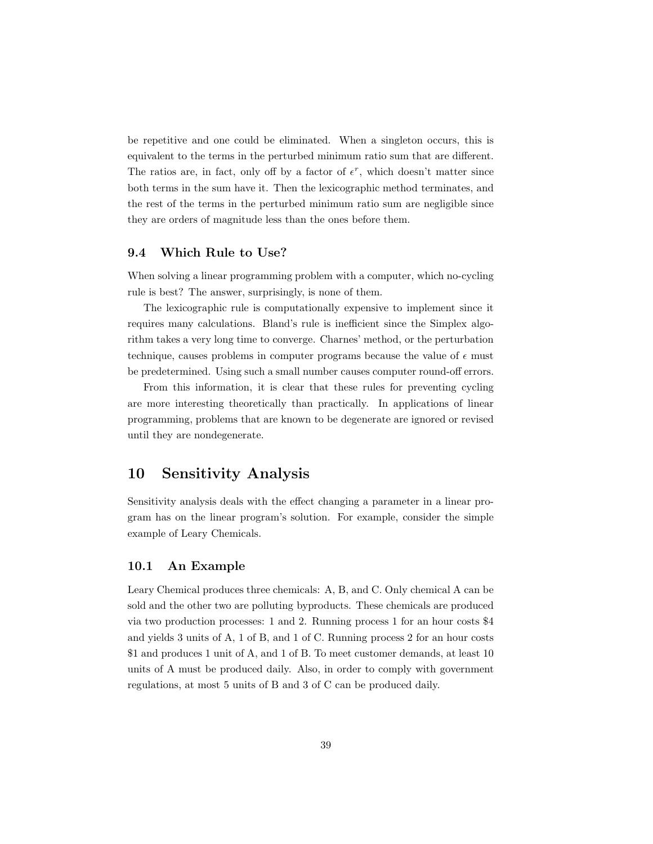be repetitive and one could be eliminated. When a singleton occurs, this is equivalent to the terms in the perturbed minimum ratio sum that are different. The ratios are, in fact, only off by a factor of  $\epsilon^r$ , which doesn't matter since both terms in the sum have it. Then the lexicographic method terminates, and the rest of the terms in the perturbed minimum ratio sum are negligible since they are orders of magnitude less than the ones before them.

#### 9.4 Which Rule to Use?

When solving a linear programming problem with a computer, which no-cycling rule is best? The answer, surprisingly, is none of them.

The lexicographic rule is computationally expensive to implement since it requires many calculations. Bland's rule is inefficient since the Simplex algorithm takes a very long time to converge. Charnes' method, or the perturbation technique, causes problems in computer programs because the value of  $\epsilon$  must be predetermined. Using such a small number causes computer round-off errors.

From this information, it is clear that these rules for preventing cycling are more interesting theoretically than practically. In applications of linear programming, problems that are known to be degenerate are ignored or revised until they are nondegenerate.

## 10 Sensitivity Analysis

Sensitivity analysis deals with the effect changing a parameter in a linear program has on the linear program's solution. For example, consider the simple example of Leary Chemicals.

#### 10.1 An Example

Leary Chemical produces three chemicals: A, B, and C. Only chemical A can be sold and the other two are polluting byproducts. These chemicals are produced via two production processes: 1 and 2. Running process 1 for an hour costs \$4 and yields 3 units of A, 1 of B, and 1 of C. Running process 2 for an hour costs \$1 and produces 1 unit of A, and 1 of B. To meet customer demands, at least 10 units of A must be produced daily. Also, in order to comply with government regulations, at most 5 units of B and 3 of C can be produced daily.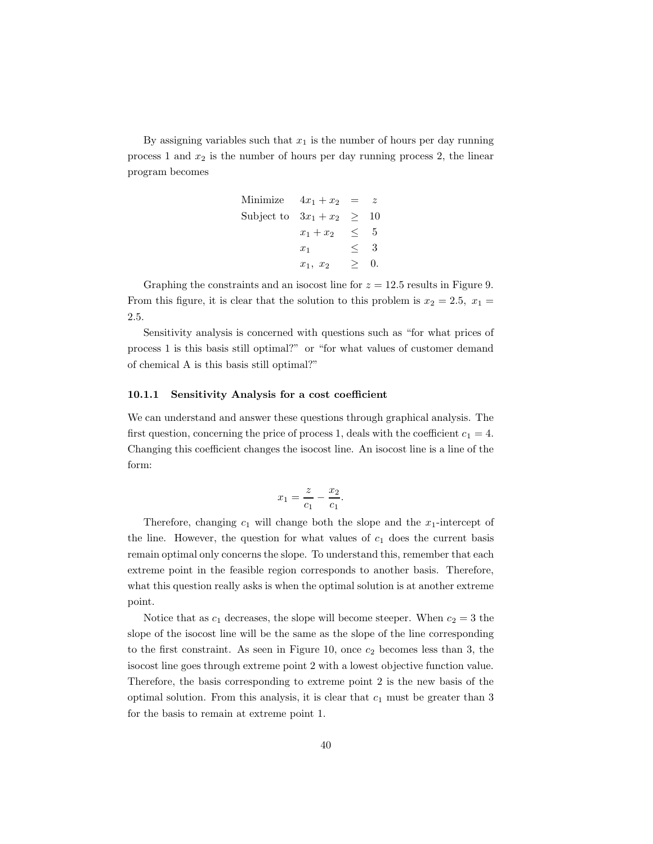By assigning variables such that  $x_1$  is the number of hours per day running process 1 and  $x_2$  is the number of hours per day running process 2, the linear program becomes

| Minimize $4x_1+x_2$          |                  | $=$    |      |
|------------------------------|------------------|--------|------|
| Subject to $3x_1 + x_2 \geq$ |                  |        | - 10 |
|                              | $x_1 + x_2 \leq$ |        | 5    |
|                              | $x_1$            | $\leq$ | - 3  |
|                              | $x_1, x_2$       |        |      |

Graphing the constraints and an isocost line for  $z = 12.5$  results in Figure 9. From this figure, it is clear that the solution to this problem is  $x_2 = 2.5$ ,  $x_1 =$ 2.5.

Sensitivity analysis is concerned with questions such as "for what prices of process 1 is this basis still optimal?" or "for what values of customer demand of chemical A is this basis still optimal?"

#### 10.1.1 Sensitivity Analysis for a cost coefficient

We can understand and answer these questions through graphical analysis. The first question, concerning the price of process 1, deals with the coefficient  $c_1 = 4$ . Changing this coefficient changes the isocost line. An isocost line is a line of the form:

$$
x_1 = \frac{z}{c_1} - \frac{x_2}{c_1}.
$$

Therefore, changing  $c_1$  will change both the slope and the  $x_1$ -intercept of the line. However, the question for what values of  $c_1$  does the current basis remain optimal only concerns the slope. To understand this, remember that each extreme point in the feasible region corresponds to another basis. Therefore, what this question really asks is when the optimal solution is at another extreme point.

Notice that as  $c_1$  decreases, the slope will become steeper. When  $c_2 = 3$  the slope of the isocost line will be the same as the slope of the line corresponding to the first constraint. As seen in Figure 10, once  $c_2$  becomes less than 3, the isocost line goes through extreme point 2 with a lowest objective function value. Therefore, the basis corresponding to extreme point 2 is the new basis of the optimal solution. From this analysis, it is clear that  $c_1$  must be greater than 3 for the basis to remain at extreme point 1.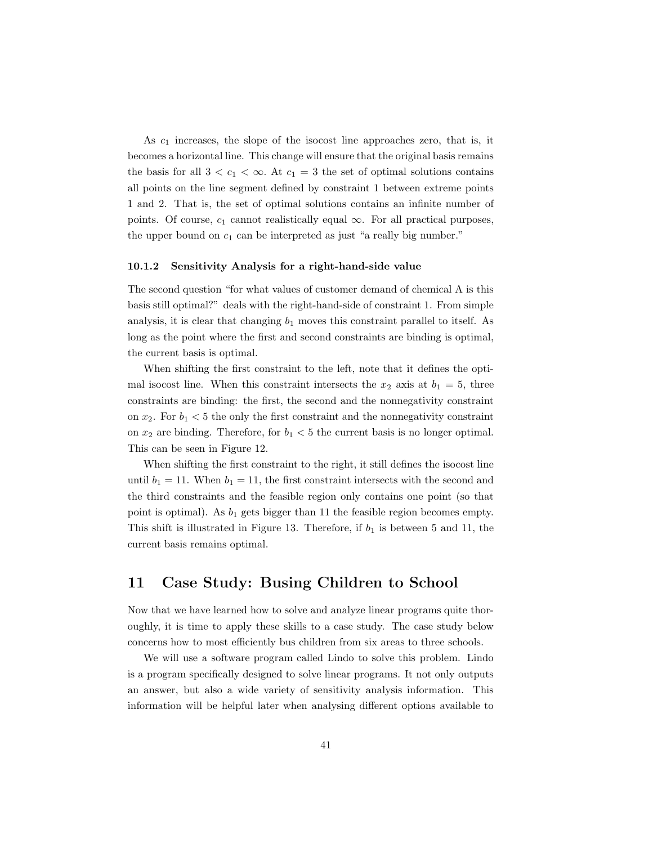As  $c_1$  increases, the slope of the isocost line approaches zero, that is, it becomes a horizontal line. This change will ensure that the original basis remains the basis for all  $3 < c_1 < \infty$ . At  $c_1 = 3$  the set of optimal solutions contains all points on the line segment defined by constraint 1 between extreme points 1 and 2. That is, the set of optimal solutions contains an infinite number of points. Of course,  $c_1$  cannot realistically equal  $\infty$ . For all practical purposes, the upper bound on  $c_1$  can be interpreted as just "a really big number."

#### 10.1.2 Sensitivity Analysis for a right-hand-side value

The second question "for what values of customer demand of chemical A is this basis still optimal?" deals with the right-hand-side of constraint 1. From simple analysis, it is clear that changing  $b_1$  moves this constraint parallel to itself. As long as the point where the first and second constraints are binding is optimal, the current basis is optimal.

When shifting the first constraint to the left, note that it defines the optimal isocost line. When this constraint intersects the  $x_2$  axis at  $b_1 = 5$ , three constraints are binding: the first, the second and the nonnegativity constraint on  $x_2$ . For  $b_1 < 5$  the only the first constraint and the nonnegativity constraint on  $x_2$  are binding. Therefore, for  $b_1 < 5$  the current basis is no longer optimal. This can be seen in Figure 12.

When shifting the first constraint to the right, it still defines the isocost line until  $b_1 = 11$ . When  $b_1 = 11$ , the first constraint intersects with the second and the third constraints and the feasible region only contains one point (so that point is optimal). As  $b_1$  gets bigger than 11 the feasible region becomes empty. This shift is illustrated in Figure 13. Therefore, if  $b_1$  is between 5 and 11, the current basis remains optimal.

## 11 Case Study: Busing Children to School

Now that we have learned how to solve and analyze linear programs quite thoroughly, it is time to apply these skills to a case study. The case study below concerns how to most efficiently bus children from six areas to three schools.

We will use a software program called Lindo to solve this problem. Lindo is a program specifically designed to solve linear programs. It not only outputs an answer, but also a wide variety of sensitivity analysis information. This information will be helpful later when analysing different options available to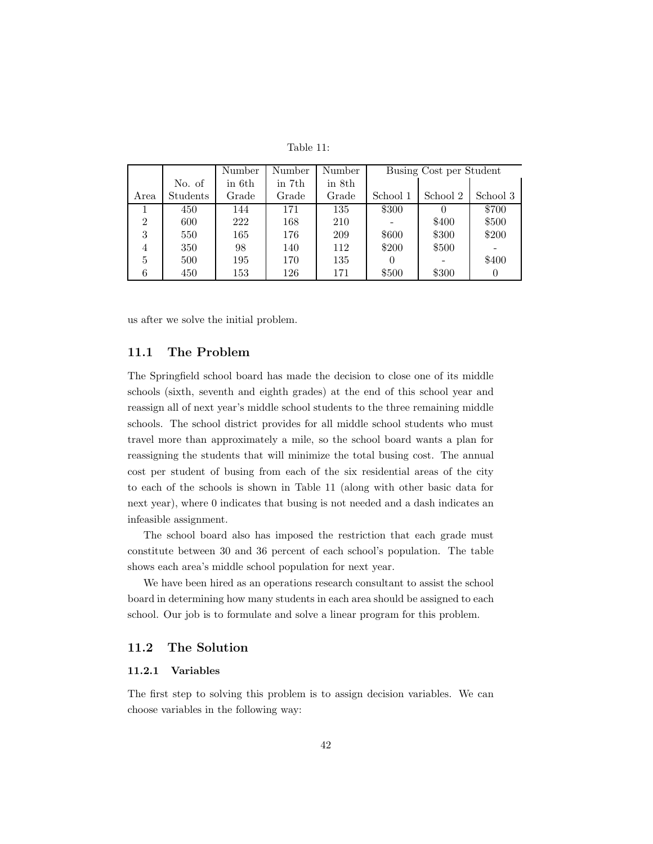| Table 11: |  |  |
|-----------|--|--|
|           |  |  |

|                |          | Number | Number | Number | Busing Cost per Student |          |          |
|----------------|----------|--------|--------|--------|-------------------------|----------|----------|
|                | No. of   | in 6th | in 7th | in 8th |                         |          |          |
| Area           | Students | Grade  | Grade  | Grade  | School 1                | School 2 | School 3 |
|                | 450      | 144    | 171    | 135    | \$300                   |          | \$700    |
| $\overline{2}$ | 600      | 222    | 168    | 210    |                         | \$400    | \$500    |
| 3              | 550      | 165    | 176    | 209    | \$600                   | \$300    | \$200    |
| $\overline{4}$ | 350      | 98     | 140    | 112    | \$200                   | \$500    |          |
| 5              | 500      | 195    | 170    | 135    | $\theta$                |          | \$400    |
| 6              | 450      | 153    | 126    | 171    | \$500                   | \$300    |          |

us after we solve the initial problem.

#### 11.1 The Problem

The Springfield school board has made the decision to close one of its middle schools (sixth, seventh and eighth grades) at the end of this school year and reassign all of next year's middle school students to the three remaining middle schools. The school district provides for all middle school students who must travel more than approximately a mile, so the school board wants a plan for reassigning the students that will minimize the total busing cost. The annual cost per student of busing from each of the six residential areas of the city to each of the schools is shown in Table 11 (along with other basic data for next year), where 0 indicates that busing is not needed and a dash indicates an infeasible assignment.

The school board also has imposed the restriction that each grade must constitute between 30 and 36 percent of each school's population. The table shows each area's middle school population for next year.

We have been hired as an operations research consultant to assist the school board in determining how many students in each area should be assigned to each school. Our job is to formulate and solve a linear program for this problem.

#### 11.2 The Solution

#### 11.2.1 Variables

The first step to solving this problem is to assign decision variables. We can choose variables in the following way: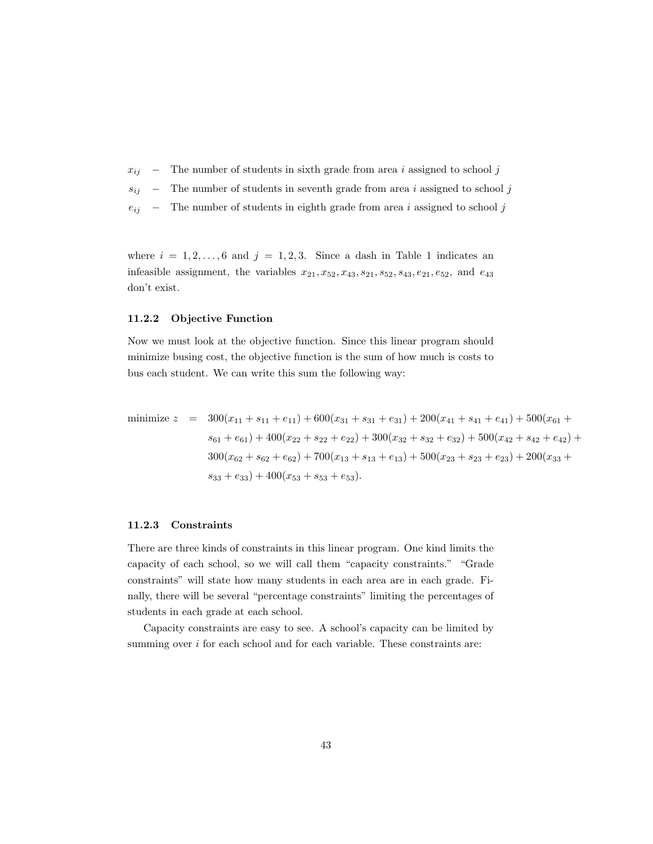- $x_{ij}$  The number of students in sixth grade from area i assigned to school j
- $s_{ij}$  The number of students in seventh grade from area i assigned to school j
- $e_{ij}$  The number of students in eighth grade from area i assigned to school j

where  $i = 1, 2, \ldots, 6$  and  $j = 1, 2, 3$ . Since a dash in Table 1 indicates an infeasible assignment, the variables  $x_{21}, x_{52}, x_{43}, s_{21}, s_{52}, s_{43}, e_{21}, e_{52}$ , and  $e_{43}$ don't exist.

#### 11.2.2 Objective Function

Now we must look at the objective function. Since this linear program should minimize busing cost, the objective function is the sum of how much is costs to bus each student. We can write this sum the following way:

minimize  $z = 300(x_{11} + s_{11} + e_{11}) + 600(x_{31} + s_{31} + e_{31}) + 200(x_{41} + s_{41} + e_{41}) + 500(x_{61} +$  $s_{61} + e_{61}$  +  $400(x_{22} + s_{22} + e_{22}) + 300(x_{32} + s_{32} + e_{32}) + 500(x_{42} + s_{42} + e_{42}) +$  $300(x_{62} + s_{62} + e_{62}) + 700(x_{13} + s_{13} + e_{13}) + 500(x_{23} + s_{23} + e_{23}) + 200(x_{33} +$  $s_{33} + e_{33}$  + 400( $x_{53} + s_{53} + e_{53}$ ).

#### 11.2.3 Constraints

There are three kinds of constraints in this linear program. One kind limits the capacity of each school, so we will call them "capacity constraints." "Grade constraints" will state how many students in each area are in each grade. Finally, there will be several "percentage constraints" limiting the percentages of students in each grade at each school.

Capacity constraints are easy to see. A school's capacity can be limited by summing over  $i$  for each school and for each variable. These constraints are: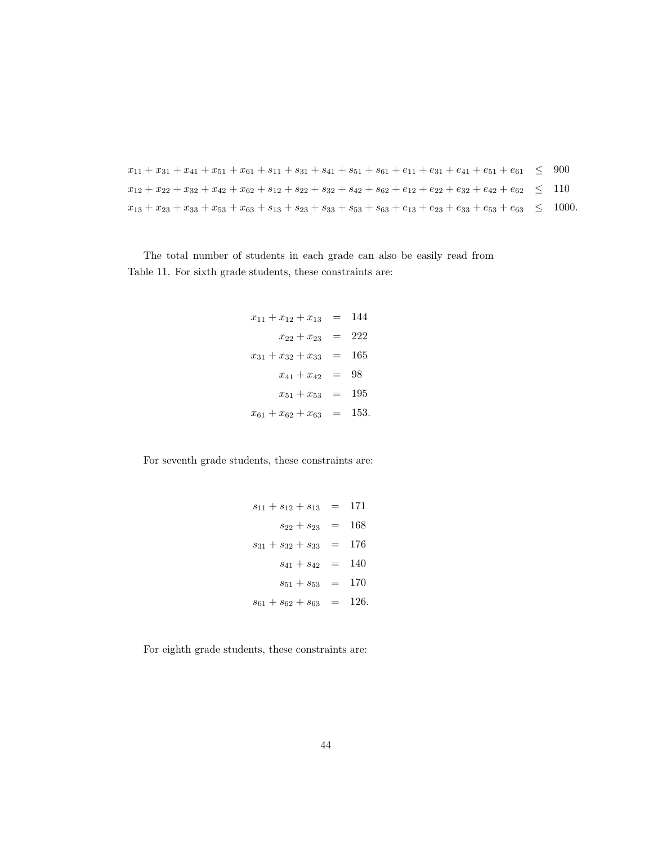| $x_{11} + x_{31} + x_{41} + x_{51} + x_{61} + s_{11} + s_{31} + s_{41} + s_{51} + s_{61} + e_{11} + e_{31} + e_{41} + e_{51} + e_{61} \leq 900$   |  |
|---------------------------------------------------------------------------------------------------------------------------------------------------|--|
| $x_{12} + x_{22} + x_{32} + x_{42} + x_{62} + s_{12} + s_{22} + s_{32} + s_{42} + s_{62} + e_{12} + e_{22} + e_{32} + e_{42} + e_{62} \leq 110$   |  |
| $x_{13} + x_{23} + x_{33} + x_{53} + x_{63} + s_{13} + s_{23} + s_{33} + s_{53} + s_{63} + e_{13} + e_{23} + e_{33} + e_{53} + e_{63} \leq 1000.$ |  |

The total number of students in each grade can also be easily read from Table 11. For sixth grade students, these constraints are:

| $x_{11} + x_{12} + x_{13} = 144$  |    |
|-----------------------------------|----|
| $x_{22} + x_{23} = 222$           |    |
| $x_{31} + x_{32} + x_{33} = 165$  |    |
| $x_{41} + x_{42} =$               | 98 |
| $x_{51} + x_{53} = 195$           |    |
| $x_{61} + x_{62} + x_{63} = 153.$ |    |

For seventh grade students, these constraints are:

```
s_{11} + s_{12} + s_{13} = 171s_{22} + s_{23} = 168s_{31} + s_{32} + s_{33} = 176s_{41} + s_{42} = 140s_{51} + s_{53} = 170s_{61} + s_{62} + s_{63} = 126.
```
For eighth grade students, these constraints are: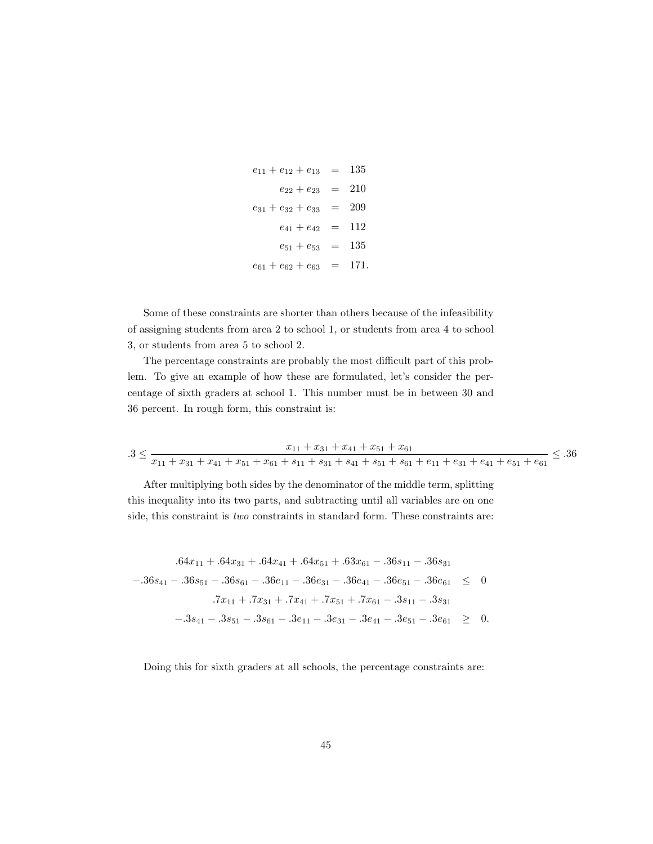| $e_{11} + e_{12} + e_{13} = 135$  |  |
|-----------------------------------|--|
| $e_{22} + e_{23} = 210$           |  |
| $e_{31} + e_{32} + e_{33} = 209$  |  |
| $e_{41} + e_{42} = 112$           |  |
| $e_{51} + e_{53} = 135$           |  |
| $e_{61} + e_{62} + e_{63} = 171.$ |  |

Some of these constraints are shorter than others because of the infeasibility of assigning students from area 2 to school 1, or students from area 4 to school 3, or students from area 5 to school 2.

The percentage constraints are probably the most difficult part of this problem. To give an example of how these are formulated, let's consider the percentage of sixth graders at school 1. This number must be in between 30 and 36 percent. In rough form, this constraint is:

$$
.3 \leq \frac{x_{11} + x_{31} + x_{41} + x_{51} + x_{61}}{x_{11} + x_{31} + x_{41} + x_{51} + x_{61} + s_{11} + s_{31} + s_{41} + s_{51} + s_{61} + e_{11} + e_{31} + e_{41} + e_{51} + e_{61}} \leq .36
$$

After multiplying both sides by the denominator of the middle term, splitting this inequality into its two parts, and subtracting until all variables are on one side, this constraint is two constraints in standard form. These constraints are:

$$
.64x_{11} + .64x_{31} + .64x_{41} + .64x_{51} + .63x_{61} - .36s_{11} - .36s_{31}
$$
  

$$
-.36s_{41} - .36s_{51} - .36s_{61} - .36e_{11} - .36e_{31} - .36e_{41} - .36e_{51} - .36e_{61} \le 0
$$
  

$$
.7x_{11} + .7x_{31} + .7x_{41} + .7x_{51} + .7x_{61} - .3s_{11} - .3s_{31}
$$
  

$$
-.3s_{41} - .3s_{51} - .3s_{61} - .3e_{11} - .3e_{31} - .3e_{41} - .3e_{51} - .3e_{61} \ge 0.
$$

Doing this for sixth graders at all schools, the percentage constraints are: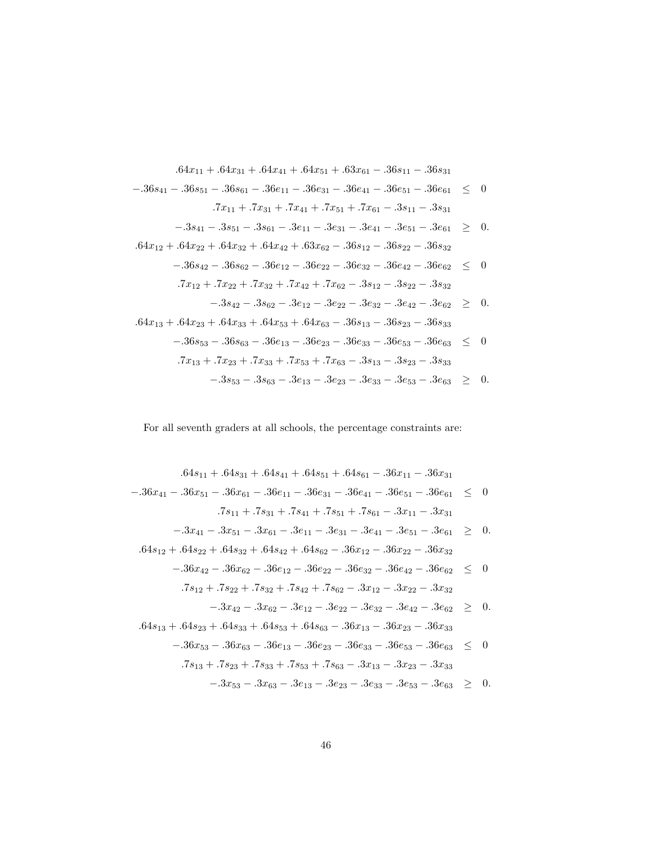$$
.64x_{11} + .64x_{31} + .64x_{41} + .64x_{51} + .63x_{61} - .36s_{11} - .36s_{31}
$$
  
\n
$$
-.36s_{41} - .36s_{51} - .36s_{61} - .36e_{11} - .36e_{31} - .36e_{41} - .36e_{51} - .36e_{61} \le 0
$$
  
\n
$$
.7x_{11} + .7x_{31} + .7x_{41} + .7x_{51} + .7x_{61} - .3s_{11} - .3s_{31}
$$
  
\n
$$
-.3s_{41} - .3s_{51} - .3s_{61} - .3e_{11} - .3e_{31} - .3e_{41} - .3e_{51} - .3e_{61} \ge 0.
$$
  
\n
$$
.64x_{12} + .64x_{22} + .64x_{32} + .64x_{42} + .63x_{62} - .36s_{12} - .36s_{22} - .36s_{32}
$$
  
\n
$$
-.36s_{42} - .36s_{62} - .36e_{12} - .36e_{22} - .36e_{32} - .36e_{42} - .36e_{62} \le 0
$$
  
\n
$$
.7x_{12} + .7x_{22} + .7x_{32} + .7x_{42} + .7x_{62} - .3s_{12} - .3s_{22} - .3s_{32}
$$
  
\n
$$
-.3s_{42} - .3s_{62} - .3e_{12} - .3e_{22} - .3e_{32} - .3e_{42} - .3e_{62} \ge 0.
$$
  
\n
$$
.64x_{13} + .64x_{23} + .64x_{33} + .64x_{53} + .64x_{63} - .36s_{13} - .36s_{23} - .36s_{33}
$$
  
\n
$$
-.36s_{53} - .36s_{63} - .36e_{13} - .36e_{23} - .36e_{33} - .36e_{53} - .36e_{63} \le 0
$$

$$
-3s_{53}-3s_{63}-3e_{13}-3e_{23}-3e_{33}-3e_{53}-3e_{63} \geq 0.
$$

For all seventh graders at all schools, the percentage constraints are:

$$
.64s_{11} + .64s_{31} + .64s_{41} + .64s_{51} + .64s_{61} - .36x_{11} - .36x_{31}
$$
  
\n
$$
-.36x_{41} - .36x_{51} - .36x_{61} - .36e_{11} - .36e_{31} - .36e_{41} - .36e_{51} - .36e_{61} \le 0
$$
  
\n
$$
.7s_{11} + .7s_{31} + .7s_{41} + .7s_{51} + .7s_{61} - .3x_{11} - .3x_{31}
$$
  
\n
$$
-.3x_{41} - .3x_{51} - .3x_{61} - .3e_{11} - .3e_{31} - .3e_{41} - .3e_{51} - .3e_{61} \ge 0.
$$
  
\n
$$
.64s_{12} + .64s_{22} + .64s_{32} + .64s_{42} + .64s_{62} - .36x_{12} - .36x_{22} - .36x_{32}
$$
  
\n
$$
-.36x_{42} - .36x_{62} - .36e_{12} - .36e_{22} - .36e_{32} - .36e_{42} - .36e_{62} \le 0
$$
  
\n
$$
.7s_{12} + .7s_{22} + .7s_{32} + .7s_{42} + .7s_{62} - .3x_{12} - .3x_{22} - .3x_{32}
$$
  
\n
$$
-.3x_{42} - .3x_{62} - .3e_{12} - .3e_{22} - .3e_{32} - .3e_{42} - .3e_{62} \ge 0.
$$
  
\n
$$
.64s_{13} + .64s_{23} + .64s_{33} + .64s_{53} + .64s_{63} - .36x_{13} - .36x_{23} - .36x_{33}
$$
  
\n
$$
-.36x_{53} - .36x_{63} - .36e_{13} - .36e_{23} - .36e_{33} - .36e_{53} - .36e_{63} \le 0
$$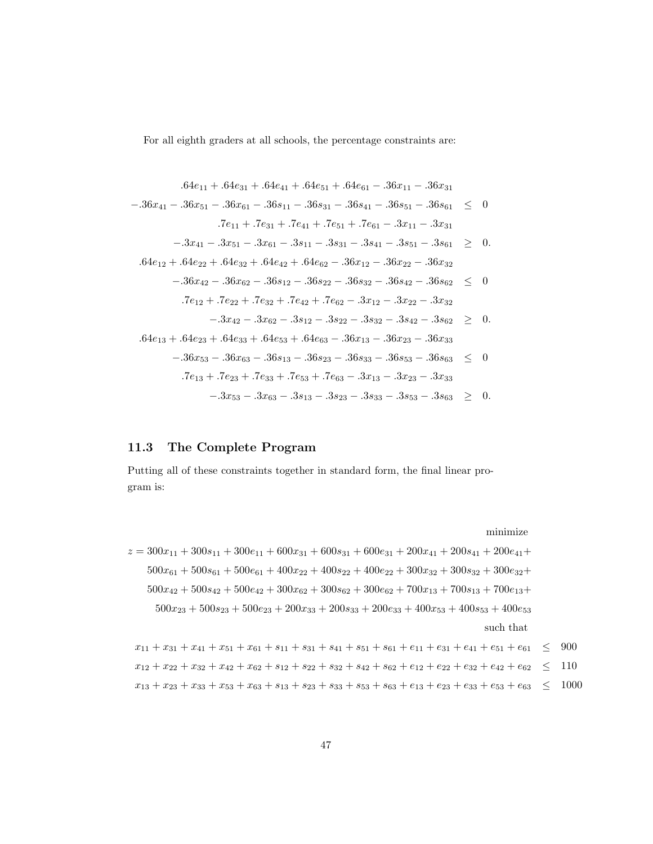For all eighth graders at all schools, the percentage constraints are:

$$
.64e_{11} + .64e_{31} + .64e_{41} + .64e_{51} + .64e_{61} - .36x_{11} - .36x_{31}
$$
  
\n
$$
-.36x_{41} - .36x_{51} - .36x_{61} - .36s_{11} - .36s_{31} - .36s_{41} - .36s_{51} - .36s_{61} \le 0
$$
  
\n
$$
.7e_{11} + .7e_{31} + .7e_{41} + .7e_{51} + .7e_{61} - .3x_{11} - .3x_{31}
$$
  
\n
$$
-.3x_{41} - .3x_{51} - .3x_{61} - .3s_{11} - .3s_{31} - .3s_{41} - .3s_{51} - .3s_{61} \ge 0.
$$
  
\n
$$
.64e_{12} + .64e_{22} + .64e_{32} + .64e_{42} + .64e_{62} - .36x_{12} - .36x_{22} - .36x_{32}
$$
  
\n
$$
-.36x_{42} - .36x_{62} - .36s_{12} - .36s_{22} - .36s_{32} - .36s_{42} - .36s_{62} \le 0
$$
  
\n
$$
.7e_{12} + .7e_{22} + .7e_{32} + .7e_{42} + .7e_{62} - .3x_{12} - .3x_{22} - .3x_{32}
$$
  
\n
$$
-.3x_{42} - .3x_{62} - .3s_{12} - .3s_{22} - .3s_{32} - .3s_{42} - .3s_{62} \ge 0.
$$
  
\n
$$
.64e_{13} + .64e_{23} + .64e_{33} + .64e_{53} + .64e_{63} - .36x_{13} - .36x_{23} - .36x_{33}
$$
  
\n
$$
-.36x_{53} - .36x_{63} - .36s_{13} - .36s_{23} - .36s_{33} - .36s_{53} - .36s_{63} \le 0
$$

## 11.3 The Complete Program

Putting all of these constraints together in standard form, the final linear program is:

$$
z = 300x_{11} + 300s_{11} + 300e_{11} + 600x_{31} + 600s_{31} + 600e_{31} + 200x_{41} + 200s_{41} + 200e_{41} + 500x_{61} + 500s_{61} + 500e_{61} + 400x_{22} + 400s_{22} + 400e_{22} + 300x_{32} + 300s_{32} + 300e_{32} + 500x_{42} + 500s_{42} + 500e_{42} + 300x_{62} + 300s_{62} + 700x_{13} + 700s_{13} + 700e_{13} + 500x_{23} + 500s_{23} + 500e_{23} + 200x_{33} + 200s_{33} + 200e_{33} + 400x_{53} + 400s_{53} + 400e_{53}
$$
such that  
\n
$$
x_{11} + x_{31} + x_{41} + x_{51} + x_{61} + s_{11} + s_{31} + s_{41} + s_{51} + s_{61} + e_{11} + e_{31} + e_{41} + e_{51} + e_{61} \leq 900
$$
\n
$$
x_{12} + x_{22} + x_{32} + x_{42} + x_{62} + s_{12} + s_{22} + s_{32} + s_{42} + s_{62} + e_{12} + e_{22} + e_{32} + e_{42} + e_{62} \leq 110
$$
\n
$$
x_{13} + x_{23} + x_{33} + x_{53} + x_{63} + s_{13} + s_{23} + s_{33} + s_{53} + s_{63} + e_{13} + e_{23} + e_{33} + e_{53} + e_{63} \leq 1000
$$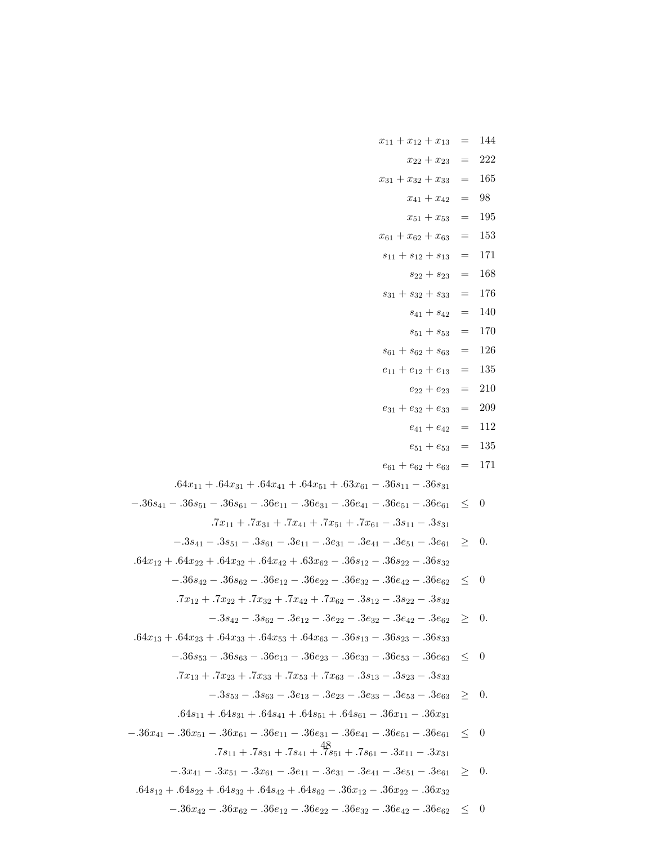$x_{11} + x_{12} + x_{13} = 144$  $x_{22} + x_{23} = 222$  $x_{31} + x_{32} + x_{33} = 165$  $x_{41} + x_{42} = 98$  $x_{51} + x_{53} = 195$  $x_{61} + x_{62} + x_{63} = 153$  $s_{11} + s_{12} + s_{13} = 171$  $s_{22} + s_{23} = 168$  $s_{31} + s_{32} + s_{33} = 176$  $s_{41} + s_{42} = 140$  $s_{51} + s_{53} = 170$  $s_{61} + s_{62} + s_{63} = 126$  $e_{11} + e_{12} + e_{13} = 135$  $e_{22} + e_{23} = 210$  $e_{31} + e_{32} + e_{33} = 209$  $e_{41} + e_{42} = 112$  $e_{51} + e_{53} = 135$  $e_{61} + e_{62} + e_{63} = 171$  $.64x_{11} + .64x_{31} + .64x_{41} + .64x_{51} + .63x_{61} - .36s_{11} - .36s_{31}$  $-0.36s_{41} - 0.36s_{51} - 0.36s_{61} - 0.36e_{11} - 0.36e_{31} - 0.36e_{41} - 0.36e_{51} - 0.36e_{61} \leq 0$  $.7x_{11} + .7x_{31} + .7x_{41} + .7x_{51} + .7x_{61} - .3s_{11} - .3s_{31}$  $-3s_{41} - 3s_{51} - 3s_{61} - 3e_{11} - 3e_{31} - 3e_{41} - 3e_{51} - 3e_{61} \geq 0.$  $.64x_{12} + .64x_{22} + .64x_{32} + .64x_{42} + .63x_{62} - .36s_{12} - .36s_{22} - .36s_{32}$  $-0.36s_{42} - 0.36s_{62} - 0.36e_{12} - 0.36e_{22} - 0.36e_{32} - 0.36e_{42} - 0.36e_{62} \leq 0$  $.7x_{12} + .7x_{22} + .7x_{32} + .7x_{42} + .7x_{62} - .3s_{12} - .3s_{22} - .3s_{32}$  $-0.3s_{42} - 0.3s_{62} - 0.3e_{12} - 0.3e_{22} - 0.3e_{32} - 0.3e_{42} - 0.3e_{62} \geq 0.$  $.64x_{13} + .64x_{23} + .64x_{33} + .64x_{53} + .64x_{63} - .36s_{13} - .36s_{23} - .36s_{33}$  $-0.36s_{53} - 0.36s_{63} - 0.36e_{13} - 0.36e_{23} - 0.36e_{33} - 0.36e_{53} - 0.36e_{63} \leq 0$  $.7x_{13} + .7x_{23} + .7x_{33} + .7x_{53} + .7x_{63} - .3s_{13} - .3s_{23} - .3s_{33}$  $-0.3s_{53} - 0.3s_{63} - 0.3e_{13} - 0.3e_{23} - 0.3e_{33} - 0.3e_{53} - 0.3e_{63} > 0.$  $.64s_{11} + .64s_{31} + .64s_{41} + .64s_{51} + .64s_{61} - .36x_{11} - .36x_{31}$  $-0.36x_{41} - 0.36x_{51} - 0.36x_{61} - 0.36e_{11} - 0.36e_{31} - 0.36e_{51} - 0.36e_{61} \leq 0$  $.7s_{11} + .7s_{31} + .7s_{41} + .7s_{51} + .7s_{61} - .3x_{11} - .3x_{31}$  $-3x_{41} - 3x_{51} - 3x_{61} - 3e_{11} - 3e_{31} - 3e_{41} - 3e_{51} - 3e_{61} \geq 0.$  $.64s_{12} + .64s_{22} + .64s_{32} + .64s_{42} + .64s_{62} - .36x_{12} - .36x_{22} - .36x_{32}$  $-0.36x_{42} - 0.36x_{62} - 0.36e_{12} - 0.36e_{22} - 0.36e_{32} - 0.36e_{42} - 0.36e_{62} \leq 0.0001$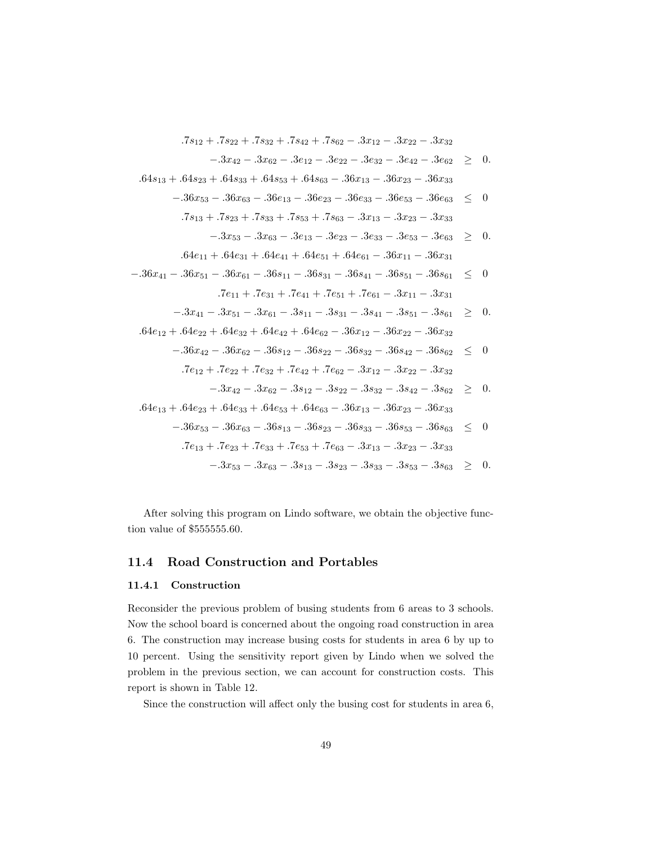$$
.7s_{12} + .7s_{22} + .7s_{32} + .7s_{42} + .7s_{62} - .3x_{12} - .3x_{22} - .3x_{32}
$$
  
\n
$$
-.3x_{42} - .3x_{62} - .3e_{12} - .3e_{22} - .3e_{32} - .3e_{42} - .3e_{62} \ge 0.
$$
  
\n
$$
.64s_{13} + .64s_{23} + .64s_{33} + .64s_{53} + .64s_{63} - .36x_{13} - .36x_{23} - .36x_{33}
$$
  
\n
$$
-.36x_{53} - .36x_{63} - .36e_{13} - .36e_{23} - .36e_{33} - .36e_{53} - .36e_{63} \le 0
$$
  
\n
$$
.7s_{13} + .7s_{23} + .7s_{33} + .7s_{53} + .7s_{63} - .3x_{13} - .3x_{23} - .3x_{33}
$$
  
\n
$$
-.3x_{53} - .3x_{63} - .3e_{13} - .3e_{23} - .3e_{33} - .3e_{53} - .3e_{63} \ge 0.
$$
  
\n
$$
.64e_{11} + .64e_{31} + .64e_{41} + .64e_{51} + .64e_{61} - .36x_{11} - .36x_{31}
$$
  
\n
$$
-.36x_{41} - .36x_{51} - .36x_{61} - .36s_{11} - .36s_{31} - .36s_{41} - .36s_{51} - .36s_{61} \le 0
$$
  
\n
$$
.7e_{11} + .7e_{31} + .7e_{41} + .7e_{51} + .7e_{61} - .3x_{11} - .3x_{31}
$$
  
\n
$$
- .3x_{41} - .3x_{51} - .3x_{61} - .3s_{11} - .3s_{31} - .3s_{41} - .3s_{51} - .3s_{61} \ge 0.
$$
  
\n
$$
.64
$$

After solving this program on Lindo software, we obtain the objective function value of \$555555.60.

#### 11.4 Road Construction and Portables

#### 11.4.1 Construction

Reconsider the previous problem of busing students from 6 areas to 3 schools. Now the school board is concerned about the ongoing road construction in area 6. The construction may increase busing costs for students in area 6 by up to 10 percent. Using the sensitivity report given by Lindo when we solved the problem in the previous section, we can account for construction costs. This report is shown in Table 12.

Since the construction will affect only the busing cost for students in area 6,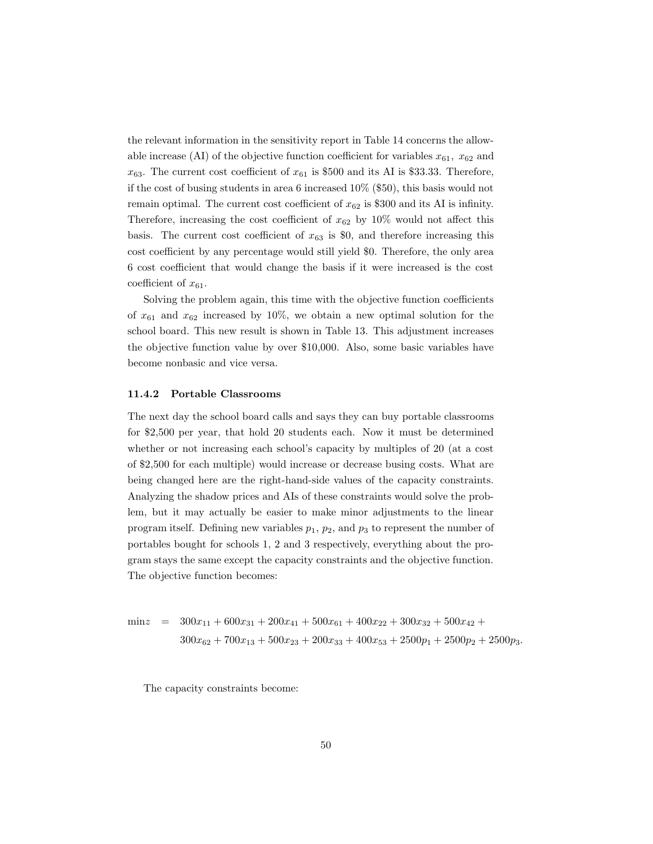the relevant information in the sensitivity report in Table 14 concerns the allowable increase (AI) of the objective function coefficient for variables  $x_{61}$ ,  $x_{62}$  and  $x_{63}$ . The current cost coefficient of  $x_{61}$  is \$500 and its AI is \$33.33. Therefore, if the cost of busing students in area 6 increased 10% (\$50), this basis would not remain optimal. The current cost coefficient of  $x_{62}$  is \$300 and its AI is infinity. Therefore, increasing the cost coefficient of  $x_{62}$  by 10% would not affect this basis. The current cost coefficient of  $x_{63}$  is \$0, and therefore increasing this cost coefficient by any percentage would still yield \$0. Therefore, the only area 6 cost coefficient that would change the basis if it were increased is the cost coefficient of  $x_{61}$ .

Solving the problem again, this time with the objective function coefficients of  $x_{61}$  and  $x_{62}$  increased by 10%, we obtain a new optimal solution for the school board. This new result is shown in Table 13. This adjustment increases the objective function value by over \$10,000. Also, some basic variables have become nonbasic and vice versa.

#### 11.4.2 Portable Classrooms

The next day the school board calls and says they can buy portable classrooms for \$2,500 per year, that hold 20 students each. Now it must be determined whether or not increasing each school's capacity by multiples of 20 (at a cost of \$2,500 for each multiple) would increase or decrease busing costs. What are being changed here are the right-hand-side values of the capacity constraints. Analyzing the shadow prices and AIs of these constraints would solve the problem, but it may actually be easier to make minor adjustments to the linear program itself. Defining new variables  $p_1$ ,  $p_2$ , and  $p_3$  to represent the number of portables bought for schools 1, 2 and 3 respectively, everything about the program stays the same except the capacity constraints and the objective function. The objective function becomes:

$$
\begin{array}{rcl}\n\min z & = & 300x_{11} + 600x_{31} + 200x_{41} + 500x_{61} + 400x_{22} + 300x_{32} + 500x_{42} + \\
& & 300x_{62} + 700x_{13} + 500x_{23} + 200x_{33} + 400x_{53} + 2500p_1 + 2500p_2 + 2500p_3.\n\end{array}
$$

The capacity constraints become: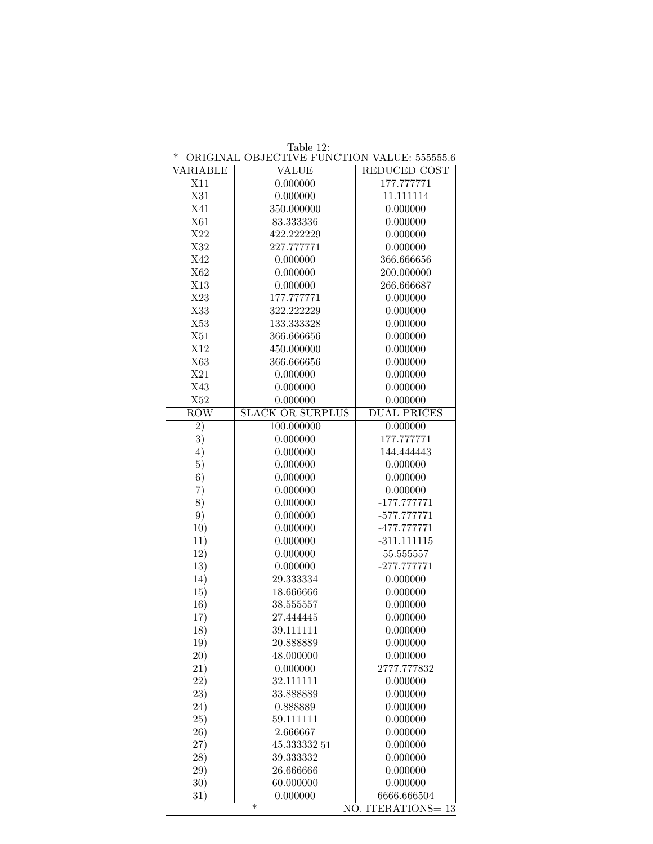| $\frac{\text{Table 12:}}{\text{ORIGINAL OBJECTIVE FUNCTION VALUE: } 5555555.6}$ |                         |                    |  |  |
|---------------------------------------------------------------------------------|-------------------------|--------------------|--|--|
|                                                                                 | $\ast$                  |                    |  |  |
| VARIABLE                                                                        | <b>VALUE</b>            | REDUCED COST       |  |  |
| X11                                                                             | 0.000000                | 177.777771         |  |  |
| X31                                                                             | 0.000000                | 11.111114          |  |  |
| X41                                                                             | 350.000000              | 0.000000           |  |  |
| X61                                                                             | 83.333336               | 0.000000           |  |  |
| X22                                                                             | 422.222229              | 0.000000           |  |  |
| X32                                                                             | 227.777771              | 0.000000           |  |  |
| X42                                                                             | 0.000000                | 366.666656         |  |  |
| X62                                                                             | 0.000000                | 200.000000         |  |  |
| X13                                                                             | 0.000000                | 266.666687         |  |  |
| X23                                                                             | 177.777771              | 0.000000           |  |  |
| X33                                                                             | 322.222229              | 0.000000           |  |  |
| X53                                                                             | 133.333328              | 0.000000           |  |  |
| X51                                                                             | 366.666656              | 0.000000           |  |  |
| X12                                                                             | 450.000000              | 0.000000           |  |  |
| X63                                                                             | 366.666656              | 0.000000           |  |  |
| X21                                                                             | 0.000000                | 0.000000           |  |  |
| X43                                                                             | 0.000000                | 0.000000           |  |  |
| X52                                                                             | 0.000000                | 0.000000           |  |  |
| $\overline{\text{ROW}}$                                                         | <b>SLACK OR SURPLUS</b> | <b>DUAL PRICES</b> |  |  |
| $\overline{2})$                                                                 | 100.000000              | 0.000000           |  |  |
| 3)                                                                              | 0.000000                | 177.777771         |  |  |
| 4)                                                                              | 0.000000                | 144.444443         |  |  |
| 5)                                                                              | 0.000000                | 0.000000           |  |  |
| 6)                                                                              | 0.000000                | 0.000000           |  |  |
| 7)                                                                              | 0.000000                | 0.000000           |  |  |
| 8)                                                                              | 0.000000                | $-177.777771$      |  |  |
| 9)                                                                              | 0.000000                | $-577.777771$      |  |  |
| 10)                                                                             | 0.000000                | $-477.777771$      |  |  |
| 11)                                                                             | 0.000000                | $-311.111115$      |  |  |
| 12)                                                                             | 0.000000                | 55.555557          |  |  |
| 13)                                                                             | 0.000000                | $-277.777771$      |  |  |
| 14)                                                                             | 29.333334               | 0.000000           |  |  |
| 15)                                                                             | 18.666666               | 0.000000           |  |  |
| 16)                                                                             | 38.555557               | 0.000000           |  |  |
| 17)                                                                             | 27.444445               | 0.000000           |  |  |
| 18)                                                                             | 39.111111               | 0.000000           |  |  |
| 19)                                                                             | 20.888889               | 0.000000           |  |  |
| 20)                                                                             | 48.000000               | 0.000000           |  |  |
| 21)                                                                             | 0.000000                | 2777.777832        |  |  |
| 22)                                                                             | 32.111111               | 0.000000           |  |  |
| 23)                                                                             | 33.888889               | 0.000000           |  |  |
| 24)                                                                             | 0.888889                | 0.000000           |  |  |
| 25)                                                                             | 59.111111               | 0.000000           |  |  |
| 26)                                                                             | 2.666667                | 0.000000           |  |  |
| 27)                                                                             | 45.33333251             | 0.000000           |  |  |
| 28)                                                                             | 39.333332               | 0.000000           |  |  |
| 29)                                                                             | 26.666666               | 0.000000           |  |  |
| 30)                                                                             | 60.000000               | 0.000000           |  |  |
| 31)                                                                             | 0.000000                | 6666.666504        |  |  |
|                                                                                 | $\ast$                  | NO. ITERATIONS= 13 |  |  |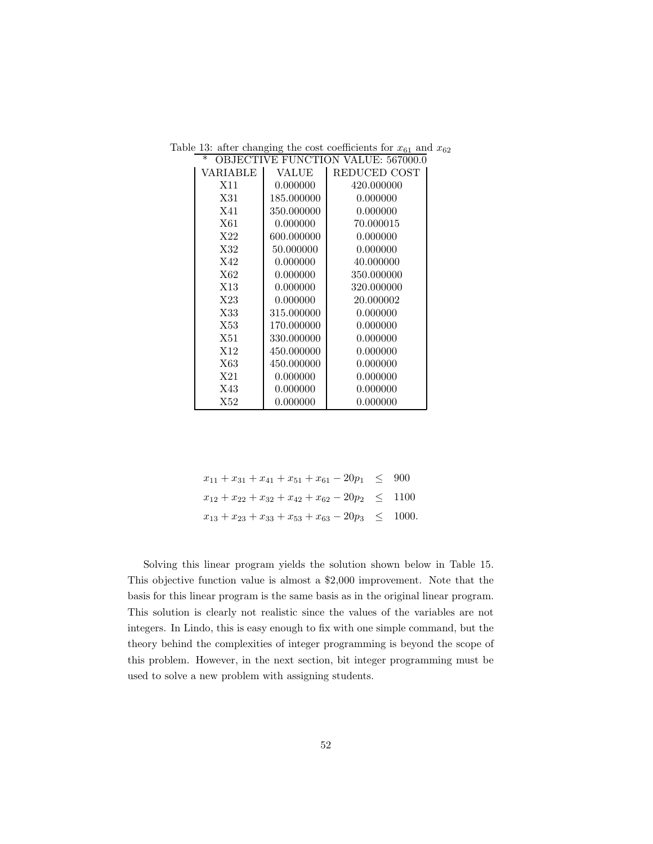| $\ast$<br><b>OBJECTIVE FUNCTION VALUE: 567000.0</b> |            |              |  |
|-----------------------------------------------------|------------|--------------|--|
| VARIABLE                                            | VALUE      | REDUCED COST |  |
| X11                                                 | 0.000000   | 420.000000   |  |
| X31                                                 | 185.000000 | 0.000000     |  |
| X41                                                 | 350.000000 | 0.000000     |  |
| X61                                                 | 0.000000   | 70.000015    |  |
| X22                                                 | 600.000000 | 0.000000     |  |
| X32                                                 | 50.000000  | 0.000000     |  |
| X42                                                 | 0.000000   | 40.000000    |  |
| X62                                                 | 0.000000   | 350.000000   |  |
| X13                                                 | 0.000000   | 320.000000   |  |
| X23                                                 | 0.000000   | 20.000002    |  |
| X33                                                 | 315.000000 | 0.000000     |  |
| X53                                                 | 170.000000 | 0.000000     |  |
| X51                                                 | 330.000000 | 0.000000     |  |
| X12                                                 | 450.000000 | 0.000000     |  |
| X63                                                 | 450.000000 | 0.000000     |  |
| X21                                                 | 0.000000   | 0.000000     |  |
| X43                                                 | 0.000000   | 0.000000     |  |
| X52                                                 | 0.000000   | 0.000000     |  |

Table 13: after changing the cost coefficients for  $x_{61}$  and  $x_{62}$ 

| $x_{11} + x_{31} + x_{41} + x_{51} + x_{61} - 20p_1 \leq 900$   |  |
|-----------------------------------------------------------------|--|
| $x_{12} + x_{22} + x_{32} + x_{42} + x_{62} - 20p_2 \le 1100$   |  |
| $x_{13} + x_{23} + x_{33} + x_{53} + x_{63} - 20p_3 \leq 1000.$ |  |

Solving this linear program yields the solution shown below in Table 15. This objective function value is almost a \$2,000 improvement. Note that the basis for this linear program is the same basis as in the original linear program. This solution is clearly not realistic since the values of the variables are not integers. In Lindo, this is easy enough to fix with one simple command, but the theory behind the complexities of integer programming is beyond the scope of this problem. However, in the next section, bit integer programming must be used to solve a new problem with assigning students.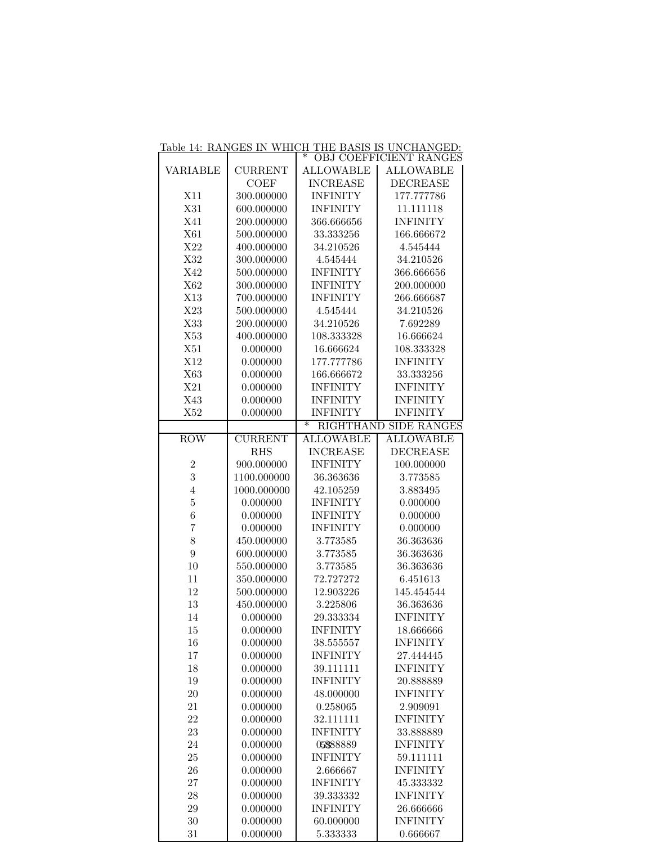| Table 14: RANGES IN WHICH THE BASIS IS UNCHANGED:<br>FOBJ COEFFICIENT RANGES |                |                     |                    |
|------------------------------------------------------------------------------|----------------|---------------------|--------------------|
|                                                                              |                |                     |                    |
| <b>VARIABLE</b>                                                              | <b>CURRENT</b> | <b>ALLOWABLE</b>    | <b>ALLOWABLE</b>   |
|                                                                              | <b>COEF</b>    | <b>INCREASE</b>     | <b>DECREASE</b>    |
| X11                                                                          | 300.000000     | <b>INFINITY</b>     | 177.777786         |
| X31                                                                          | 600.000000     | <b>INFINITY</b>     | 11.111118          |
| X41                                                                          | 200.000000     | 366.666656          | <b>INFINITY</b>    |
| X61                                                                          | 500.000000     | 33.333256           | 166.666672         |
| X22                                                                          | 400.000000     | 34.210526           | 4.545444           |
| X32                                                                          | 300.000000     | 4.545444            | 34.210526          |
| X42                                                                          | 500.000000     | <b>INFINITY</b>     | 366.666656         |
| X62                                                                          | 300.000000     | <b>INFINITY</b>     | 200.000000         |
| X13                                                                          | 700.000000     | <b>INFINITY</b>     | 266.666687         |
| X23                                                                          | 500.000000     | 4.545444            | 34.210526          |
| X33                                                                          | 200.000000     | 34.210526           | 7.692289           |
| X53                                                                          | 400.000000     | 108.333328          | 16.666624          |
| X51                                                                          | 0.000000       | 16.666624           | 108.333328         |
| X12                                                                          | 0.000000       | 177.777786          | <b>INFINITY</b>    |
| X63                                                                          | 0.000000       | 166.666672          | 33.333256          |
| X21                                                                          | 0.000000       | <b>INFINITY</b>     | <b>INFINITY</b>    |
| X43                                                                          | 0.000000       | <b>INFINITY</b>     | <b>INFINITY</b>    |
| X52                                                                          | 0.000000       | <b>INFINITY</b>     | <b>INFINITY</b>    |
|                                                                              |                | $\ast$<br>RIGHTHAND | <b>SIDE RANGES</b> |
| <b>ROW</b>                                                                   | <b>CURRENT</b> | <b>ALLOWABLE</b>    | <b>ALLOWABLE</b>   |
|                                                                              | <b>RHS</b>     | <b>INCREASE</b>     | <b>DECREASE</b>    |
| $\overline{2}$                                                               | 900.000000     | <b>INFINITY</b>     | 100.000000         |
| 3                                                                            | 1100.000000    | 36.363636           | 3.773585           |
| $\overline{4}$                                                               | 1000.000000    | 42.105259           | 3.883495           |
| $\overline{5}$                                                               | 0.000000       | <b>INFINITY</b>     | 0.000000           |
| 6                                                                            | 0.000000       | <b>INFINITY</b>     | 0.000000           |
| $\overline{7}$                                                               | 0.000000       | <b>INFINITY</b>     | 0.000000           |
| 8                                                                            | 450.000000     | 3.773585            | 36.363636          |
| 9                                                                            | 600.000000     | 3.773585            | 36.363636          |
| 10                                                                           | 550.000000     |                     | 36.363636          |
|                                                                              |                | 3.773585            |                    |
| 11                                                                           | 350.000000     | 72.727272           | 6.451613           |
| 12                                                                           | 500.000000     | 12.903226           | 145.454544         |
| 13                                                                           | 450.000000     | 3.225806            | 36.363636          |
| 14                                                                           | 0.000000       | 29.333334           | <b>INFINITY</b>    |
| 15                                                                           | 0.000000       | <b>INFINITY</b>     | 18.666666          |
| 16                                                                           | 0.000000       | 38.555557           | <b>INFINITY</b>    |
| 17                                                                           | 0.000000       | <b>INFINITY</b>     | 27.444445          |
| 18                                                                           | 0.000000       | 39.111111           | <b>INFINITY</b>    |
| 19                                                                           | 0.000000       | <b>INFINITY</b>     | 20.888889          |
| 20                                                                           | 0.000000       | 48.000000           | <b>INFINITY</b>    |
| 21                                                                           | 0.000000       | 0.258065            | 2.909091           |
| 22                                                                           | 0.000000       | 32.111111           | <b>INFINITY</b>    |
| 23                                                                           | 0.000000       | <b>INFINITY</b>     | 33.888889          |
| 24                                                                           | 0.000000       | 05888889            | <b>INFINITY</b>    |
| 25                                                                           | 0.000000       | <b>INFINITY</b>     | 59.111111          |
| 26                                                                           | 0.000000       | 2.666667            | <b>INFINITY</b>    |
| 27                                                                           | 0.000000       | <b>INFINITY</b>     | 45.333332          |
| 28                                                                           | 0.000000       | 39.333332           | <b>INFINITY</b>    |
| 29                                                                           | 0.000000       | <b>INFINITY</b>     | 26.666666          |
| 30                                                                           | 0.000000       | 60.000000           | <b>INFINITY</b>    |
| 31                                                                           | 0.000000       | 5.333333            | 0.666667           |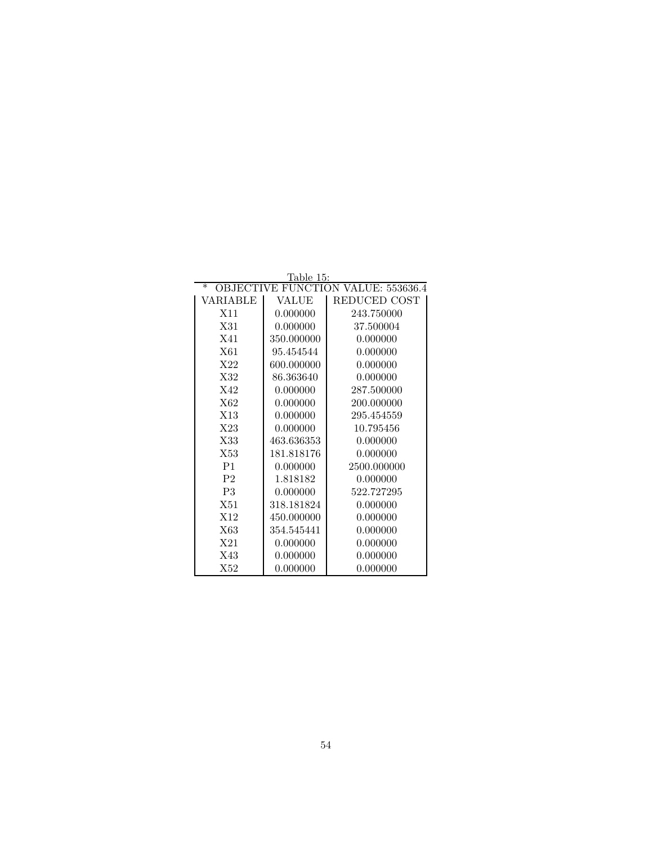| Table 15:      |                                    |              |  |  |
|----------------|------------------------------------|--------------|--|--|
| $\ast$         | OBJECTIVE FUNCTION VALUE: 553636.4 |              |  |  |
| VARIABLE       | VALUE                              | REDUCED COST |  |  |
| X11            | 0.000000                           | 243.750000   |  |  |
| X31            | 0.000000                           | 37.500004    |  |  |
| X41            | 350.000000                         | 0.000000     |  |  |
| X61            | 95.454544                          | 0.000000     |  |  |
| X22            | 600.000000                         | 0.000000     |  |  |
| X32            | 86.363640                          | 0.000000     |  |  |
| X42            | 0.000000                           | 287.500000   |  |  |
| X62            | 0.000000                           | 200.000000   |  |  |
| X13            | 0.000000                           | 295.454559   |  |  |
| X23            | 0.000000                           | 10.795456    |  |  |
| X33            | 463.636353                         | 0.000000     |  |  |
| X53            | 181.818176                         | 0.000000     |  |  |
| P <sub>1</sub> | 0.000000                           | 2500.000000  |  |  |
| P <sub>2</sub> | 1.818182                           | 0.000000     |  |  |
| P3             | 0.000000                           | 522.727295   |  |  |
| X51            | 318.181824                         | 0.000000     |  |  |
| X12            | 450.000000                         | 0.000000     |  |  |
| X63            | 354.545441                         | 0.000000     |  |  |
| X21            | 0.000000                           | 0.000000     |  |  |
| X43            | 0.000000                           | 0.000000     |  |  |
| X52            | 0.000000                           | $\,0.000000$ |  |  |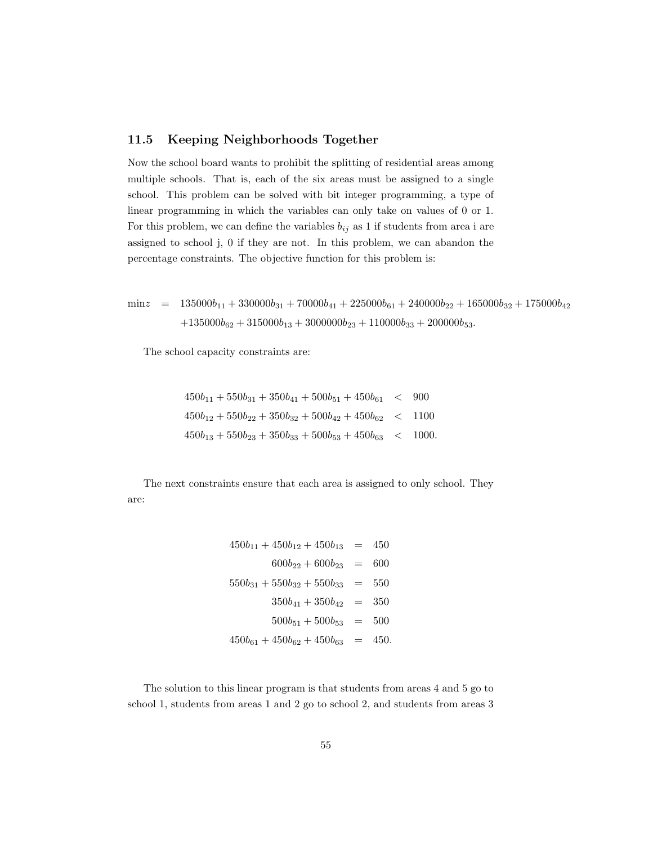#### 11.5 Keeping Neighborhoods Together

Now the school board wants to prohibit the splitting of residential areas among multiple schools. That is, each of the six areas must be assigned to a single school. This problem can be solved with bit integer programming, a type of linear programming in which the variables can only take on values of 0 or 1. For this problem, we can define the variables  $b_{ij}$  as 1 if students from area i are assigned to school j, 0 if they are not. In this problem, we can abandon the percentage constraints. The objective function for this problem is:

$$
\begin{array}{ll} \min z & = & 135000b_{11} + 330000b_{31} + 70000b_{41} + 225000b_{61} + 240000b_{22} + 165000b_{32} + 175000b_{42} \\ & & + 135000b_{62} + 315000b_{13} + 3000000b_{23} + 110000b_{33} + 200000b_{53}. \end{array}
$$

The school capacity constraints are:

$$
450b_{11} + 550b_{31} + 350b_{41} + 500b_{51} + 450b_{61} \n450b_{12} + 550b_{22} + 350b_{32} + 500b_{42} + 450b_{62} \n450b_{13} + 550b_{23} + 350b_{33} + 500b_{53} + 450b_{63} \n1000.
$$

The next constraints ensure that each area is assigned to only school. They are:

$$
450b_{11} + 450b_{12} + 450b_{13} = 450
$$
  
\n
$$
600b_{22} + 600b_{23} = 600
$$
  
\n
$$
550b_{31} + 550b_{32} + 550b_{33} = 550
$$
  
\n
$$
350b_{41} + 350b_{42} = 350
$$
  
\n
$$
500b_{51} + 500b_{53} = 500
$$
  
\n
$$
450b_{61} + 450b_{62} + 450b_{63} = 450.
$$

The solution to this linear program is that students from areas 4 and 5 go to school 1, students from areas 1 and 2 go to school 2, and students from areas 3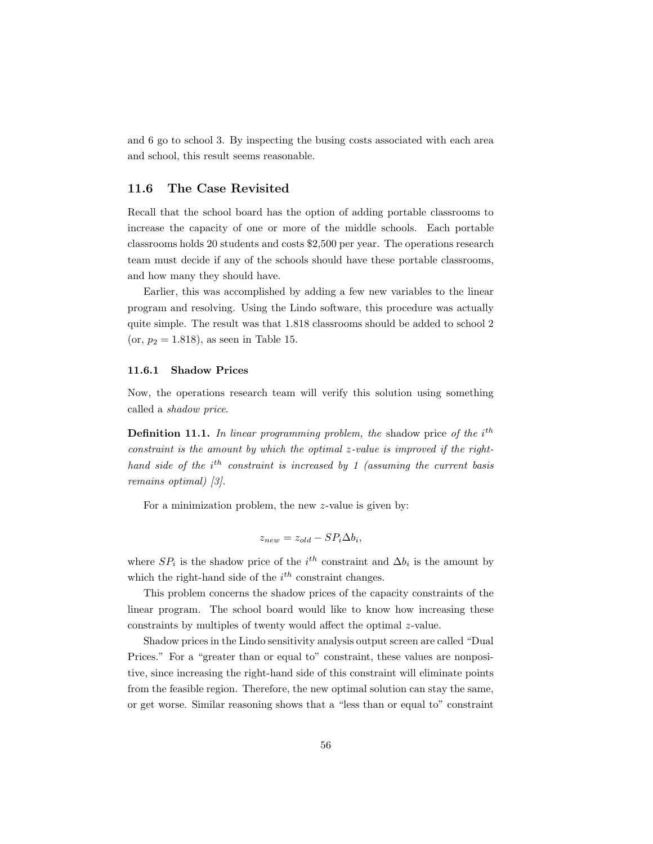and 6 go to school 3. By inspecting the busing costs associated with each area and school, this result seems reasonable.

#### 11.6 The Case Revisited

Recall that the school board has the option of adding portable classrooms to increase the capacity of one or more of the middle schools. Each portable classrooms holds 20 students and costs \$2,500 per year. The operations research team must decide if any of the schools should have these portable classrooms, and how many they should have.

Earlier, this was accomplished by adding a few new variables to the linear program and resolving. Using the Lindo software, this procedure was actually quite simple. The result was that 1.818 classrooms should be added to school 2 (or,  $p_2 = 1.818$ ), as seen in Table 15.

#### 11.6.1 Shadow Prices

Now, the operations research team will verify this solution using something called a shadow price.

**Definition 11.1.** In linear programming problem, the shadow price of the  $i^{th}$ constraint is the amount by which the optimal z-value is improved if the righthand side of the  $i^{th}$  constraint is increased by 1 (assuming the current basis remains optimal) [3].

For a minimization problem, the new z-value is given by:

$$
z_{new} = z_{old} - SP_i \Delta b_i,
$$

where  $SP_i$  is the shadow price of the  $i^{th}$  constraint and  $\Delta b_i$  is the amount by which the right-hand side of the  $i^{th}$  constraint changes.

This problem concerns the shadow prices of the capacity constraints of the linear program. The school board would like to know how increasing these constraints by multiples of twenty would affect the optimal z-value.

Shadow prices in the Lindo sensitivity analysis output screen are called "Dual Prices." For a "greater than or equal to" constraint, these values are nonpositive, since increasing the right-hand side of this constraint will eliminate points from the feasible region. Therefore, the new optimal solution can stay the same, or get worse. Similar reasoning shows that a "less than or equal to" constraint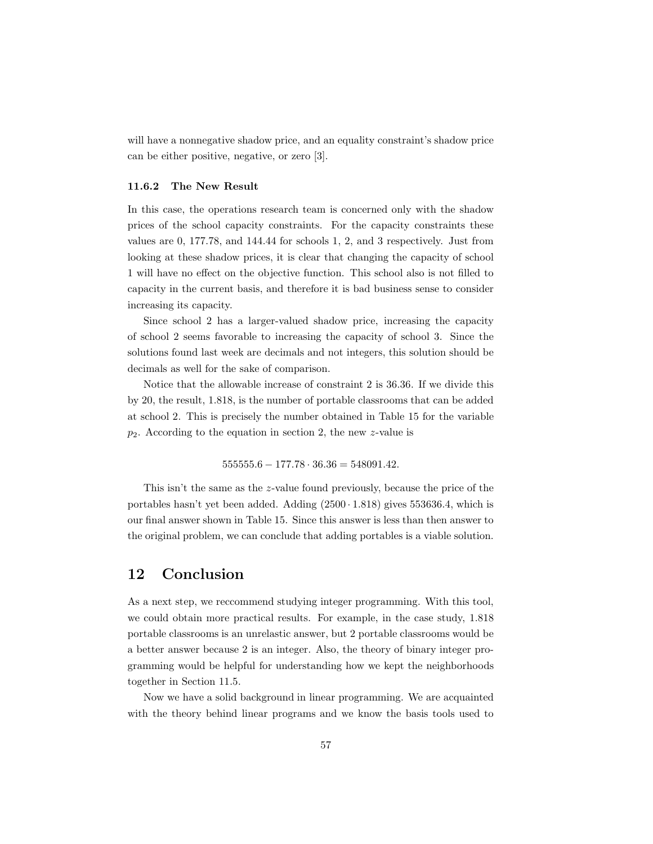will have a nonnegative shadow price, and an equality constraint's shadow price can be either positive, negative, or zero [3].

#### 11.6.2 The New Result

In this case, the operations research team is concerned only with the shadow prices of the school capacity constraints. For the capacity constraints these values are 0, 177.78, and 144.44 for schools 1, 2, and 3 respectively. Just from looking at these shadow prices, it is clear that changing the capacity of school 1 will have no effect on the objective function. This school also is not filled to capacity in the current basis, and therefore it is bad business sense to consider increasing its capacity.

Since school 2 has a larger-valued shadow price, increasing the capacity of school 2 seems favorable to increasing the capacity of school 3. Since the solutions found last week are decimals and not integers, this solution should be decimals as well for the sake of comparison.

Notice that the allowable increase of constraint 2 is 36.36. If we divide this by 20, the result, 1.818, is the number of portable classrooms that can be added at school 2. This is precisely the number obtained in Table 15 for the variable  $p_2$ . According to the equation in section 2, the new z-value is

 $555555.6 - 177.78 \cdot 36.36 = 548091.42$ .

This isn't the same as the z-value found previously, because the price of the portables hasn't yet been added. Adding  $(2500 \cdot 1.818)$  gives  $553636.4$ , which is our final answer shown in Table 15. Since this answer is less than then answer to the original problem, we can conclude that adding portables is a viable solution.

## 12 Conclusion

As a next step, we reccommend studying integer programming. With this tool, we could obtain more practical results. For example, in the case study, 1.818 portable classrooms is an unrelastic answer, but 2 portable classrooms would be a better answer because 2 is an integer. Also, the theory of binary integer programming would be helpful for understanding how we kept the neighborhoods together in Section 11.5.

Now we have a solid background in linear programming. We are acquainted with the theory behind linear programs and we know the basis tools used to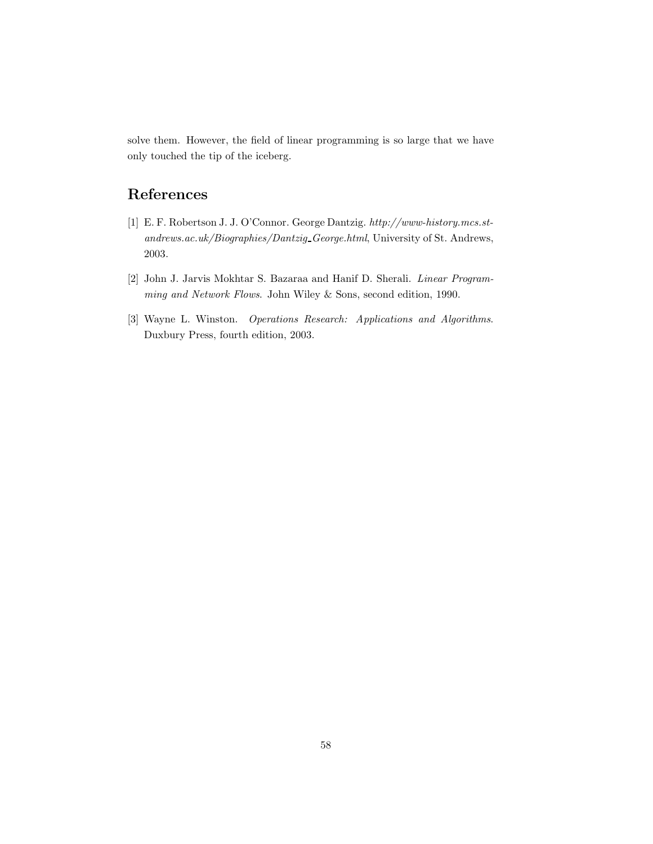solve them. However, the field of linear programming is so large that we have only touched the tip of the iceberg.

## References

- [1] E. F. Robertson J. J. O'Connor. George Dantzig. http://www-history.mcs.standrews.ac.uk/Biographies/Dantzig George.html, University of St. Andrews, 2003.
- [2] John J. Jarvis Mokhtar S. Bazaraa and Hanif D. Sherali. Linear Programming and Network Flows. John Wiley & Sons, second edition, 1990.
- [3] Wayne L. Winston. Operations Research: Applications and Algorithms. Duxbury Press, fourth edition, 2003.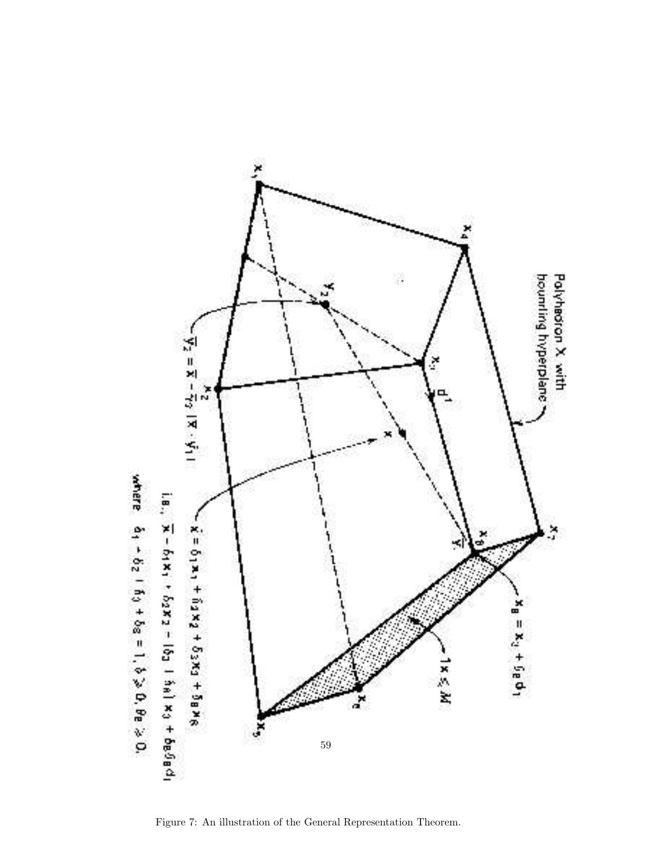

Figure 7: An illustration of the General Representation Theorem.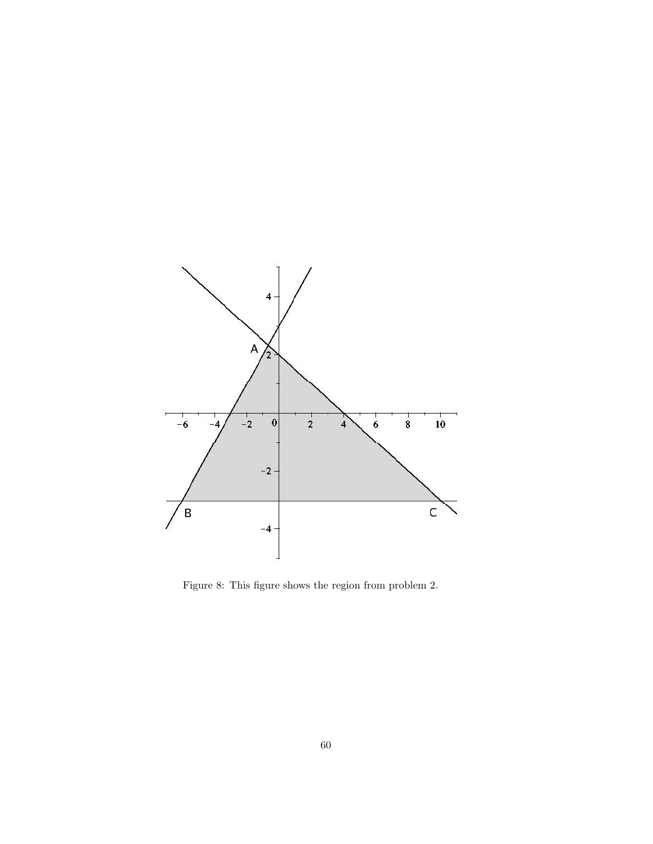

Figure 8: This figure shows the region from problem 2.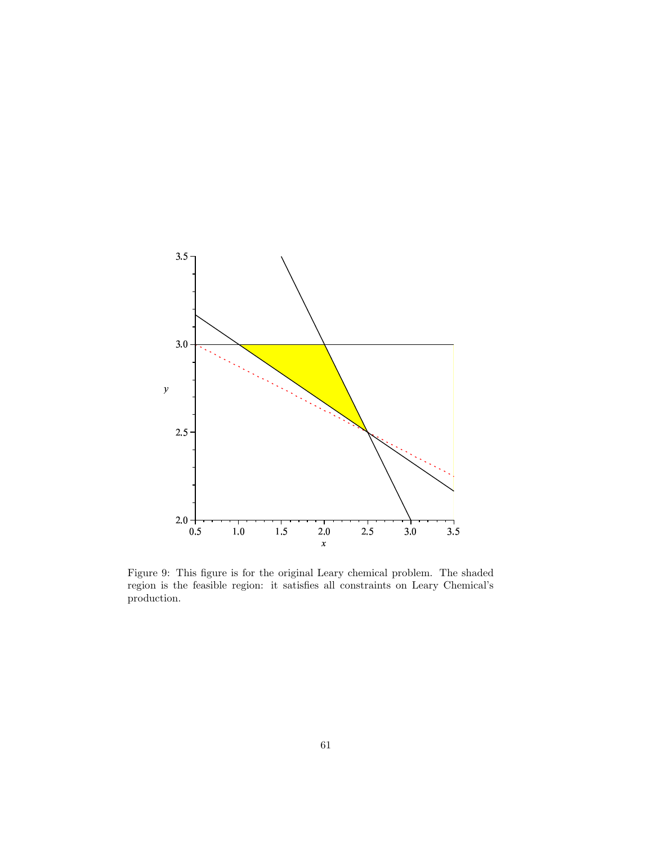

Figure 9: This figure is for the original Leary chemical problem. The shaded region is the feasible region: it satisfies all constraints on Leary Chemical's production.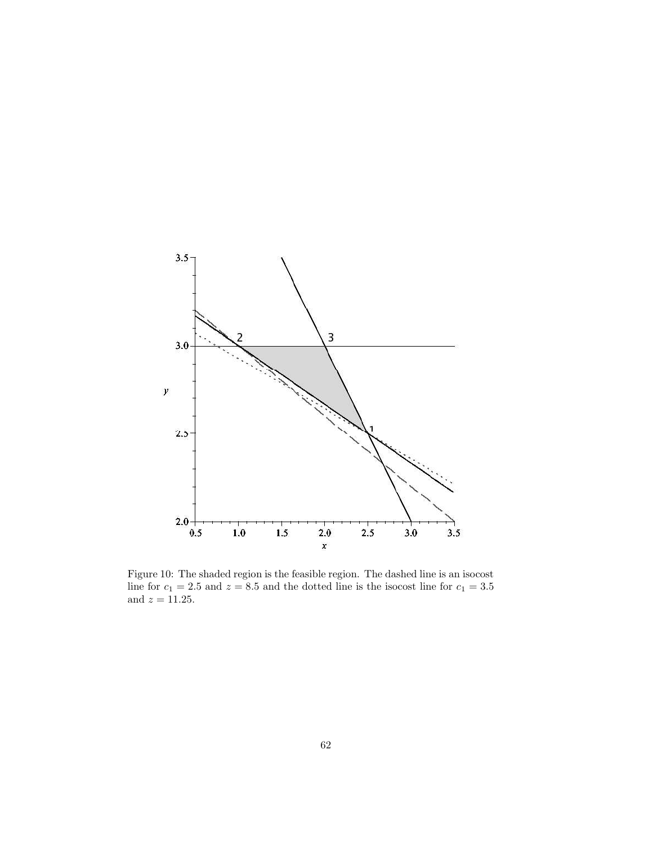

Figure 10: The shaded region is the feasible region. The dashed line is an isocost line for  $c_1 = 2.5$  and  $z = 8.5$  and the dotted line is the isocost line for  $c_1 = 3.5$ and  $z = 11.25$ .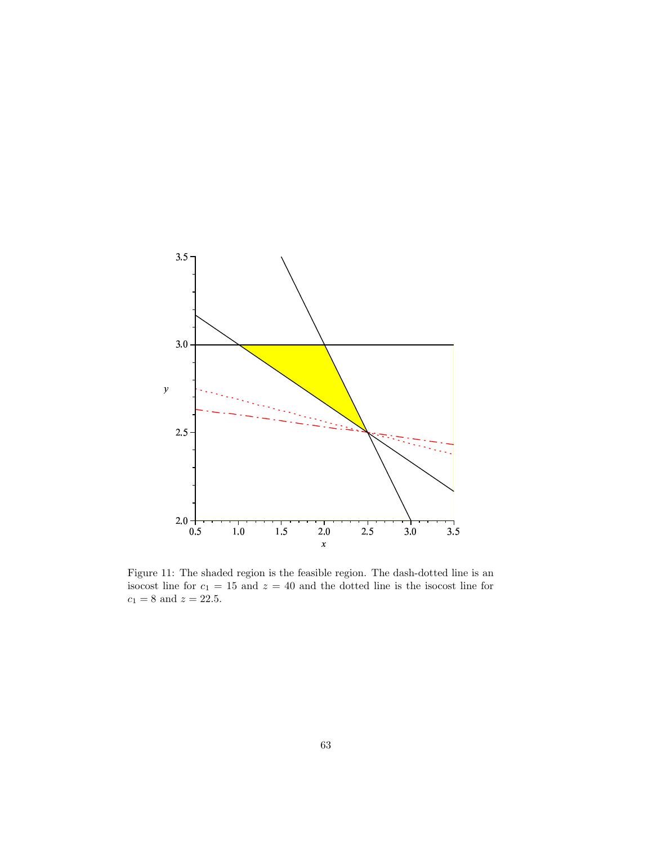

Figure 11: The shaded region is the feasible region. The dash-dotted line is an isocost line for  $c_1 = 15$  and  $z = 40$  and the dotted line is the isocost line for  $c_1 = 8$  and  $z = 22.5$ .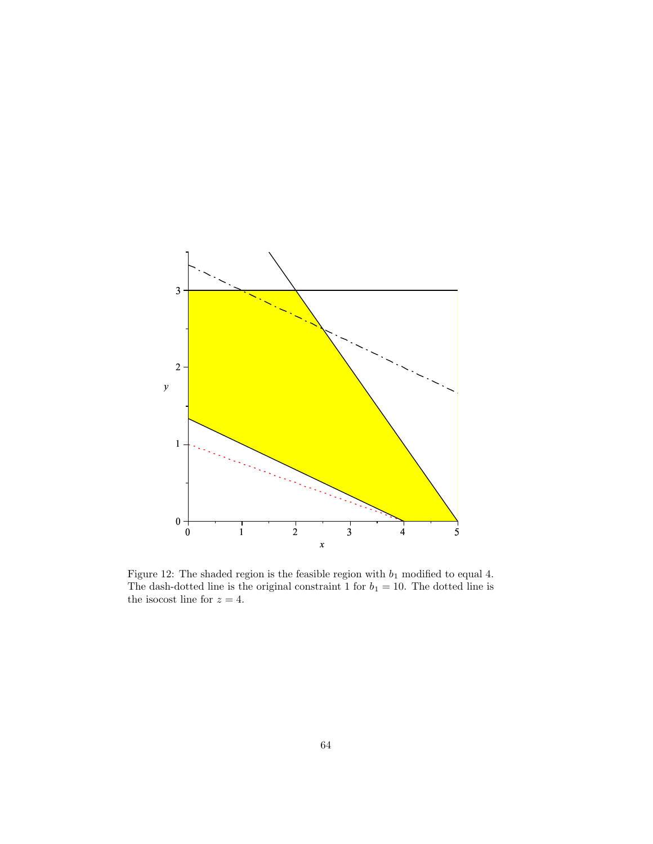

Figure 12: The shaded region is the feasible region with  $b_1$  modified to equal 4. The dash-dotted line is the original constraint 1 for  $b_1 = 10$ . The dotted line is the isocost line for  $z = 4$ .